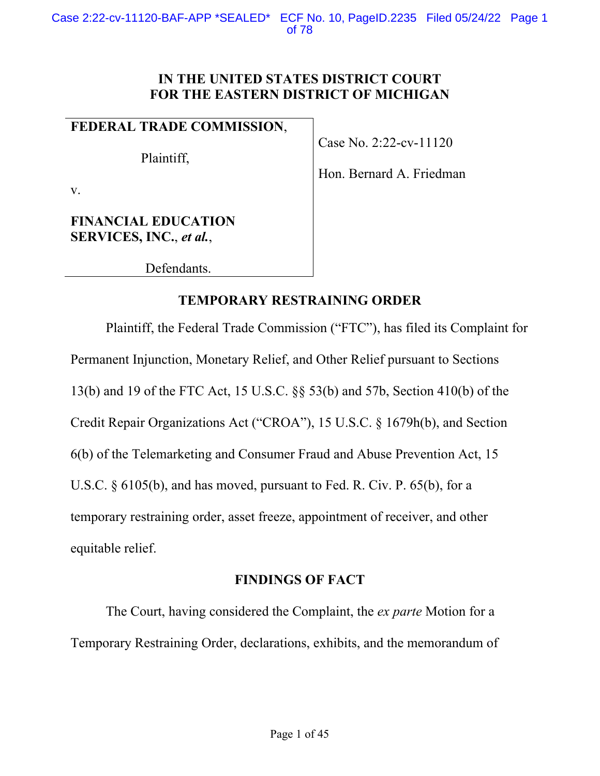# **IN THE UNITED STATES DISTRICT COURT FOR THE EASTERN DISTRICT OF MICHIGAN**

# **FEDERAL TRADE COMMISSION**,

Plaintiff,

Case No. 2:22-cv-11120

Hon. Bernard A. Friedman

v.

# **FINANCIAL EDUCATION SERVICES, INC.**, *et al.*,

Defendants.

# **TEMPORARY RESTRAINING ORDER**

Plaintiff, the Federal Trade Commission ("FTC"), has filed its Complaint for Permanent Injunction, Monetary Relief, and Other Relief pursuant to Sections 13(b) and 19 of the FTC Act, 15 U.S.C. §§ 53(b) and 57b, Section 410(b) of the Credit Repair Organizations Act ("CROA"), 15 U.S.C. § 1679h(b), and Section 6(b) of the Telemarketing and Consumer Fraud and Abuse Prevention Act, 15 U.S.C. § 6105(b), and has moved, pursuant to Fed. R. Civ. P. 65(b), for a temporary restraining order, asset freeze, appointment of receiver, and other equitable relief.

# **FINDINGS OF FACT**

The Court, having considered the Complaint, the *ex parte* Motion for a Temporary Restraining Order, declarations, exhibits, and the memorandum of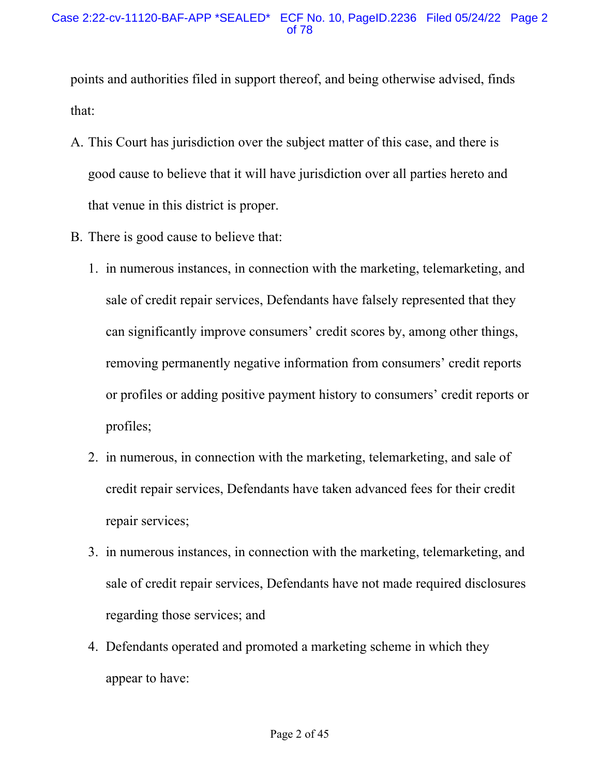points and authorities filed in support thereof, and being otherwise advised, finds that:

- A. This Court has jurisdiction over the subject matter of this case, and there is good cause to believe that it will have jurisdiction over all parties hereto and that venue in this district is proper.
- B. There is good cause to believe that:
	- 1. in numerous instances, in connection with the marketing, telemarketing, and sale of credit repair services, Defendants have falsely represented that they can significantly improve consumers' credit scores by, among other things, removing permanently negative information from consumers' credit reports or profiles or adding positive payment history to consumers' credit reports or profiles;
	- 2. in numerous, in connection with the marketing, telemarketing, and sale of credit repair services, Defendants have taken advanced fees for their credit repair services;
	- 3. in numerous instances, in connection with the marketing, telemarketing, and sale of credit repair services, Defendants have not made required disclosures regarding those services; and
	- 4. Defendants operated and promoted a marketing scheme in which they appear to have: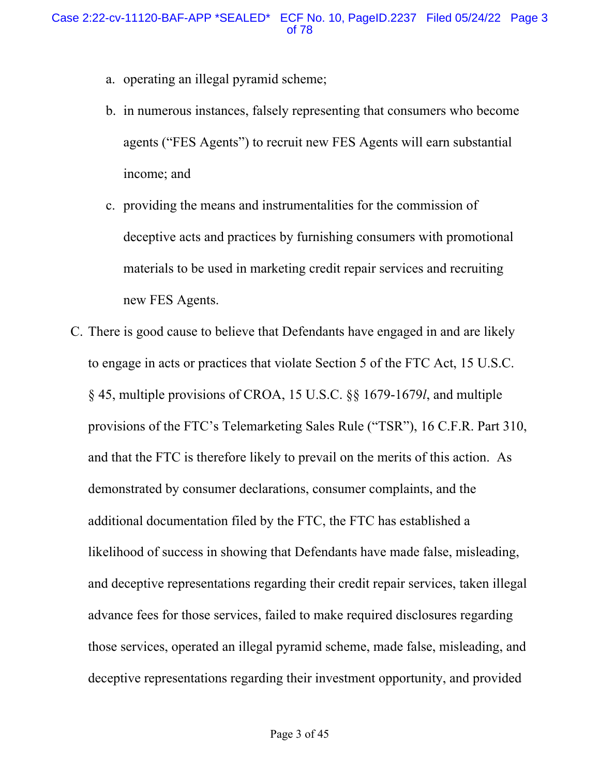- a. operating an illegal pyramid scheme;
- b. in numerous instances, falsely representing that consumers who become agents ("FES Agents") to recruit new FES Agents will earn substantial income; and
- c. providing the means and instrumentalities for the commission of deceptive acts and practices by furnishing consumers with promotional materials to be used in marketing credit repair services and recruiting new FES Agents.
- C. There is good cause to believe that Defendants have engaged in and are likely to engage in acts or practices that violate Section 5 of the FTC Act, 15 U.S.C. § 45, multiple provisions of CROA, 15 U.S.C. §§ 1679-1679*l*, and multiple provisions of the FTC's Telemarketing Sales Rule ("TSR"), 16 C.F.R. Part 310, and that the FTC is therefore likely to prevail on the merits of this action. As demonstrated by consumer declarations, consumer complaints, and the additional documentation filed by the FTC, the FTC has established a likelihood of success in showing that Defendants have made false, misleading, and deceptive representations regarding their credit repair services, taken illegal advance fees for those services, failed to make required disclosures regarding those services, operated an illegal pyramid scheme, made false, misleading, and deceptive representations regarding their investment opportunity, and provided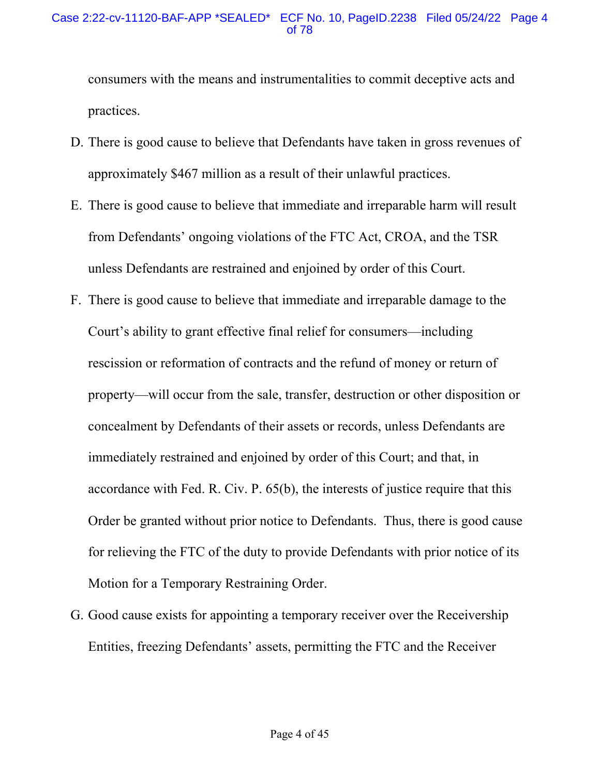#### Case 2:22-cv-11120-BAF-APP \*SEALED\* ECF No. 10, PageID.2238 Filed 05/24/22 Page 4 of 78

consumers with the means and instrumentalities to commit deceptive acts and practices.

- D. There is good cause to believe that Defendants have taken in gross revenues of approximately \$467 million as a result of their unlawful practices.
- E. There is good cause to believe that immediate and irreparable harm will result from Defendants' ongoing violations of the FTC Act, CROA, and the TSR unless Defendants are restrained and enjoined by order of this Court.
- F. There is good cause to believe that immediate and irreparable damage to the Court's ability to grant effective final relief for consumers—including rescission or reformation of contracts and the refund of money or return of property—will occur from the sale, transfer, destruction or other disposition or concealment by Defendants of their assets or records, unless Defendants are immediately restrained and enjoined by order of this Court; and that, in accordance with Fed. R. Civ. P. 65(b), the interests of justice require that this Order be granted without prior notice to Defendants. Thus, there is good cause for relieving the FTC of the duty to provide Defendants with prior notice of its Motion for a Temporary Restraining Order.
- G. Good cause exists for appointing a temporary receiver over the Receivership Entities, freezing Defendants' assets, permitting the FTC and the Receiver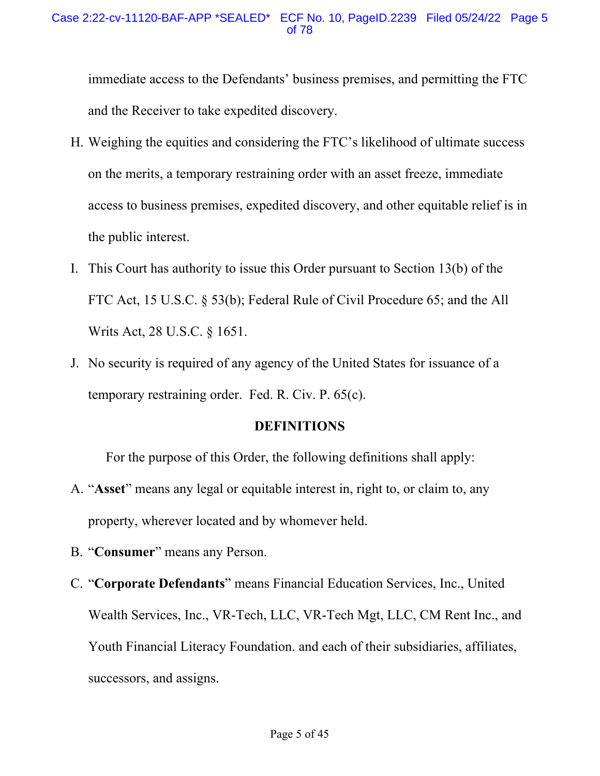immediate access to the Defendants' business premises, and permitting the FTC and the Receiver to take expedited discovery.

- H. Weighing the equities and considering the FTC's likelihood of ultimate success on the merits, a temporary restraining order with an asset freeze, immediate access to business premises, expedited discovery, and other equitable relief is in the public interest.
- I. This Court has authority to issue this Order pursuant to Section 13(b) of the FTC Act, 15 U.S.C. § 53(b); Federal Rule of Civil Procedure 65; and the All Writs Act, 28 U.S.C. § 1651.
- J. No security is required of any agency of the United States for issuance of a temporary restraining order. Fed. R. Civ. P. 65(c).

#### **DEFINITIONS**

For the purpose of this Order, the following definitions shall apply:

- A. "**Asset**" means any legal or equitable interest in, right to, or claim to, any property, wherever located and by whomever held.
- B. "**Consumer**" means any Person.
- C. "**Corporate Defendants**" means Financial Education Services, Inc., United Wealth Services, Inc., VR-Tech, LLC, VR-Tech Mgt, LLC, CM Rent Inc., and Youth Financial Literacy Foundation. and each of their subsidiaries, affiliates, successors, and assigns.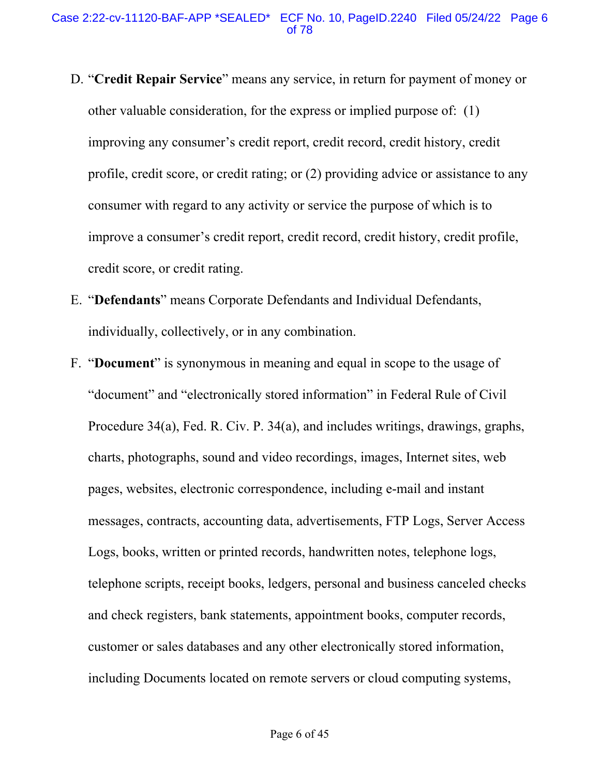- D. "**Credit Repair Service**" means any service, in return for payment of money or other valuable consideration, for the express or implied purpose of: (1) improving any consumer's credit report, credit record, credit history, credit profile, credit score, or credit rating; or (2) providing advice or assistance to any consumer with regard to any activity or service the purpose of which is to improve a consumer's credit report, credit record, credit history, credit profile, credit score, or credit rating.
- E. "**Defendants**" means Corporate Defendants and Individual Defendants, individually, collectively, or in any combination.
- F. "**Document**" is synonymous in meaning and equal in scope to the usage of "document" and "electronically stored information" in Federal Rule of Civil Procedure 34(a), Fed. R. Civ. P. 34(a), and includes writings, drawings, graphs, charts, photographs, sound and video recordings, images, Internet sites, web pages, websites, electronic correspondence, including e-mail and instant messages, contracts, accounting data, advertisements, FTP Logs, Server Access Logs, books, written or printed records, handwritten notes, telephone logs, telephone scripts, receipt books, ledgers, personal and business canceled checks and check registers, bank statements, appointment books, computer records, customer or sales databases and any other electronically stored information, including Documents located on remote servers or cloud computing systems,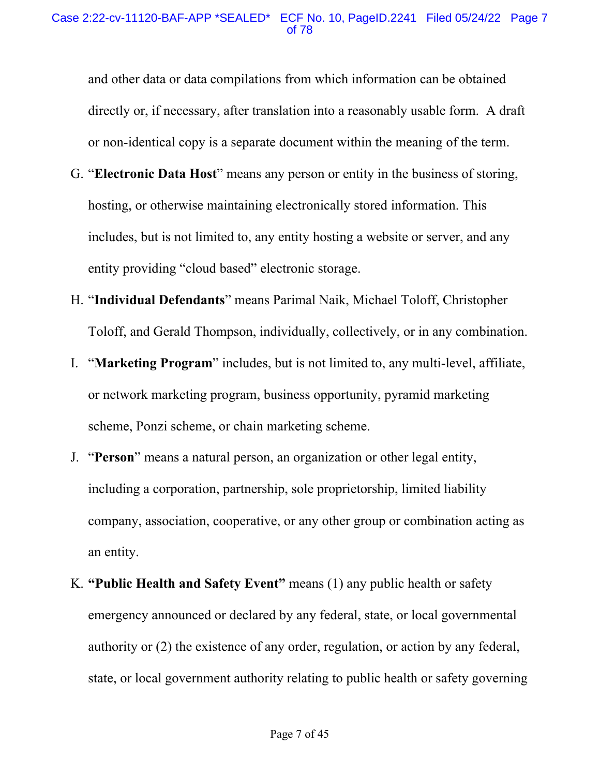and other data or data compilations from which information can be obtained directly or, if necessary, after translation into a reasonably usable form. A draft or non-identical copy is a separate document within the meaning of the term.

- G. "**Electronic Data Host**" means any person or entity in the business of storing, hosting, or otherwise maintaining electronically stored information. This includes, but is not limited to, any entity hosting a website or server, and any entity providing "cloud based" electronic storage.
- H. "**Individual Defendants**" means Parimal Naik, Michael Toloff, Christopher Toloff, and Gerald Thompson, individually, collectively, or in any combination.
- I. "**Marketing Program**" includes, but is not limited to, any multi-level, affiliate, or network marketing program, business opportunity, pyramid marketing scheme, Ponzi scheme, or chain marketing scheme.
- J. "**Person**" means a natural person, an organization or other legal entity, including a corporation, partnership, sole proprietorship, limited liability company, association, cooperative, or any other group or combination acting as an entity.
- K. **"Public Health and Safety Event"** means (1) any public health or safety emergency announced or declared by any federal, state, or local governmental authority or (2) the existence of any order, regulation, or action by any federal, state, or local government authority relating to public health or safety governing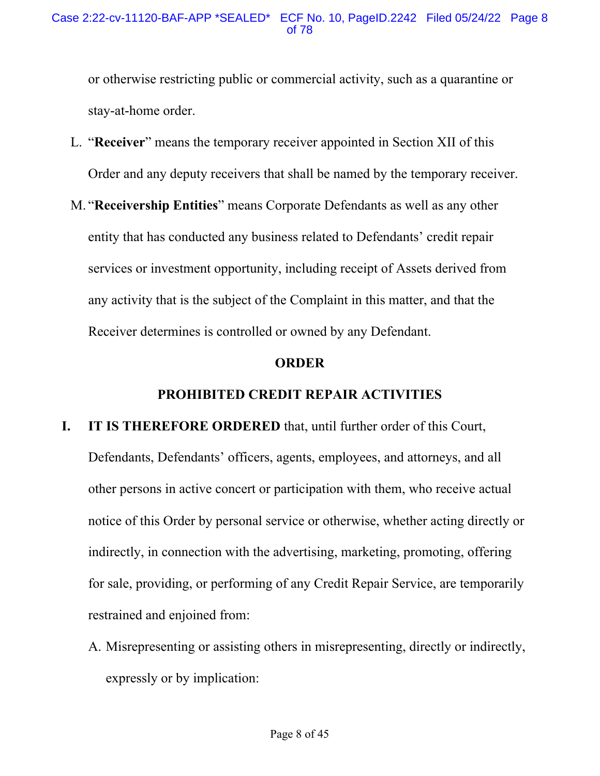or otherwise restricting public or commercial activity, such as a quarantine or stay-at-home order.

- L. "**Receiver**" means the temporary receiver appointed in Section XII of this Order and any deputy receivers that shall be named by the temporary receiver.
- M. "**Receivership Entities**" means Corporate Defendants as well as any other entity that has conducted any business related to Defendants' credit repair services or investment opportunity, including receipt of Assets derived from any activity that is the subject of the Complaint in this matter, and that the Receiver determines is controlled or owned by any Defendant.

#### **ORDER**

# **PROHIBITED CREDIT REPAIR ACTIVITIES**

# **I. IT IS THEREFORE ORDERED** that, until further order of this Court, Defendants, Defendants' officers, agents, employees, and attorneys, and all

other persons in active concert or participation with them, who receive actual notice of this Order by personal service or otherwise, whether acting directly or indirectly, in connection with the advertising, marketing, promoting, offering for sale, providing, or performing of any Credit Repair Service, are temporarily restrained and enjoined from:

A. Misrepresenting or assisting others in misrepresenting, directly or indirectly, expressly or by implication: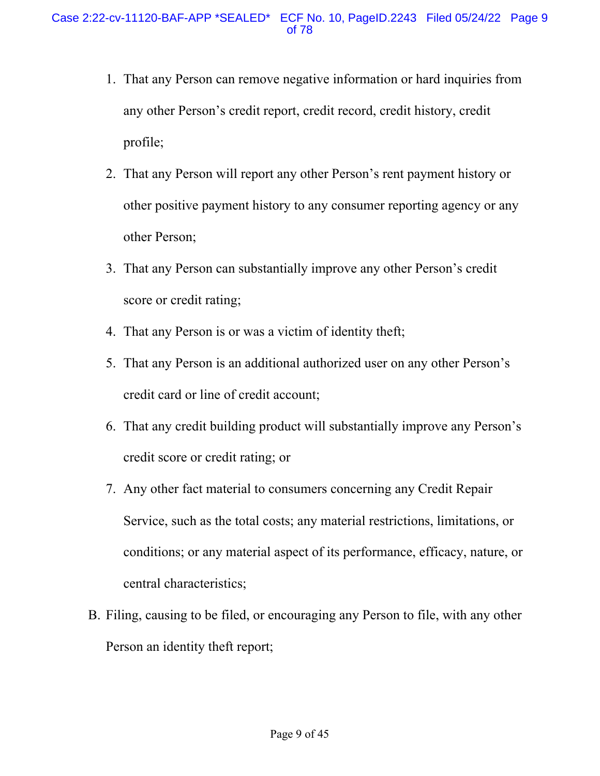- 1. That any Person can remove negative information or hard inquiries from any other Person's credit report, credit record, credit history, credit profile;
- 2. That any Person will report any other Person's rent payment history or other positive payment history to any consumer reporting agency or any other Person;
- 3. That any Person can substantially improve any other Person's credit score or credit rating;
- 4. That any Person is or was a victim of identity theft;
- 5. That any Person is an additional authorized user on any other Person's credit card or line of credit account;
- 6. That any credit building product will substantially improve any Person's credit score or credit rating; or
- 7. Any other fact material to consumers concerning any Credit Repair Service, such as the total costs; any material restrictions, limitations, or conditions; or any material aspect of its performance, efficacy, nature, or central characteristics;
- B. Filing, causing to be filed, or encouraging any Person to file, with any other Person an identity theft report;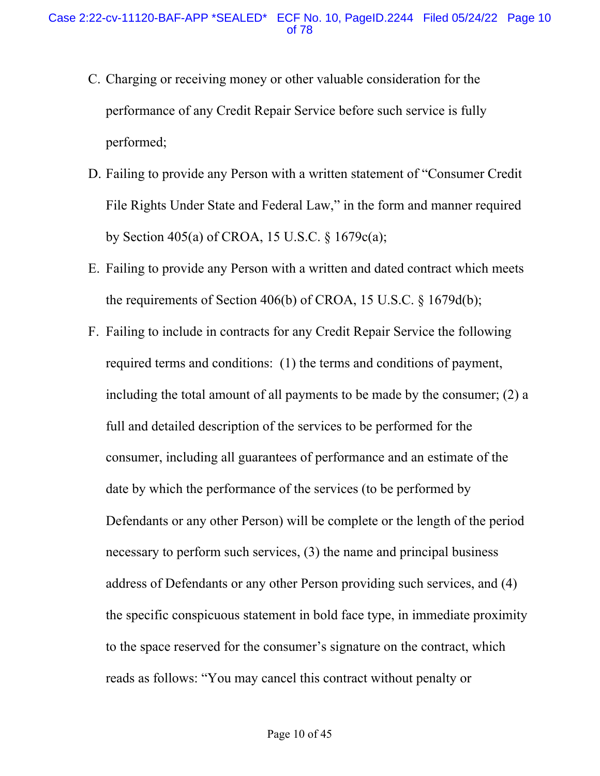- C. Charging or receiving money or other valuable consideration for the performance of any Credit Repair Service before such service is fully performed;
- D. Failing to provide any Person with a written statement of "Consumer Credit File Rights Under State and Federal Law," in the form and manner required by Section 405(a) of CROA, 15 U.S.C. § 1679c(a);
- E. Failing to provide any Person with a written and dated contract which meets the requirements of Section 406(b) of CROA, 15 U.S.C. § 1679d(b);
- F. Failing to include in contracts for any Credit Repair Service the following required terms and conditions: (1) the terms and conditions of payment, including the total amount of all payments to be made by the consumer; (2) a full and detailed description of the services to be performed for the consumer, including all guarantees of performance and an estimate of the date by which the performance of the services (to be performed by Defendants or any other Person) will be complete or the length of the period necessary to perform such services, (3) the name and principal business address of Defendants or any other Person providing such services, and (4) the specific conspicuous statement in bold face type, in immediate proximity to the space reserved for the consumer's signature on the contract, which reads as follows: "You may cancel this contract without penalty or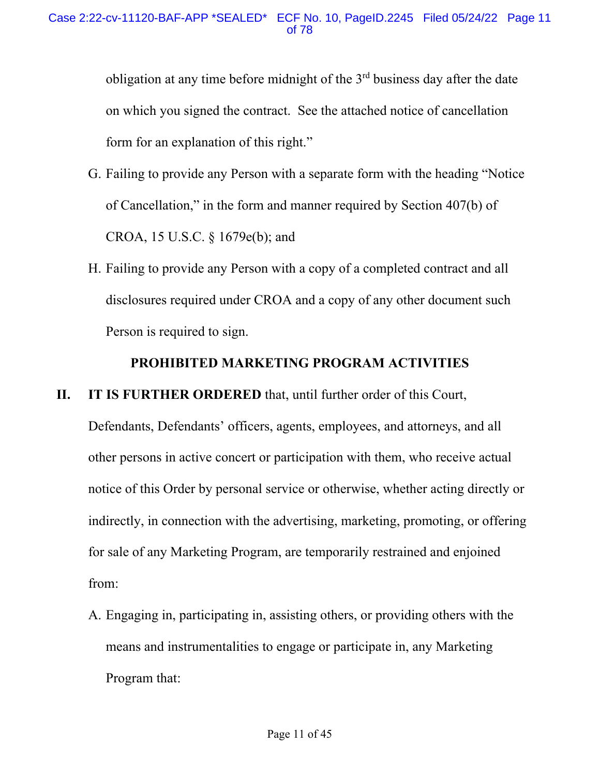obligation at any time before midnight of the  $3<sup>rd</sup>$  business day after the date on which you signed the contract. See the attached notice of cancellation form for an explanation of this right."

- G. Failing to provide any Person with a separate form with the heading "Notice of Cancellation," in the form and manner required by Section 407(b) of CROA, 15 U.S.C. § 1679e(b); and
- H. Failing to provide any Person with a copy of a completed contract and all disclosures required under CROA and a copy of any other document such Person is required to sign.

# **PROHIBITED MARKETING PROGRAM ACTIVITIES**

**II. IT IS FURTHER ORDERED** that, until further order of this Court,

Defendants, Defendants' officers, agents, employees, and attorneys, and all other persons in active concert or participation with them, who receive actual notice of this Order by personal service or otherwise, whether acting directly or indirectly, in connection with the advertising, marketing, promoting, or offering for sale of any Marketing Program, are temporarily restrained and enjoined from:

A. Engaging in, participating in, assisting others, or providing others with the means and instrumentalities to engage or participate in, any Marketing Program that: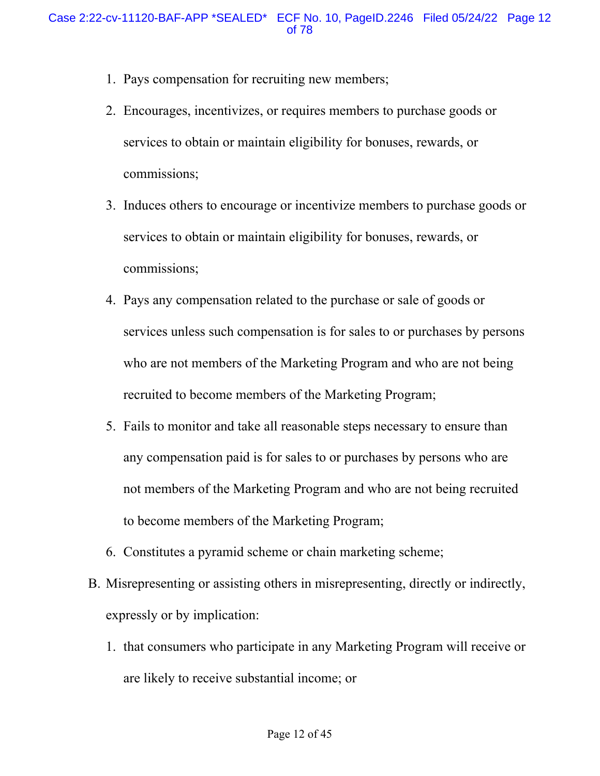- 1. Pays compensation for recruiting new members;
- 2. Encourages, incentivizes, or requires members to purchase goods or services to obtain or maintain eligibility for bonuses, rewards, or commissions;
- 3. Induces others to encourage or incentivize members to purchase goods or services to obtain or maintain eligibility for bonuses, rewards, or commissions;
- 4. Pays any compensation related to the purchase or sale of goods or services unless such compensation is for sales to or purchases by persons who are not members of the Marketing Program and who are not being recruited to become members of the Marketing Program;
- 5. Fails to monitor and take all reasonable steps necessary to ensure than any compensation paid is for sales to or purchases by persons who are not members of the Marketing Program and who are not being recruited to become members of the Marketing Program;
- 6. Constitutes a pyramid scheme or chain marketing scheme;
- B. Misrepresenting or assisting others in misrepresenting, directly or indirectly, expressly or by implication:
	- 1. that consumers who participate in any Marketing Program will receive or are likely to receive substantial income; or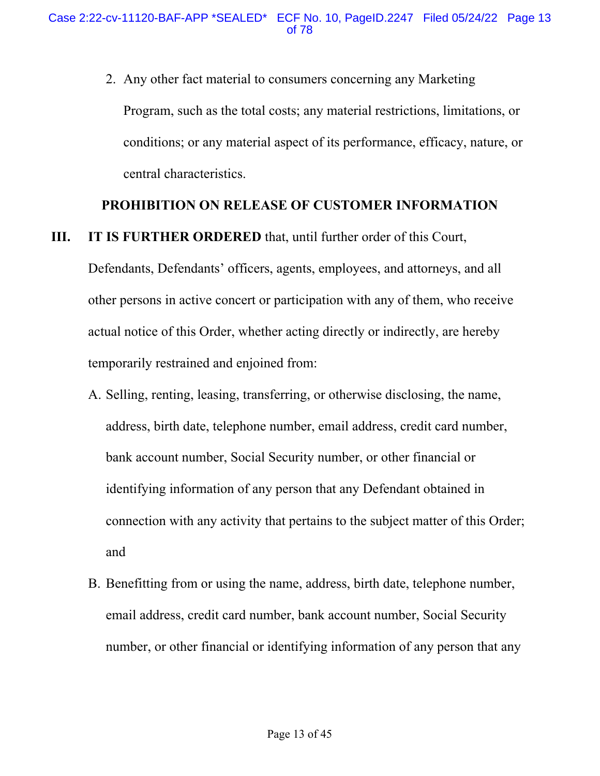2. Any other fact material to consumers concerning any Marketing Program, such as the total costs; any material restrictions, limitations, or conditions; or any material aspect of its performance, efficacy, nature, or central characteristics.

#### **PROHIBITION ON RELEASE OF CUSTOMER INFORMATION**

**III. IT IS FURTHER ORDERED** that, until further order of this Court,

Defendants, Defendants' officers, agents, employees, and attorneys, and all other persons in active concert or participation with any of them, who receive actual notice of this Order, whether acting directly or indirectly, are hereby temporarily restrained and enjoined from:

- A. Selling, renting, leasing, transferring, or otherwise disclosing, the name, address, birth date, telephone number, email address, credit card number, bank account number, Social Security number, or other financial or identifying information of any person that any Defendant obtained in connection with any activity that pertains to the subject matter of this Order; and
- B. Benefitting from or using the name, address, birth date, telephone number, email address, credit card number, bank account number, Social Security number, or other financial or identifying information of any person that any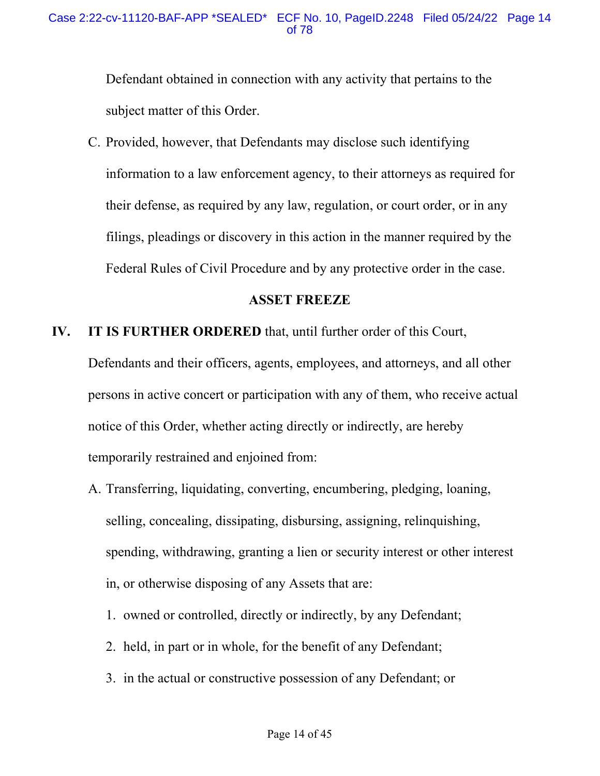Defendant obtained in connection with any activity that pertains to the subject matter of this Order.

C. Provided, however, that Defendants may disclose such identifying information to a law enforcement agency, to their attorneys as required for their defense, as required by any law, regulation, or court order, or in any filings, pleadings or discovery in this action in the manner required by the Federal Rules of Civil Procedure and by any protective order in the case.

#### **ASSET FREEZE**

## **IV. IT IS FURTHER ORDERED** that, until further order of this Court,

Defendants and their officers, agents, employees, and attorneys, and all other persons in active concert or participation with any of them, who receive actual notice of this Order, whether acting directly or indirectly, are hereby temporarily restrained and enjoined from:

- A. Transferring, liquidating, converting, encumbering, pledging, loaning, selling, concealing, dissipating, disbursing, assigning, relinquishing, spending, withdrawing, granting a lien or security interest or other interest in, or otherwise disposing of any Assets that are:
	- 1. owned or controlled, directly or indirectly, by any Defendant;
	- 2. held, in part or in whole, for the benefit of any Defendant;
	- 3. in the actual or constructive possession of any Defendant; or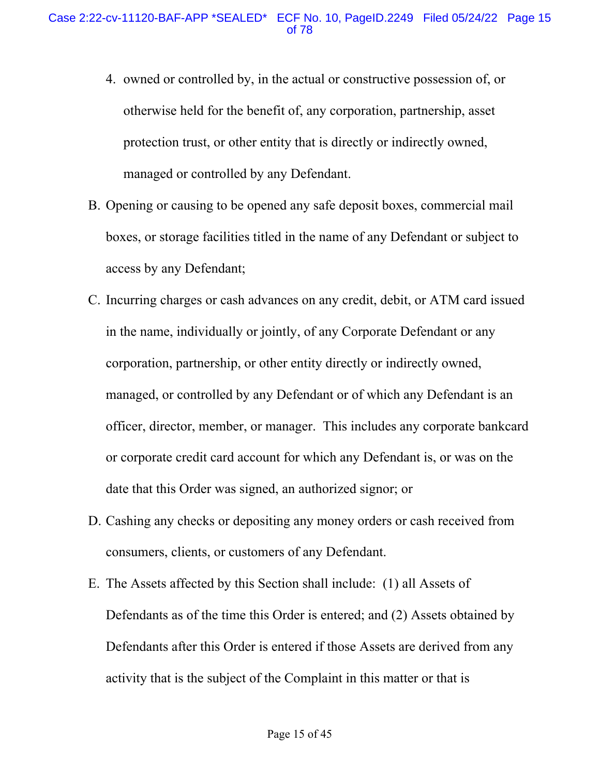- 4. owned or controlled by, in the actual or constructive possession of, or otherwise held for the benefit of, any corporation, partnership, asset protection trust, or other entity that is directly or indirectly owned, managed or controlled by any Defendant.
- B. Opening or causing to be opened any safe deposit boxes, commercial mail boxes, or storage facilities titled in the name of any Defendant or subject to access by any Defendant;
- C. Incurring charges or cash advances on any credit, debit, or ATM card issued in the name, individually or jointly, of any Corporate Defendant or any corporation, partnership, or other entity directly or indirectly owned, managed, or controlled by any Defendant or of which any Defendant is an officer, director, member, or manager. This includes any corporate bankcard or corporate credit card account for which any Defendant is, or was on the date that this Order was signed, an authorized signor; or
- D. Cashing any checks or depositing any money orders or cash received from consumers, clients, or customers of any Defendant.
- E. The Assets affected by this Section shall include: (1) all Assets of Defendants as of the time this Order is entered; and (2) Assets obtained by Defendants after this Order is entered if those Assets are derived from any activity that is the subject of the Complaint in this matter or that is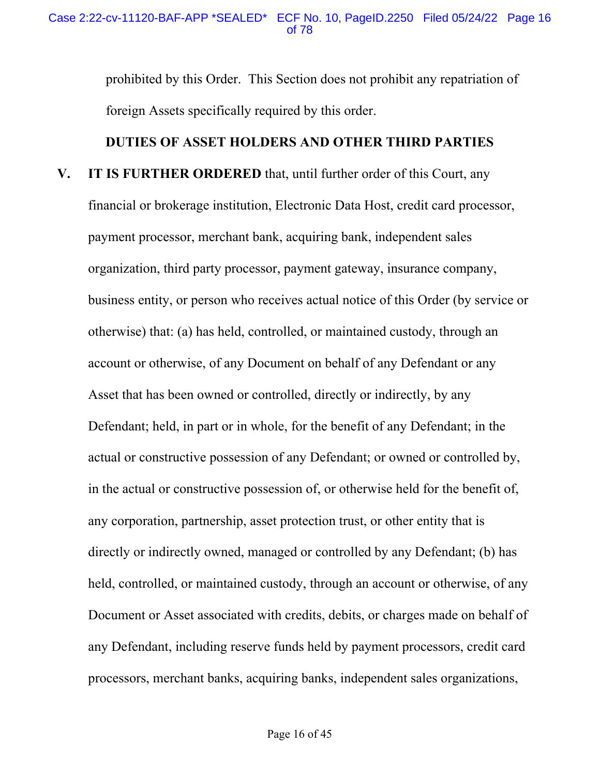prohibited by this Order. This Section does not prohibit any repatriation of foreign Assets specifically required by this order.

# **DUTIES OF ASSET HOLDERS AND OTHER THIRD PARTIES**

**V. IT IS FURTHER ORDERED** that, until further order of this Court, any financial or brokerage institution, Electronic Data Host, credit card processor, payment processor, merchant bank, acquiring bank, independent sales organization, third party processor, payment gateway, insurance company, business entity, or person who receives actual notice of this Order (by service or otherwise) that: (a) has held, controlled, or maintained custody, through an account or otherwise, of any Document on behalf of any Defendant or any Asset that has been owned or controlled, directly or indirectly, by any Defendant; held, in part or in whole, for the benefit of any Defendant; in the actual or constructive possession of any Defendant; or owned or controlled by, in the actual or constructive possession of, or otherwise held for the benefit of, any corporation, partnership, asset protection trust, or other entity that is directly or indirectly owned, managed or controlled by any Defendant; (b) has held, controlled, or maintained custody, through an account or otherwise, of any Document or Asset associated with credits, debits, or charges made on behalf of any Defendant, including reserve funds held by payment processors, credit card processors, merchant banks, acquiring banks, independent sales organizations,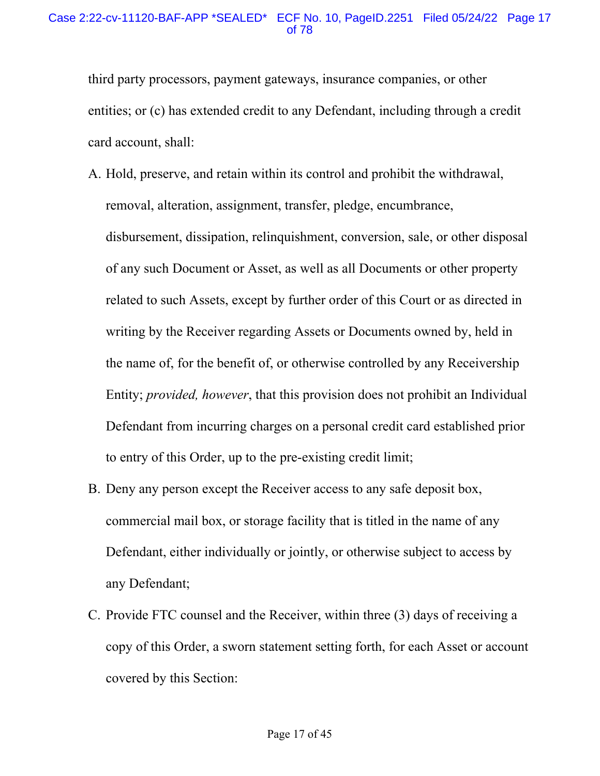third party processors, payment gateways, insurance companies, or other entities; or (c) has extended credit to any Defendant, including through a credit card account, shall:

- A. Hold, preserve, and retain within its control and prohibit the withdrawal, removal, alteration, assignment, transfer, pledge, encumbrance, disbursement, dissipation, relinquishment, conversion, sale, or other disposal of any such Document or Asset, as well as all Documents or other property related to such Assets, except by further order of this Court or as directed in writing by the Receiver regarding Assets or Documents owned by, held in the name of, for the benefit of, or otherwise controlled by any Receivership Entity; *provided, however*, that this provision does not prohibit an Individual Defendant from incurring charges on a personal credit card established prior to entry of this Order, up to the pre-existing credit limit;
- B. Deny any person except the Receiver access to any safe deposit box, commercial mail box, or storage facility that is titled in the name of any Defendant, either individually or jointly, or otherwise subject to access by any Defendant;
- C. Provide FTC counsel and the Receiver, within three (3) days of receiving a copy of this Order, a sworn statement setting forth, for each Asset or account covered by this Section: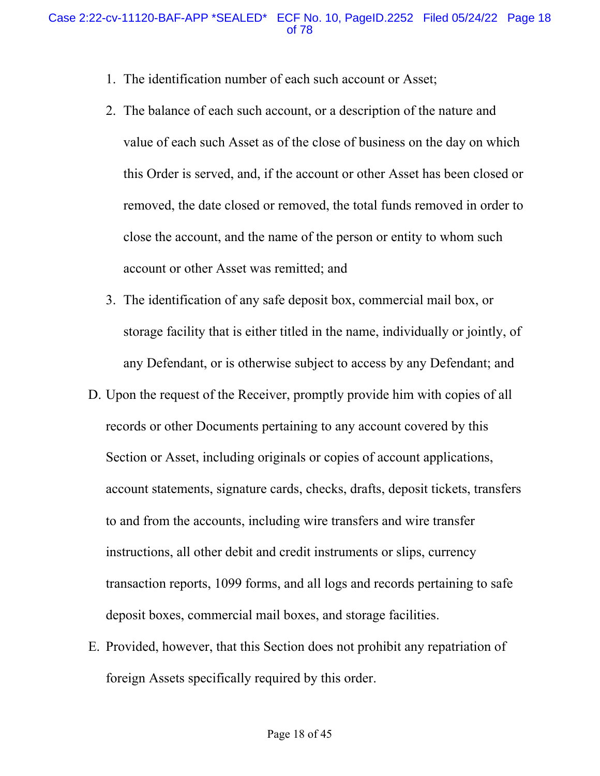- 1. The identification number of each such account or Asset;
- 2. The balance of each such account, or a description of the nature and value of each such Asset as of the close of business on the day on which this Order is served, and, if the account or other Asset has been closed or removed, the date closed or removed, the total funds removed in order to close the account, and the name of the person or entity to whom such account or other Asset was remitted; and
- 3. The identification of any safe deposit box, commercial mail box, or storage facility that is either titled in the name, individually or jointly, of any Defendant, or is otherwise subject to access by any Defendant; and
- D. Upon the request of the Receiver, promptly provide him with copies of all records or other Documents pertaining to any account covered by this Section or Asset, including originals or copies of account applications, account statements, signature cards, checks, drafts, deposit tickets, transfers to and from the accounts, including wire transfers and wire transfer instructions, all other debit and credit instruments or slips, currency transaction reports, 1099 forms, and all logs and records pertaining to safe deposit boxes, commercial mail boxes, and storage facilities.
- E. Provided, however, that this Section does not prohibit any repatriation of foreign Assets specifically required by this order.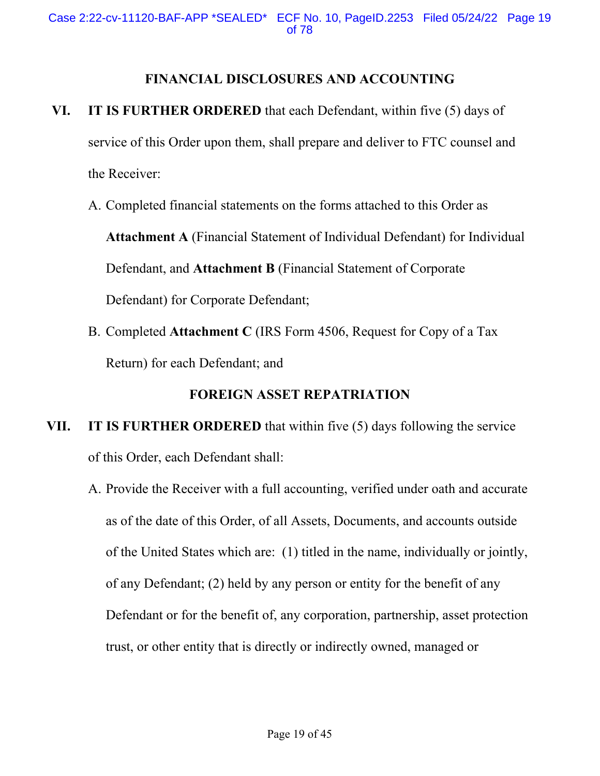## **FINANCIAL DISCLOSURES AND ACCOUNTING**

- **VI. IT IS FURTHER ORDERED** that each Defendant, within five (5) days of service of this Order upon them, shall prepare and deliver to FTC counsel and the Receiver:
	- A. Completed financial statements on the forms attached to this Order as **Attachment A** (Financial Statement of Individual Defendant) for Individual Defendant, and **Attachment B** (Financial Statement of Corporate Defendant) for Corporate Defendant;
	- B. Completed **Attachment C** (IRS Form 4506, Request for Copy of a Tax Return) for each Defendant; and

# **FOREIGN ASSET REPATRIATION**

# **VII. IT IS FURTHER ORDERED** that within five (5) days following the service of this Order, each Defendant shall:

A. Provide the Receiver with a full accounting, verified under oath and accurate as of the date of this Order, of all Assets, Documents, and accounts outside of the United States which are: (1) titled in the name, individually or jointly, of any Defendant; (2) held by any person or entity for the benefit of any Defendant or for the benefit of, any corporation, partnership, asset protection trust, or other entity that is directly or indirectly owned, managed or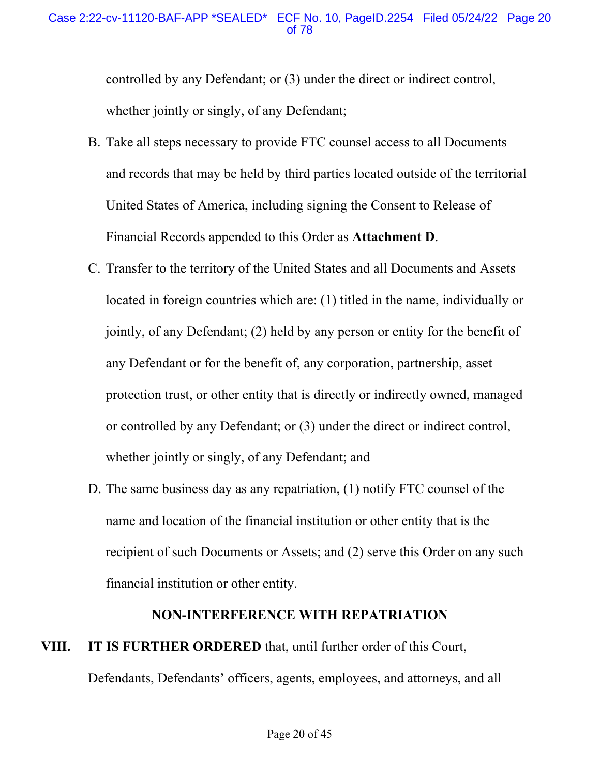controlled by any Defendant; or (3) under the direct or indirect control, whether jointly or singly, of any Defendant;

- B. Take all steps necessary to provide FTC counsel access to all Documents and records that may be held by third parties located outside of the territorial United States of America, including signing the Consent to Release of Financial Records appended to this Order as **Attachment D**.
- C. Transfer to the territory of the United States and all Documents and Assets located in foreign countries which are: (1) titled in the name, individually or jointly, of any Defendant; (2) held by any person or entity for the benefit of any Defendant or for the benefit of, any corporation, partnership, asset protection trust, or other entity that is directly or indirectly owned, managed or controlled by any Defendant; or (3) under the direct or indirect control, whether jointly or singly, of any Defendant; and
- D. The same business day as any repatriation, (1) notify FTC counsel of the name and location of the financial institution or other entity that is the recipient of such Documents or Assets; and (2) serve this Order on any such financial institution or other entity.

#### **NON-INTERFERENCE WITH REPATRIATION**

# **VIII. IT IS FURTHER ORDERED** that, until further order of this Court, Defendants, Defendants' officers, agents, employees, and attorneys, and all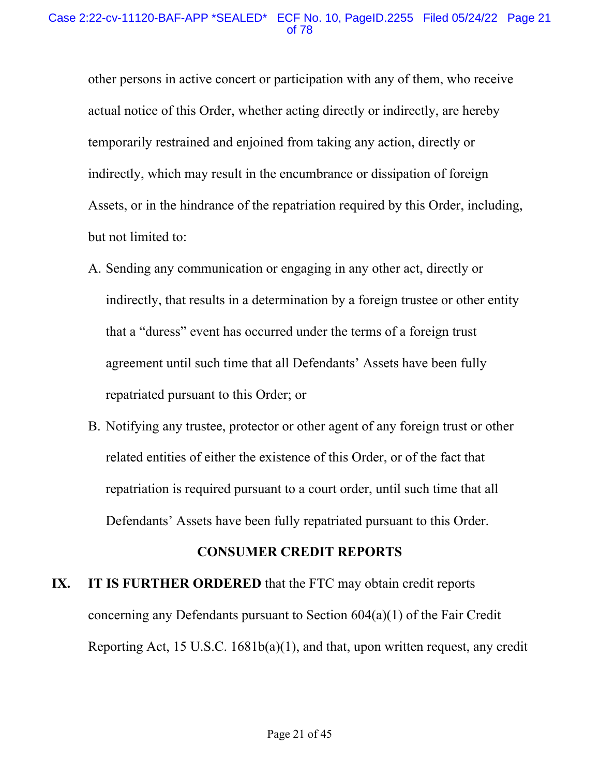other persons in active concert or participation with any of them, who receive actual notice of this Order, whether acting directly or indirectly, are hereby temporarily restrained and enjoined from taking any action, directly or indirectly, which may result in the encumbrance or dissipation of foreign Assets, or in the hindrance of the repatriation required by this Order, including, but not limited to:

- A. Sending any communication or engaging in any other act, directly or indirectly, that results in a determination by a foreign trustee or other entity that a "duress" event has occurred under the terms of a foreign trust agreement until such time that all Defendants' Assets have been fully repatriated pursuant to this Order; or
- B. Notifying any trustee, protector or other agent of any foreign trust or other related entities of either the existence of this Order, or of the fact that repatriation is required pursuant to a court order, until such time that all Defendants' Assets have been fully repatriated pursuant to this Order.

#### **CONSUMER CREDIT REPORTS**

# **IX. IT IS FURTHER ORDERED** that the FTC may obtain credit reports concerning any Defendants pursuant to Section 604(a)(1) of the Fair Credit Reporting Act, 15 U.S.C. 1681b(a)(1), and that, upon written request, any credit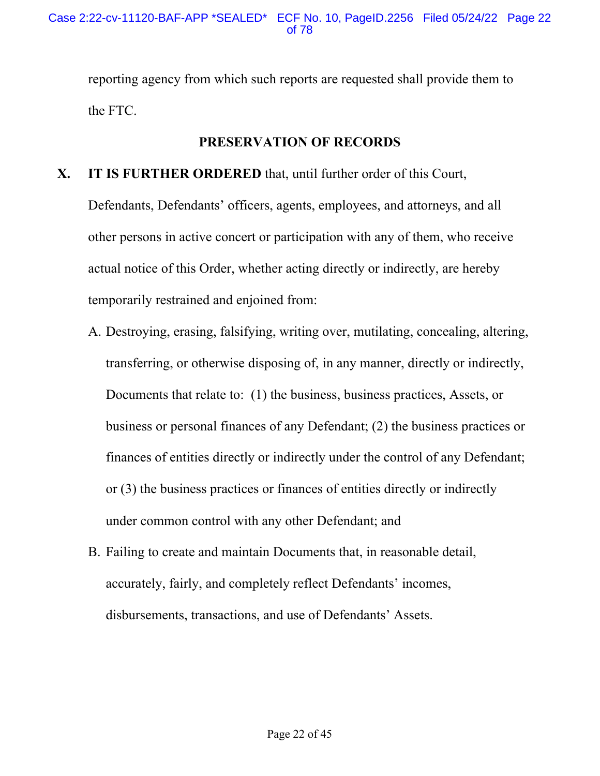reporting agency from which such reports are requested shall provide them to the FTC.

# **PRESERVATION OF RECORDS**

### **X. IT IS FURTHER ORDERED** that, until further order of this Court,

Defendants, Defendants' officers, agents, employees, and attorneys, and all other persons in active concert or participation with any of them, who receive actual notice of this Order, whether acting directly or indirectly, are hereby temporarily restrained and enjoined from:

- A. Destroying, erasing, falsifying, writing over, mutilating, concealing, altering, transferring, or otherwise disposing of, in any manner, directly or indirectly, Documents that relate to: (1) the business, business practices, Assets, or business or personal finances of any Defendant; (2) the business practices or finances of entities directly or indirectly under the control of any Defendant; or (3) the business practices or finances of entities directly or indirectly under common control with any other Defendant; and
- B. Failing to create and maintain Documents that, in reasonable detail, accurately, fairly, and completely reflect Defendants' incomes, disbursements, transactions, and use of Defendants' Assets.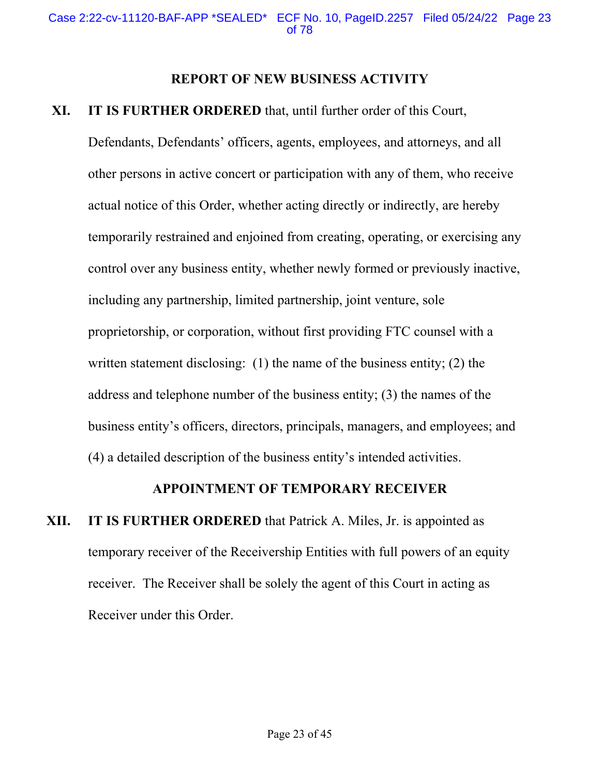#### **REPORT OF NEW BUSINESS ACTIVITY**

### **XI. IT IS FURTHER ORDERED** that, until further order of this Court,

Defendants, Defendants' officers, agents, employees, and attorneys, and all other persons in active concert or participation with any of them, who receive actual notice of this Order, whether acting directly or indirectly, are hereby temporarily restrained and enjoined from creating, operating, or exercising any control over any business entity, whether newly formed or previously inactive, including any partnership, limited partnership, joint venture, sole proprietorship, or corporation, without first providing FTC counsel with a written statement disclosing: (1) the name of the business entity; (2) the address and telephone number of the business entity; (3) the names of the business entity's officers, directors, principals, managers, and employees; and (4) a detailed description of the business entity's intended activities.

# **APPOINTMENT OF TEMPORARY RECEIVER**

**XII. IT IS FURTHER ORDERED** that Patrick A. Miles, Jr. is appointed as temporary receiver of the Receivership Entities with full powers of an equity receiver. The Receiver shall be solely the agent of this Court in acting as Receiver under this Order.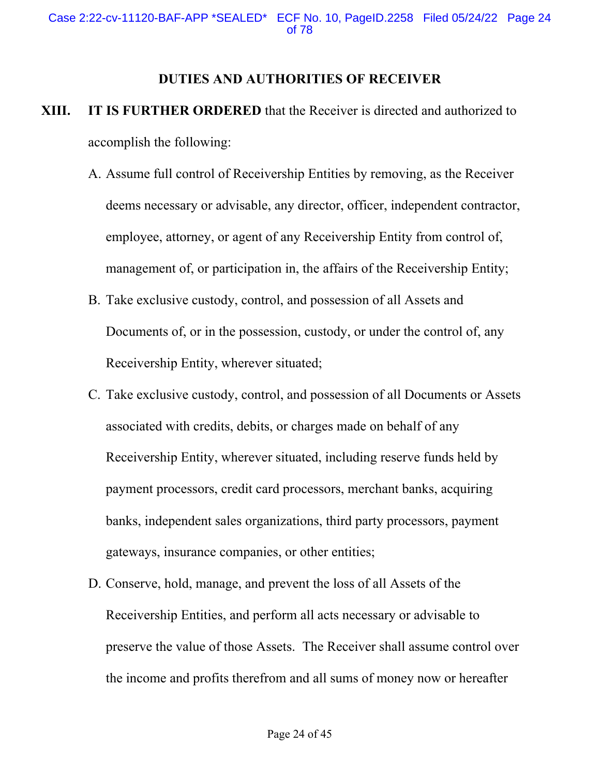#### **DUTIES AND AUTHORITIES OF RECEIVER**

- **XIII. IT IS FURTHER ORDERED** that the Receiver is directed and authorized to accomplish the following:
	- A. Assume full control of Receivership Entities by removing, as the Receiver deems necessary or advisable, any director, officer, independent contractor, employee, attorney, or agent of any Receivership Entity from control of, management of, or participation in, the affairs of the Receivership Entity;
	- B. Take exclusive custody, control, and possession of all Assets and Documents of, or in the possession, custody, or under the control of, any Receivership Entity, wherever situated;
	- C. Take exclusive custody, control, and possession of all Documents or Assets associated with credits, debits, or charges made on behalf of any Receivership Entity, wherever situated, including reserve funds held by payment processors, credit card processors, merchant banks, acquiring banks, independent sales organizations, third party processors, payment gateways, insurance companies, or other entities;
	- D. Conserve, hold, manage, and prevent the loss of all Assets of the Receivership Entities, and perform all acts necessary or advisable to preserve the value of those Assets. The Receiver shall assume control over the income and profits therefrom and all sums of money now or hereafter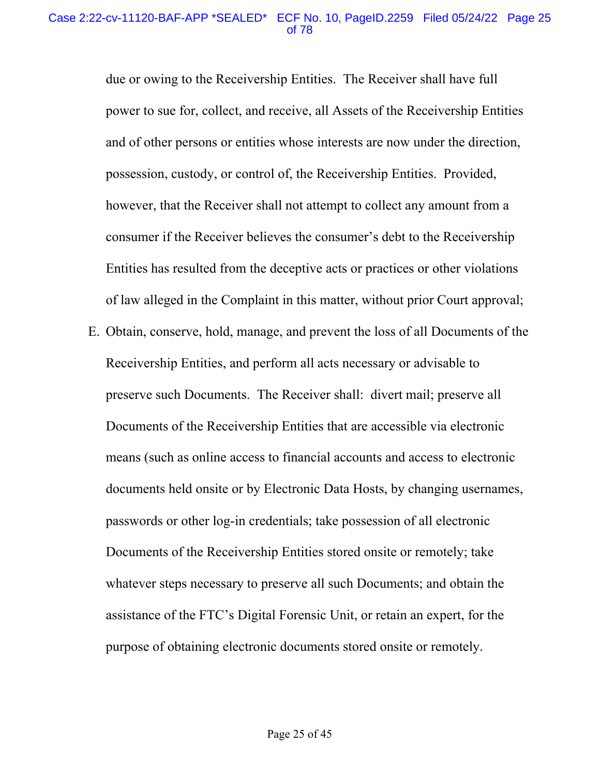due or owing to the Receivership Entities. The Receiver shall have full power to sue for, collect, and receive, all Assets of the Receivership Entities and of other persons or entities whose interests are now under the direction, possession, custody, or control of, the Receivership Entities. Provided, however, that the Receiver shall not attempt to collect any amount from a consumer if the Receiver believes the consumer's debt to the Receivership Entities has resulted from the deceptive acts or practices or other violations of law alleged in the Complaint in this matter, without prior Court approval;

E. Obtain, conserve, hold, manage, and prevent the loss of all Documents of the Receivership Entities, and perform all acts necessary or advisable to preserve such Documents. The Receiver shall: divert mail; preserve all Documents of the Receivership Entities that are accessible via electronic means (such as online access to financial accounts and access to electronic documents held onsite or by Electronic Data Hosts, by changing usernames, passwords or other log-in credentials; take possession of all electronic Documents of the Receivership Entities stored onsite or remotely; take whatever steps necessary to preserve all such Documents; and obtain the assistance of the FTC's Digital Forensic Unit, or retain an expert, for the purpose of obtaining electronic documents stored onsite or remotely.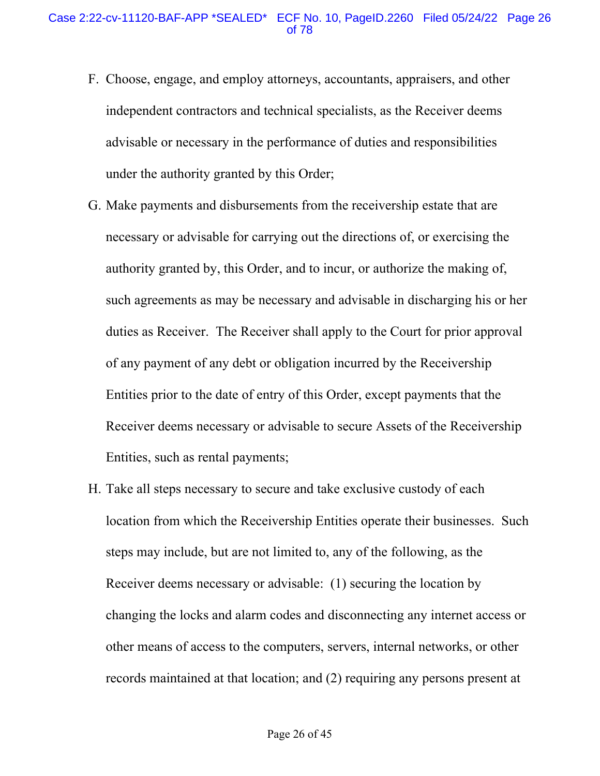- F. Choose, engage, and employ attorneys, accountants, appraisers, and other independent contractors and technical specialists, as the Receiver deems advisable or necessary in the performance of duties and responsibilities under the authority granted by this Order;
- G. Make payments and disbursements from the receivership estate that are necessary or advisable for carrying out the directions of, or exercising the authority granted by, this Order, and to incur, or authorize the making of, such agreements as may be necessary and advisable in discharging his or her duties as Receiver. The Receiver shall apply to the Court for prior approval of any payment of any debt or obligation incurred by the Receivership Entities prior to the date of entry of this Order, except payments that the Receiver deems necessary or advisable to secure Assets of the Receivership Entities, such as rental payments;
- H. Take all steps necessary to secure and take exclusive custody of each location from which the Receivership Entities operate their businesses. Such steps may include, but are not limited to, any of the following, as the Receiver deems necessary or advisable: (1) securing the location by changing the locks and alarm codes and disconnecting any internet access or other means of access to the computers, servers, internal networks, or other records maintained at that location; and (2) requiring any persons present at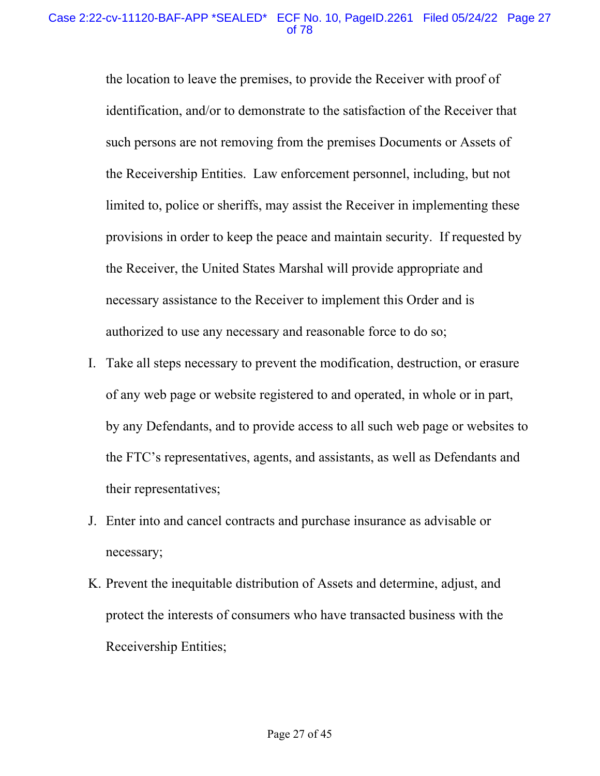the location to leave the premises, to provide the Receiver with proof of identification, and/or to demonstrate to the satisfaction of the Receiver that such persons are not removing from the premises Documents or Assets of the Receivership Entities. Law enforcement personnel, including, but not limited to, police or sheriffs, may assist the Receiver in implementing these provisions in order to keep the peace and maintain security. If requested by the Receiver, the United States Marshal will provide appropriate and necessary assistance to the Receiver to implement this Order and is authorized to use any necessary and reasonable force to do so;

- I. Take all steps necessary to prevent the modification, destruction, or erasure of any web page or website registered to and operated, in whole or in part, by any Defendants, and to provide access to all such web page or websites to the FTC's representatives, agents, and assistants, as well as Defendants and their representatives;
- J. Enter into and cancel contracts and purchase insurance as advisable or necessary;
- K. Prevent the inequitable distribution of Assets and determine, adjust, and protect the interests of consumers who have transacted business with the Receivership Entities;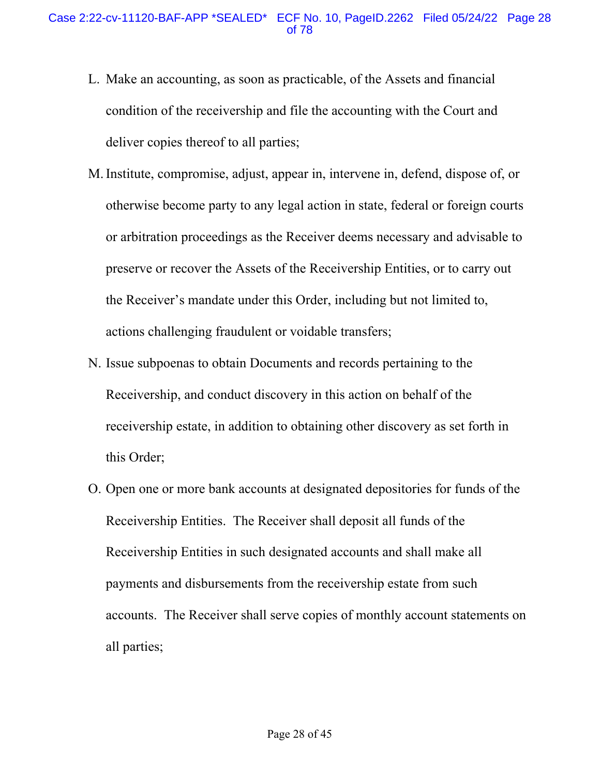- L. Make an accounting, as soon as practicable, of the Assets and financial condition of the receivership and file the accounting with the Court and deliver copies thereof to all parties;
- M. Institute, compromise, adjust, appear in, intervene in, defend, dispose of, or otherwise become party to any legal action in state, federal or foreign courts or arbitration proceedings as the Receiver deems necessary and advisable to preserve or recover the Assets of the Receivership Entities, or to carry out the Receiver's mandate under this Order, including but not limited to, actions challenging fraudulent or voidable transfers;
- N. Issue subpoenas to obtain Documents and records pertaining to the Receivership, and conduct discovery in this action on behalf of the receivership estate, in addition to obtaining other discovery as set forth in this Order;
- O. Open one or more bank accounts at designated depositories for funds of the Receivership Entities. The Receiver shall deposit all funds of the Receivership Entities in such designated accounts and shall make all payments and disbursements from the receivership estate from such accounts. The Receiver shall serve copies of monthly account statements on all parties;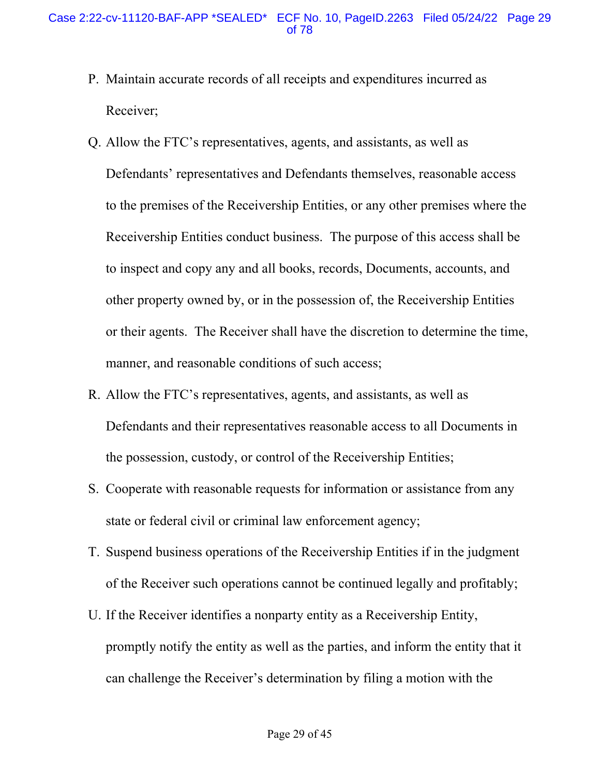- P. Maintain accurate records of all receipts and expenditures incurred as Receiver;
- Q. Allow the FTC's representatives, agents, and assistants, as well as Defendants' representatives and Defendants themselves, reasonable access to the premises of the Receivership Entities, or any other premises where the Receivership Entities conduct business. The purpose of this access shall be to inspect and copy any and all books, records, Documents, accounts, and other property owned by, or in the possession of, the Receivership Entities or their agents. The Receiver shall have the discretion to determine the time, manner, and reasonable conditions of such access;
- R. Allow the FTC's representatives, agents, and assistants, as well as Defendants and their representatives reasonable access to all Documents in the possession, custody, or control of the Receivership Entities;
- S. Cooperate with reasonable requests for information or assistance from any state or federal civil or criminal law enforcement agency;
- T. Suspend business operations of the Receivership Entities if in the judgment of the Receiver such operations cannot be continued legally and profitably;
- U. If the Receiver identifies a nonparty entity as a Receivership Entity, promptly notify the entity as well as the parties, and inform the entity that it can challenge the Receiver's determination by filing a motion with the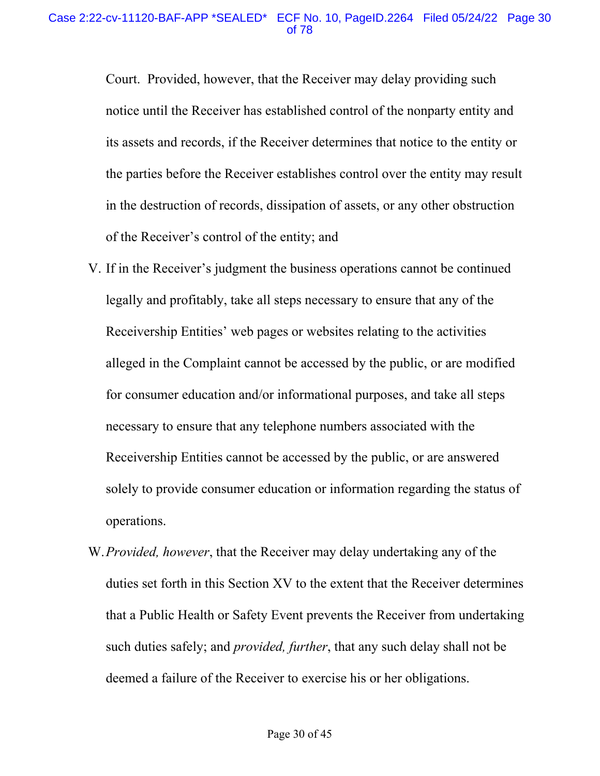Court. Provided, however, that the Receiver may delay providing such notice until the Receiver has established control of the nonparty entity and its assets and records, if the Receiver determines that notice to the entity or the parties before the Receiver establishes control over the entity may result in the destruction of records, dissipation of assets, or any other obstruction of the Receiver's control of the entity; and

- V. If in the Receiver's judgment the business operations cannot be continued legally and profitably, take all steps necessary to ensure that any of the Receivership Entities' web pages or websites relating to the activities alleged in the Complaint cannot be accessed by the public, or are modified for consumer education and/or informational purposes, and take all steps necessary to ensure that any telephone numbers associated with the Receivership Entities cannot be accessed by the public, or are answered solely to provide consumer education or information regarding the status of operations.
- W.*Provided, however*, that the Receiver may delay undertaking any of the duties set forth in this Section XV to the extent that the Receiver determines that a Public Health or Safety Event prevents the Receiver from undertaking such duties safely; and *provided, further*, that any such delay shall not be deemed a failure of the Receiver to exercise his or her obligations.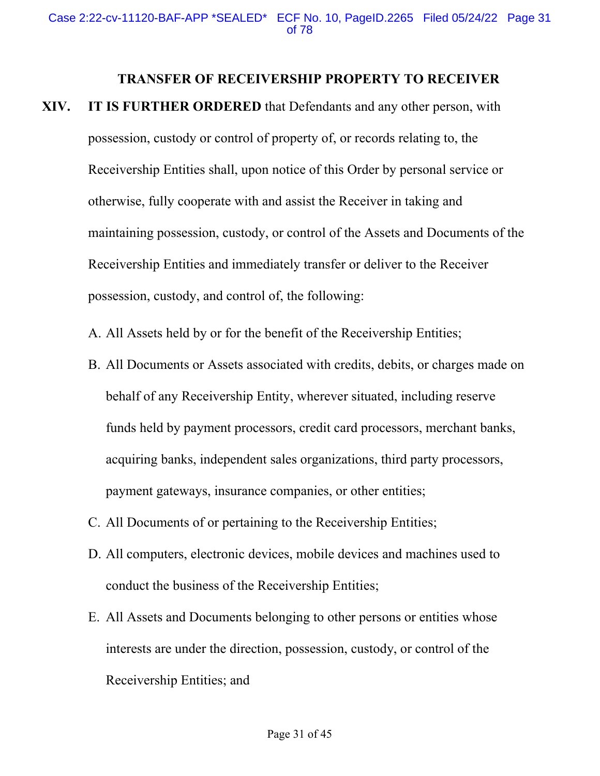#### **TRANSFER OF RECEIVERSHIP PROPERTY TO RECEIVER**

- **XIV. IT IS FURTHER ORDERED** that Defendants and any other person, with possession, custody or control of property of, or records relating to, the Receivership Entities shall, upon notice of this Order by personal service or otherwise, fully cooperate with and assist the Receiver in taking and maintaining possession, custody, or control of the Assets and Documents of the Receivership Entities and immediately transfer or deliver to the Receiver possession, custody, and control of, the following:
	- A. All Assets held by or for the benefit of the Receivership Entities;
	- B. All Documents or Assets associated with credits, debits, or charges made on behalf of any Receivership Entity, wherever situated, including reserve funds held by payment processors, credit card processors, merchant banks, acquiring banks, independent sales organizations, third party processors, payment gateways, insurance companies, or other entities;
	- C. All Documents of or pertaining to the Receivership Entities;
	- D. All computers, electronic devices, mobile devices and machines used to conduct the business of the Receivership Entities;
	- E. All Assets and Documents belonging to other persons or entities whose interests are under the direction, possession, custody, or control of the Receivership Entities; and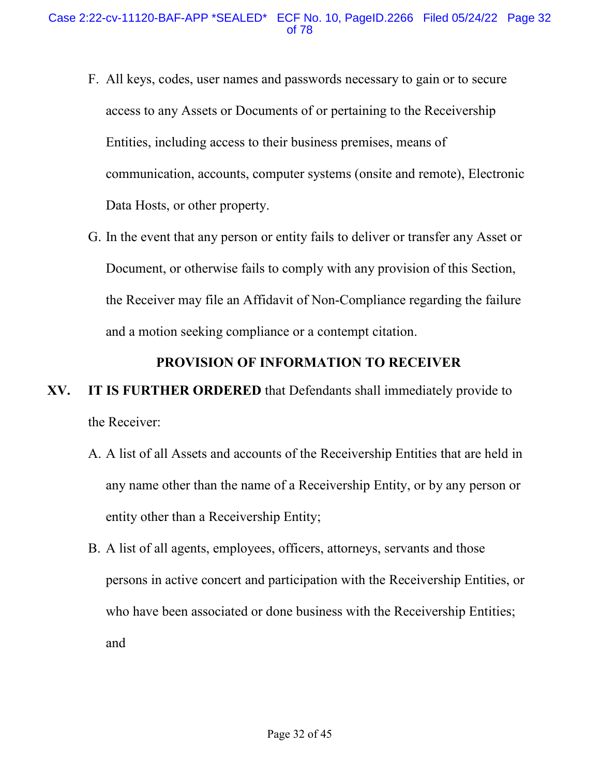- F. All keys, codes, user names and passwords necessary to gain or to secure access to any Assets or Documents of or pertaining to the Receivership Entities, including access to their business premises, means of communication, accounts, computer systems (onsite and remote), Electronic Data Hosts, or other property.
- G. In the event that any person or entity fails to deliver or transfer any Asset or Document, or otherwise fails to comply with any provision of this Section, the Receiver may file an Affidavit of Non-Compliance regarding the failure and a motion seeking compliance or a contempt citation.

#### **PROVISION OF INFORMATION TO RECEIVER**

# **XV. IT IS FURTHER ORDERED** that Defendants shall immediately provide to the Receiver:

- A. A list of all Assets and accounts of the Receivership Entities that are held in any name other than the name of a Receivership Entity, or by any person or entity other than a Receivership Entity;
- B. A list of all agents, employees, officers, attorneys, servants and those persons in active concert and participation with the Receivership Entities, or who have been associated or done business with the Receivership Entities; and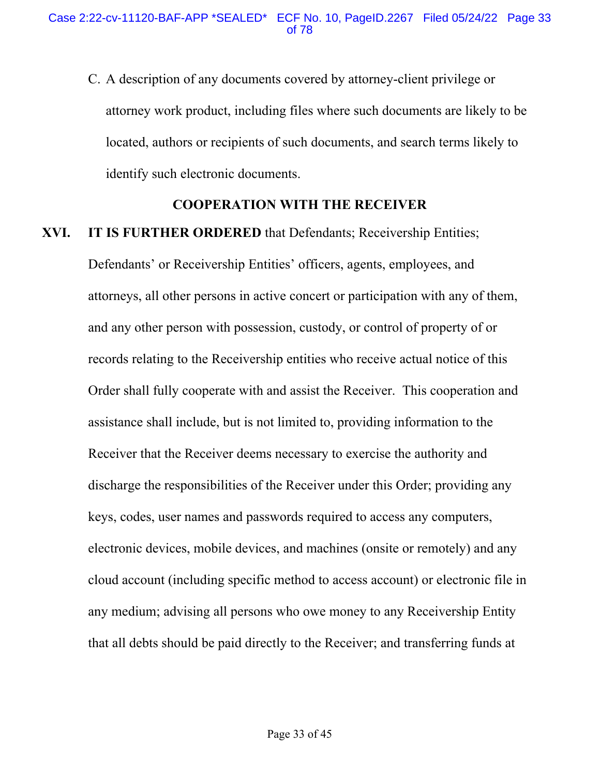C. A description of any documents covered by attorney-client privilege or attorney work product, including files where such documents are likely to be located, authors or recipients of such documents, and search terms likely to identify such electronic documents.

#### **COOPERATION WITH THE RECEIVER**

# **XVI. IT IS FURTHER ORDERED** that Defendants; Receivership Entities;

Defendants' or Receivership Entities' officers, agents, employees, and attorneys, all other persons in active concert or participation with any of them, and any other person with possession, custody, or control of property of or records relating to the Receivership entities who receive actual notice of this Order shall fully cooperate with and assist the Receiver. This cooperation and assistance shall include, but is not limited to, providing information to the Receiver that the Receiver deems necessary to exercise the authority and discharge the responsibilities of the Receiver under this Order; providing any keys, codes, user names and passwords required to access any computers, electronic devices, mobile devices, and machines (onsite or remotely) and any cloud account (including specific method to access account) or electronic file in any medium; advising all persons who owe money to any Receivership Entity that all debts should be paid directly to the Receiver; and transferring funds at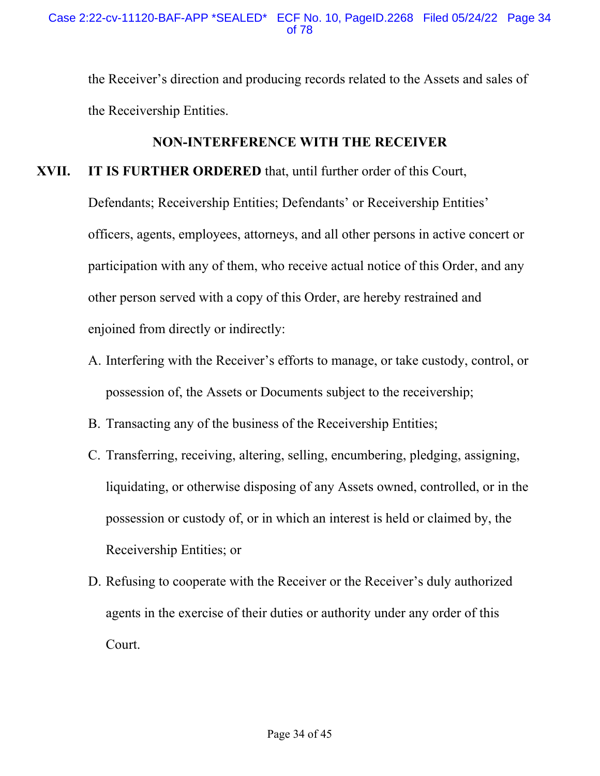the Receiver's direction and producing records related to the Assets and sales of the Receivership Entities.

# **NON-INTERFERENCE WITH THE RECEIVER**

# **XVII. IT IS FURTHER ORDERED** that, until further order of this Court,

Defendants; Receivership Entities; Defendants' or Receivership Entities' officers, agents, employees, attorneys, and all other persons in active concert or participation with any of them, who receive actual notice of this Order, and any other person served with a copy of this Order, are hereby restrained and enjoined from directly or indirectly:

- A. Interfering with the Receiver's efforts to manage, or take custody, control, or possession of, the Assets or Documents subject to the receivership;
- B. Transacting any of the business of the Receivership Entities;
- C. Transferring, receiving, altering, selling, encumbering, pledging, assigning, liquidating, or otherwise disposing of any Assets owned, controlled, or in the possession or custody of, or in which an interest is held or claimed by, the Receivership Entities; or
- D. Refusing to cooperate with the Receiver or the Receiver's duly authorized agents in the exercise of their duties or authority under any order of this Court.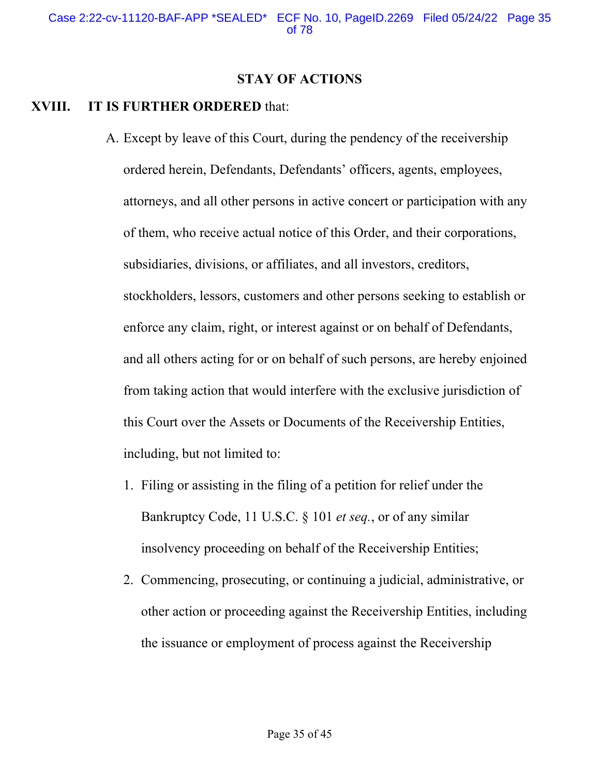#### **STAY OF ACTIONS**

# **XVIII. IT IS FURTHER ORDERED** that:

- A. Except by leave of this Court, during the pendency of the receivership ordered herein, Defendants, Defendants' officers, agents, employees, attorneys, and all other persons in active concert or participation with any of them, who receive actual notice of this Order, and their corporations, subsidiaries, divisions, or affiliates, and all investors, creditors, stockholders, lessors, customers and other persons seeking to establish or enforce any claim, right, or interest against or on behalf of Defendants, and all others acting for or on behalf of such persons, are hereby enjoined from taking action that would interfere with the exclusive jurisdiction of this Court over the Assets or Documents of the Receivership Entities, including, but not limited to:
	- 1. Filing or assisting in the filing of a petition for relief under the Bankruptcy Code, 11 U.S.C. § 101 *et seq.*, or of any similar insolvency proceeding on behalf of the Receivership Entities;
	- 2. Commencing, prosecuting, or continuing a judicial, administrative, or other action or proceeding against the Receivership Entities, including the issuance or employment of process against the Receivership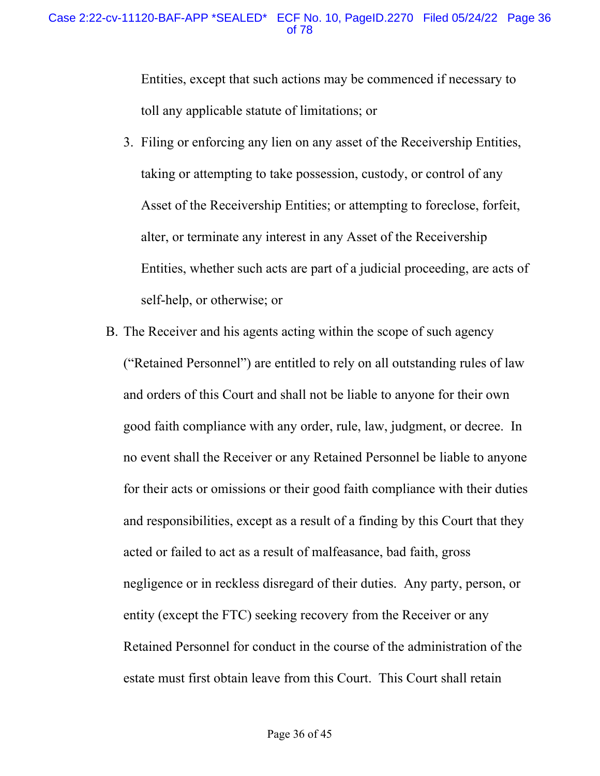Entities, except that such actions may be commenced if necessary to toll any applicable statute of limitations; or

- 3. Filing or enforcing any lien on any asset of the Receivership Entities, taking or attempting to take possession, custody, or control of any Asset of the Receivership Entities; or attempting to foreclose, forfeit, alter, or terminate any interest in any Asset of the Receivership Entities, whether such acts are part of a judicial proceeding, are acts of self-help, or otherwise; or
- B. The Receiver and his agents acting within the scope of such agency ("Retained Personnel") are entitled to rely on all outstanding rules of law and orders of this Court and shall not be liable to anyone for their own good faith compliance with any order, rule, law, judgment, or decree. In no event shall the Receiver or any Retained Personnel be liable to anyone for their acts or omissions or their good faith compliance with their duties and responsibilities, except as a result of a finding by this Court that they acted or failed to act as a result of malfeasance, bad faith, gross negligence or in reckless disregard of their duties. Any party, person, or entity (except the FTC) seeking recovery from the Receiver or any Retained Personnel for conduct in the course of the administration of the estate must first obtain leave from this Court. This Court shall retain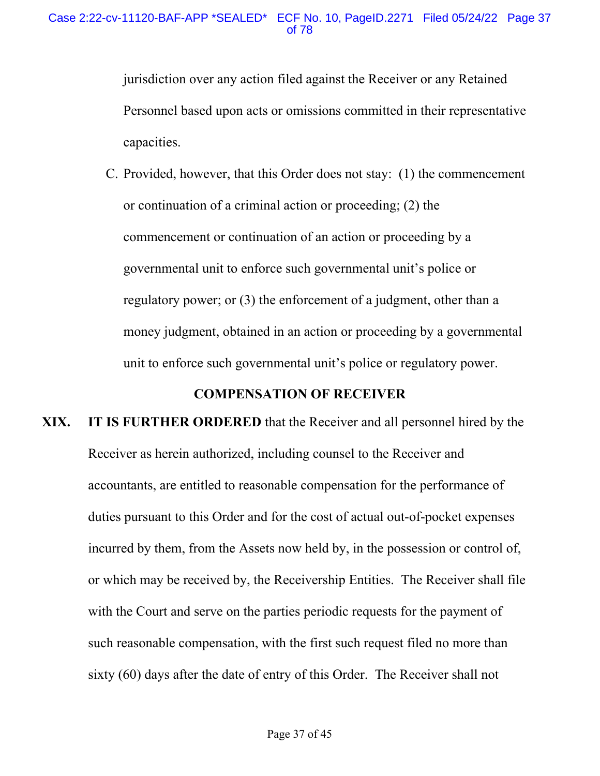jurisdiction over any action filed against the Receiver or any Retained Personnel based upon acts or omissions committed in their representative capacities.

C. Provided, however, that this Order does not stay: (1) the commencement or continuation of a criminal action or proceeding; (2) the commencement or continuation of an action or proceeding by a governmental unit to enforce such governmental unit's police or regulatory power; or (3) the enforcement of a judgment, other than a money judgment, obtained in an action or proceeding by a governmental unit to enforce such governmental unit's police or regulatory power.

### **COMPENSATION OF RECEIVER**

## **XIX. IT IS FURTHER ORDERED** that the Receiver and all personnel hired by the Receiver as herein authorized, including counsel to the Receiver and accountants, are entitled to reasonable compensation for the performance of duties pursuant to this Order and for the cost of actual out-of-pocket expenses incurred by them, from the Assets now held by, in the possession or control of, or which may be received by, the Receivership Entities. The Receiver shall file with the Court and serve on the parties periodic requests for the payment of such reasonable compensation, with the first such request filed no more than sixty (60) days after the date of entry of this Order. The Receiver shall not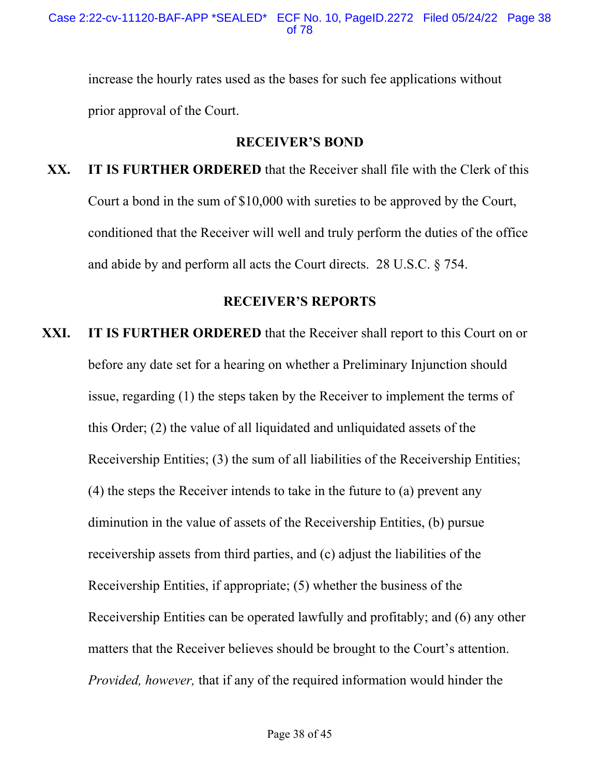increase the hourly rates used as the bases for such fee applications without prior approval of the Court.

### **RECEIVER'S BOND**

**XX. IT IS FURTHER ORDERED** that the Receiver shall file with the Clerk of this Court a bond in the sum of \$10,000 with sureties to be approved by the Court, conditioned that the Receiver will well and truly perform the duties of the office and abide by and perform all acts the Court directs. 28 U.S.C. § 754.

#### **RECEIVER'S REPORTS**

**XXI. IT IS FURTHER ORDERED** that the Receiver shall report to this Court on or before any date set for a hearing on whether a Preliminary Injunction should issue, regarding (1) the steps taken by the Receiver to implement the terms of this Order; (2) the value of all liquidated and unliquidated assets of the Receivership Entities; (3) the sum of all liabilities of the Receivership Entities; (4) the steps the Receiver intends to take in the future to (a) prevent any diminution in the value of assets of the Receivership Entities, (b) pursue receivership assets from third parties, and (c) adjust the liabilities of the Receivership Entities, if appropriate; (5) whether the business of the Receivership Entities can be operated lawfully and profitably; and (6) any other matters that the Receiver believes should be brought to the Court's attention. *Provided, however,* that if any of the required information would hinder the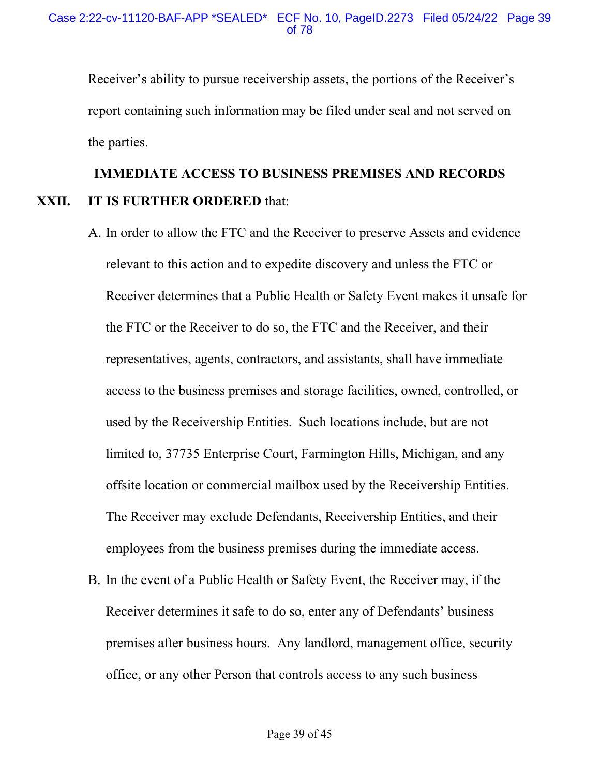Receiver's ability to pursue receivership assets, the portions of the Receiver's report containing such information may be filed under seal and not served on the parties.

## **IMMEDIATE ACCESS TO BUSINESS PREMISES AND RECORDS XXII. IT IS FURTHER ORDERED** that:

- A. In order to allow the FTC and the Receiver to preserve Assets and evidence relevant to this action and to expedite discovery and unless the FTC or Receiver determines that a Public Health or Safety Event makes it unsafe for the FTC or the Receiver to do so, the FTC and the Receiver, and their representatives, agents, contractors, and assistants, shall have immediate access to the business premises and storage facilities, owned, controlled, or used by the Receivership Entities. Such locations include, but are not limited to, 37735 Enterprise Court, Farmington Hills, Michigan, and any offsite location or commercial mailbox used by the Receivership Entities. The Receiver may exclude Defendants, Receivership Entities, and their employees from the business premises during the immediate access.
- B. In the event of a Public Health or Safety Event, the Receiver may, if the Receiver determines it safe to do so, enter any of Defendants' business premises after business hours. Any landlord, management office, security office, or any other Person that controls access to any such business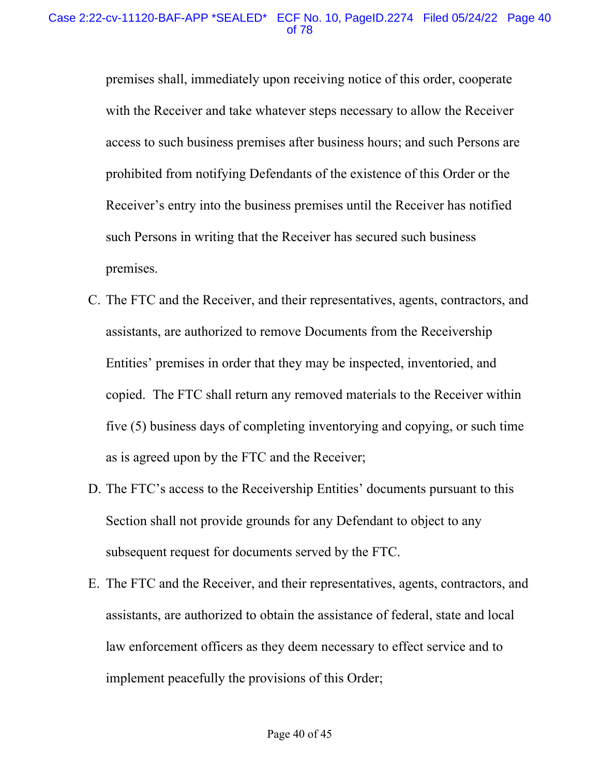premises shall, immediately upon receiving notice of this order, cooperate with the Receiver and take whatever steps necessary to allow the Receiver access to such business premises after business hours; and such Persons are prohibited from notifying Defendants of the existence of this Order or the Receiver's entry into the business premises until the Receiver has notified such Persons in writing that the Receiver has secured such business premises.

- C. The FTC and the Receiver, and their representatives, agents, contractors, and assistants, are authorized to remove Documents from the Receivership Entities' premises in order that they may be inspected, inventoried, and copied. The FTC shall return any removed materials to the Receiver within five (5) business days of completing inventorying and copying, or such time as is agreed upon by the FTC and the Receiver;
- D. The FTC's access to the Receivership Entities' documents pursuant to this Section shall not provide grounds for any Defendant to object to any subsequent request for documents served by the FTC.
- E. The FTC and the Receiver, and their representatives, agents, contractors, and assistants, are authorized to obtain the assistance of federal, state and local law enforcement officers as they deem necessary to effect service and to implement peacefully the provisions of this Order;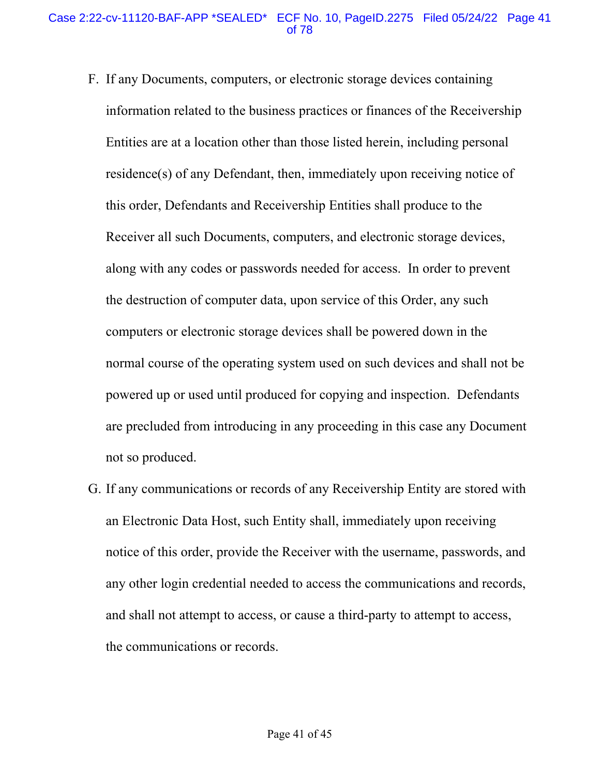- F. If any Documents, computers, or electronic storage devices containing information related to the business practices or finances of the Receivership Entities are at a location other than those listed herein, including personal residence(s) of any Defendant, then, immediately upon receiving notice of this order, Defendants and Receivership Entities shall produce to the Receiver all such Documents, computers, and electronic storage devices, along with any codes or passwords needed for access. In order to prevent the destruction of computer data, upon service of this Order, any such computers or electronic storage devices shall be powered down in the normal course of the operating system used on such devices and shall not be powered up or used until produced for copying and inspection. Defendants are precluded from introducing in any proceeding in this case any Document not so produced.
- G. If any communications or records of any Receivership Entity are stored with an Electronic Data Host, such Entity shall, immediately upon receiving notice of this order, provide the Receiver with the username, passwords, and any other login credential needed to access the communications and records, and shall not attempt to access, or cause a third-party to attempt to access, the communications or records.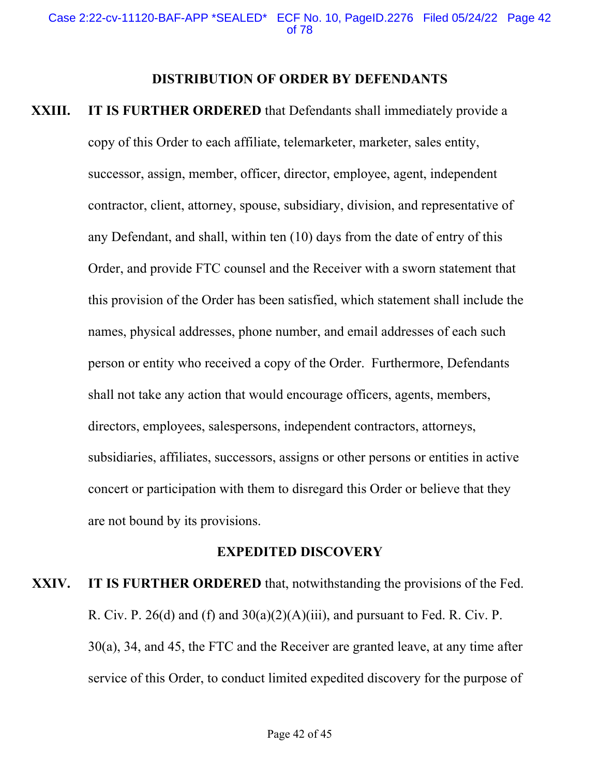#### **DISTRIBUTION OF ORDER BY DEFENDANTS**

**XXIII.** IT IS FURTHER ORDERED that Defendants shall immediately provide a copy of this Order to each affiliate, telemarketer, marketer, sales entity, successor, assign, member, officer, director, employee, agent, independent contractor, client, attorney, spouse, subsidiary, division, and representative of any Defendant, and shall, within ten (10) days from the date of entry of this Order, and provide FTC counsel and the Receiver with a sworn statement that this provision of the Order has been satisfied, which statement shall include the names, physical addresses, phone number, and email addresses of each such person or entity who received a copy of the Order. Furthermore, Defendants shall not take any action that would encourage officers, agents, members, directors, employees, salespersons, independent contractors, attorneys, subsidiaries, affiliates, successors, assigns or other persons or entities in active concert or participation with them to disregard this Order or believe that they are not bound by its provisions.

#### **EXPEDITED DISCOVERY**

**XXIV. IT IS FURTHER ORDERED** that, notwithstanding the provisions of the Fed. R. Civ. P. 26(d) and (f) and  $30(a)(2)(A)(iii)$ , and pursuant to Fed. R. Civ. P. 30(a), 34, and 45, the FTC and the Receiver are granted leave, at any time after service of this Order, to conduct limited expedited discovery for the purpose of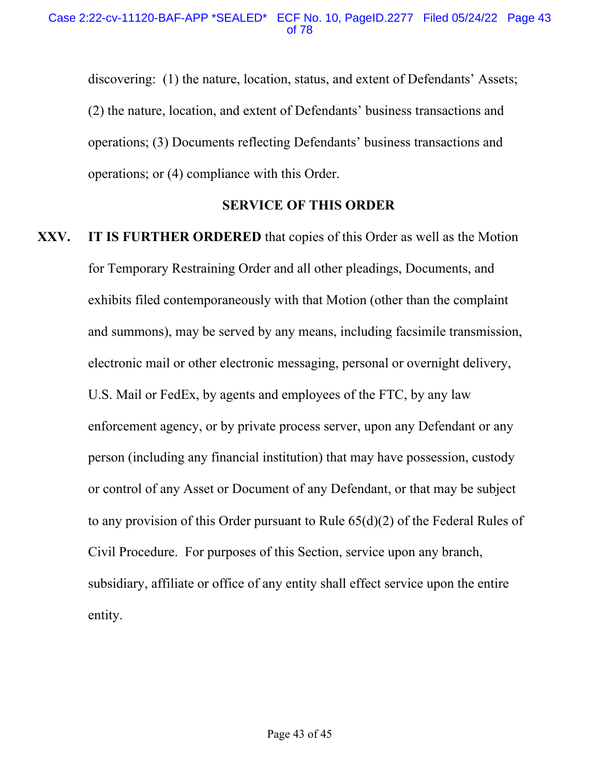discovering: (1) the nature, location, status, and extent of Defendants' Assets; (2) the nature, location, and extent of Defendants' business transactions and operations; (3) Documents reflecting Defendants' business transactions and operations; or (4) compliance with this Order.

## **SERVICE OF THIS ORDER**

**XXV. IT IS FURTHER ORDERED** that copies of this Order as well as the Motion for Temporary Restraining Order and all other pleadings, Documents, and exhibits filed contemporaneously with that Motion (other than the complaint and summons), may be served by any means, including facsimile transmission, electronic mail or other electronic messaging, personal or overnight delivery, U.S. Mail or FedEx, by agents and employees of the FTC, by any law enforcement agency, or by private process server, upon any Defendant or any person (including any financial institution) that may have possession, custody or control of any Asset or Document of any Defendant, or that may be subject to any provision of this Order pursuant to Rule 65(d)(2) of the Federal Rules of Civil Procedure. For purposes of this Section, service upon any branch, subsidiary, affiliate or office of any entity shall effect service upon the entire entity.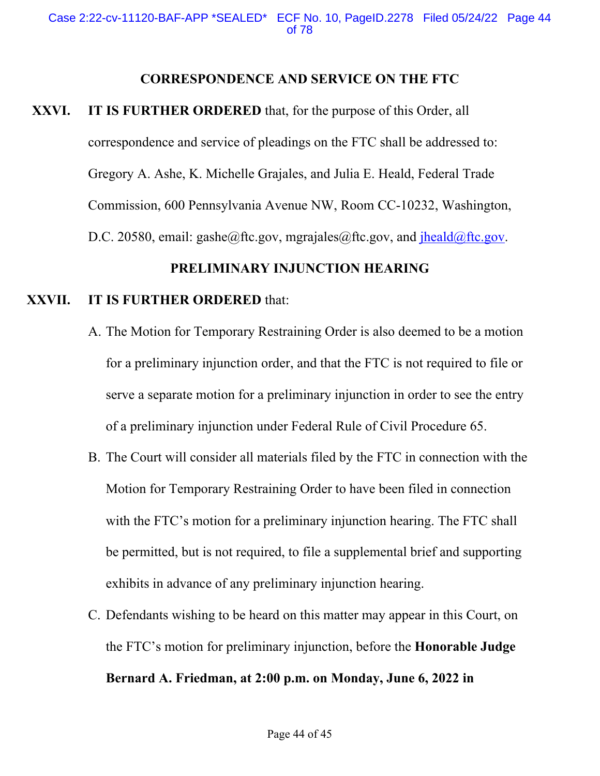#### **CORRESPONDENCE AND SERVICE ON THE FTC**

**XXVI. IT IS FURTHER ORDERED** that, for the purpose of this Order, all correspondence and service of pleadings on the FTC shall be addressed to: Gregory A. Ashe, K. Michelle Grajales, and Julia E. Heald, Federal Trade Commission, 600 Pennsylvania Avenue NW, Room CC-10232, Washington, D.C. 20580, email: [gashe@ftc.gov,](mailto:gashe@ftc.gov) [mgrajales@ftc.gov](mailto:mgrajales@ftc.gov), and [jheald@ftc.gov](mailto:jheald@ftc.gov).

## **PRELIMINARY INJUNCTION HEARING**

#### **XXVII. IT IS FURTHER ORDERED** that:

- A. The Motion for Temporary Restraining Order is also deemed to be a motion for a preliminary injunction order, and that the FTC is not required to file or serve a separate motion for a preliminary injunction in order to see the entry of a preliminary injunction under Federal Rule of Civil Procedure 65.
- B. The Court will consider all materials filed by the FTC in connection with the Motion for Temporary Restraining Order to have been filed in connection with the FTC's motion for a preliminary injunction hearing. The FTC shall be permitted, but is not required, to file a supplemental brief and supporting exhibits in advance of any preliminary injunction hearing.
- C. Defendants wishing to be heard on this matter may appear in this Court, on the FTC's motion for preliminary injunction, before the **Honorable Judge**

## **Bernard A. Friedman, at 2:00 p.m. on Monday, June 6, 2022 in**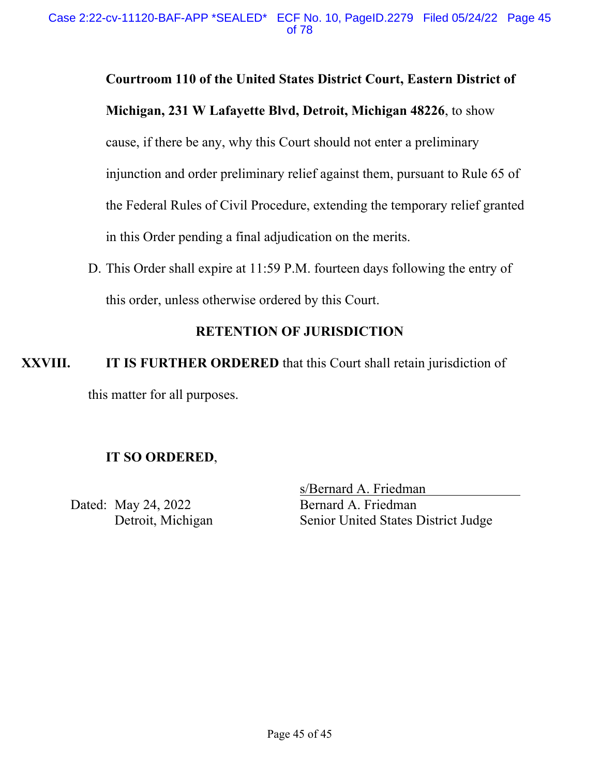## **Courtroom 110 of the United States District Court, Eastern District of**

**Michigan, 231 W Lafayette Blvd, Detroit, Michigan 48226**, to show

cause, if there be any, why this Court should not enter a preliminary injunction and order preliminary relief against them, pursuant to Rule 65 of the Federal Rules of Civil Procedure, extending the temporary relief granted in this Order pending a final adjudication on the merits.

D. This Order shall expire at 11:59 P.M. fourteen days following the entry of this order, unless otherwise ordered by this Court.

## **RETENTION OF JURISDICTION**

**XXVIII.** IT IS FURTHER ORDERED that this Court shall retain jurisdiction of this matter for all purposes.

#### **IT SO ORDERED**,

Dated: May 24, 2022 Bernard A. Friedman

s/Bernard A. Friedman Detroit, Michigan Senior United States District Judge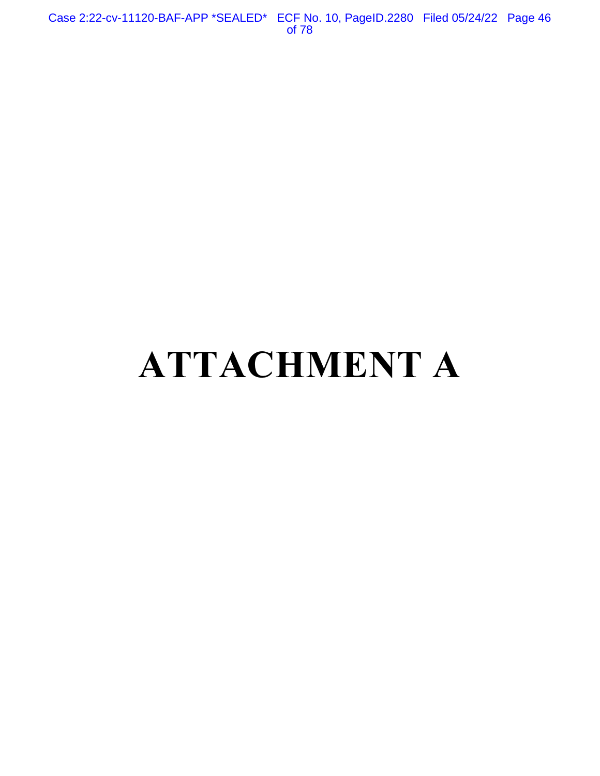Case 2:22-cv-11120-BAF-APP \*SEALED\* ECF No. 10, PageID.2280 Filed 05/24/22 Page 46 of 78

# **ATTACHMENT A**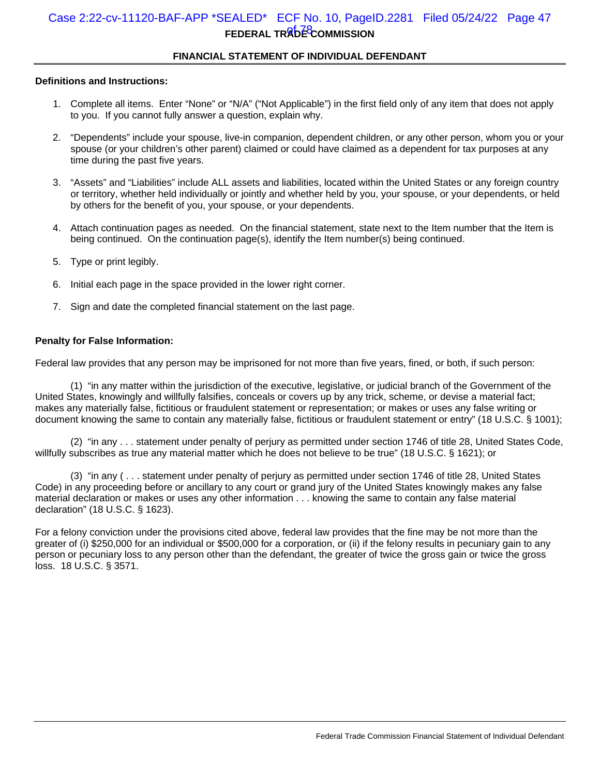### **FEDERAL TRADE COMMISSION** Case 2:22-cv-11120-BAF-APP \*SEALED\* ECF No. 10, PageID.2281 Filed 05/24/22 Page 47

#### **FINANCIAL STATEMENT OF INDIVIDUAL DEFENDANT**

#### **Definitions and Instructions:**

- 1. Complete all items. Enter "None" or "N/A" ("Not Applicable") in the first field only of any item that does not apply to you. If you cannot fully answer a question, explain why.
- 2. "Dependents" include your spouse, live-in companion, dependent children, or any other person, whom you or your spouse (or your children's other parent) claimed or could have claimed as a dependent for tax purposes at any time during the past five years.
- 3. "Assets" and "Liabilities" include ALL assets and liabilities, located within the United States or any foreign country or territory, whether held individually or jointly and whether held by you, your spouse, or your dependents, or held by others for the benefit of you, your spouse, or your dependents.
- 4. Attach continuation pages as needed. On the financial statement, state next to the Item number that the Item is being continued. On the continuation page(s), identify the Item number(s) being continued.
- 5. Type or print legibly.
- 6. Initial each page in the space provided in the lower right corner.
- 7. Sign and date the completed financial statement on the last page.

#### **Penalty for False Information:**

Federal law provides that any person may be imprisoned for not more than five years, fined, or both, if such person:

(1) "in any matter within the jurisdiction of the executive, legislative, or judicial branch of the Government of the United States, knowingly and willfully falsifies, conceals or covers up by any trick, scheme, or devise a material fact; makes any materially false, fictitious or fraudulent statement or representation; or makes or uses any false writing or document knowing the same to contain any materially false, fictitious or fraudulent statement or entry" (18 U.S.C. § 1001);

(2) "in any . . . statement under penalty of perjury as permitted under section 1746 of title 28, United States Code, willfully subscribes as true any material matter which he does not believe to be true" (18 U.S.C. § 1621); or

(3) "in any ( . . . statement under penalty of perjury as permitted under section 1746 of title 28, United States Code) in any proceeding before or ancillary to any court or grand jury of the United States knowingly makes any false material declaration or makes or uses any other information . . . knowing the same to contain any false material declaration" (18 U.S.C. § 1623).

For a felony conviction under the provisions cited above, federal law provides that the fine may be not more than the greater of (i) \$250,000 for an individual or \$500,000 for a corporation, or (ii) if the felony results in pecuniary gain to any person or pecuniary loss to any person other than the defendant, the greater of twice the gross gain or twice the gross loss. 18 U.S.C. § 3571.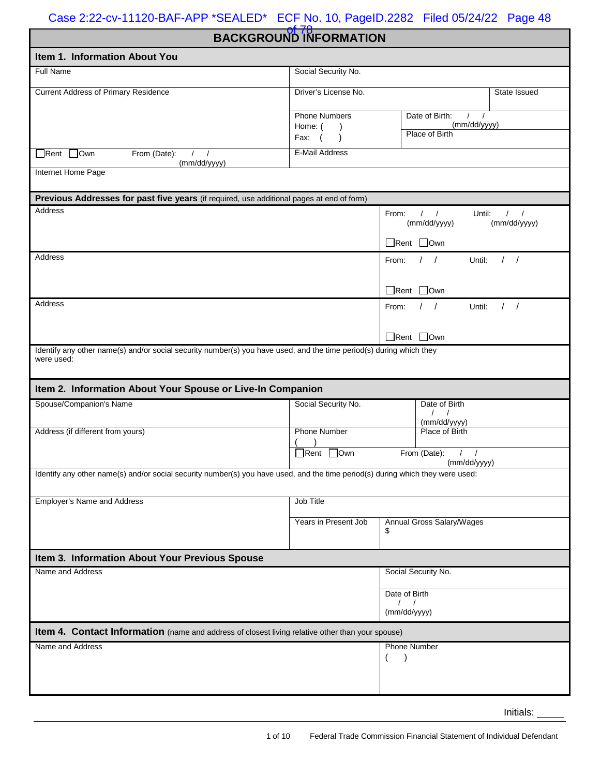of 78 **BACKGROUND INFORMATION** 

| Item 1. Information About You                                                                                                     |                        |                                                  |                            |  |  |  |
|-----------------------------------------------------------------------------------------------------------------------------------|------------------------|--------------------------------------------------|----------------------------|--|--|--|
| <b>Full Name</b>                                                                                                                  | Social Security No.    |                                                  |                            |  |  |  |
| <b>Current Address of Primary Residence</b>                                                                                       | Driver's License No.   |                                                  | State Issued               |  |  |  |
|                                                                                                                                   | <b>Phone Numbers</b>   | Date of Birth:<br>$\prime$                       |                            |  |  |  |
|                                                                                                                                   | Home: (                | (mm/dd/yyyy)<br>Place of Birth                   |                            |  |  |  |
|                                                                                                                                   | Fax:                   |                                                  |                            |  |  |  |
| $\Box$ Rent $\Box$ Own<br>From (Date):<br>$\prime$<br>$\prime$<br>(mm/dd/yyyy)                                                    | <b>E-Mail Address</b>  |                                                  |                            |  |  |  |
| Internet Home Page                                                                                                                |                        |                                                  |                            |  |  |  |
| Previous Addresses for past five years (if required, use additional pages at end of form)                                         |                        |                                                  |                            |  |  |  |
| Address                                                                                                                           |                        | $\frac{1}{2}$<br>From:<br>Until:<br>(mm/dd/yyyy) | $\sqrt{ }$<br>(mm/dd/yyyy) |  |  |  |
|                                                                                                                                   |                        | $\Box$ Rent $\Box$ Own                           |                            |  |  |  |
| Address                                                                                                                           |                        | $\left  \right $<br>Until:<br>From:              | 1 <sup>1</sup>             |  |  |  |
|                                                                                                                                   |                        | $\Box$ Rent $\Box$ Own                           |                            |  |  |  |
| <b>Address</b>                                                                                                                    |                        | $\left  \quad \right $<br>Until:<br>From:        | $\frac{1}{2}$              |  |  |  |
|                                                                                                                                   |                        | Rent Own                                         |                            |  |  |  |
| Identify any other name(s) and/or social security number(s) you have used, and the time period(s) during which they<br>were used: |                        |                                                  |                            |  |  |  |
| Item 2. Information About Your Spouse or Live-In Companion                                                                        |                        |                                                  |                            |  |  |  |
| Spouse/Companion's Name                                                                                                           | Social Security No.    | Date of Birth<br>$\left  \right $                |                            |  |  |  |
| Address (if different from yours)                                                                                                 | <b>Phone Number</b>    | (mm/dd/yyyy)<br>Place of Birth                   |                            |  |  |  |
|                                                                                                                                   |                        |                                                  |                            |  |  |  |
|                                                                                                                                   | $\Box$ Rent $\Box$ Own | From (Date):<br>$\left  \right $<br>(mm/dd/yyyy) |                            |  |  |  |
| Identify any other name(s) and/or social security number(s) you have used, and the time period(s) during which they were used:    |                        |                                                  |                            |  |  |  |
| Employer's Name and Address                                                                                                       | Job Title              |                                                  |                            |  |  |  |
|                                                                                                                                   | Years in Present Job   | Annual Gross Salary/Wages                        |                            |  |  |  |
|                                                                                                                                   |                        | \$                                               |                            |  |  |  |
| Item 3. Information About Your Previous Spouse                                                                                    |                        |                                                  |                            |  |  |  |
| Name and Address                                                                                                                  |                        | Social Security No.                              |                            |  |  |  |
|                                                                                                                                   |                        | Date of Birth                                    |                            |  |  |  |
|                                                                                                                                   |                        | $\sqrt{2}$<br>$\sqrt{ }$<br>(mm/dd/yyyy)         |                            |  |  |  |
| Item 4. Contact Information (name and address of closest living relative other than your spouse)                                  |                        |                                                  |                            |  |  |  |
| Name and Address                                                                                                                  |                        | <b>Phone Number</b>                              |                            |  |  |  |
|                                                                                                                                   |                        |                                                  |                            |  |  |  |
|                                                                                                                                   |                        |                                                  |                            |  |  |  |
|                                                                                                                                   |                        |                                                  |                            |  |  |  |

 Initials: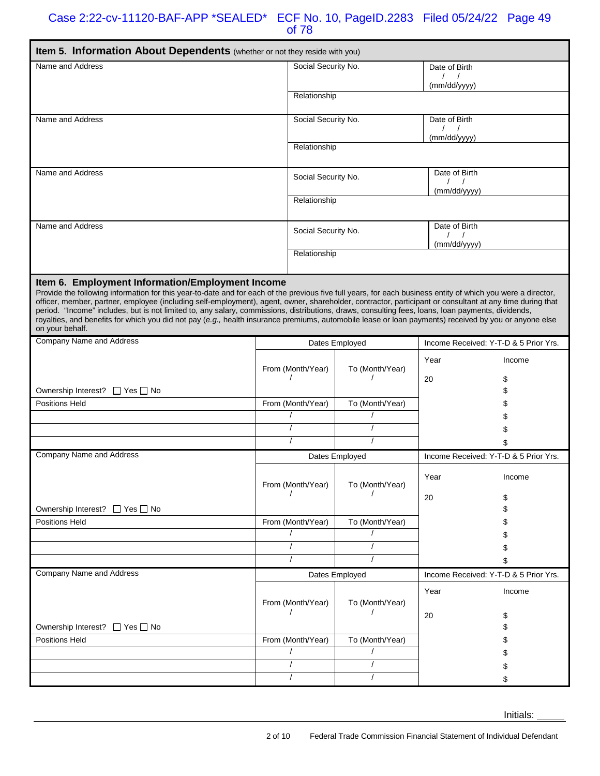| Item 5. Information About Dependents (whether or not they reside with you)                                                                                                                                                                                                                                                                                                                                                                                                                                                                                                                                                                                                                                                                 |                |                     |                 |                                        |          |
|--------------------------------------------------------------------------------------------------------------------------------------------------------------------------------------------------------------------------------------------------------------------------------------------------------------------------------------------------------------------------------------------------------------------------------------------------------------------------------------------------------------------------------------------------------------------------------------------------------------------------------------------------------------------------------------------------------------------------------------------|----------------|---------------------|-----------------|----------------------------------------|----------|
| Name and Address                                                                                                                                                                                                                                                                                                                                                                                                                                                                                                                                                                                                                                                                                                                           |                | Social Security No. |                 | Date of Birth<br>$\left  \right $      |          |
|                                                                                                                                                                                                                                                                                                                                                                                                                                                                                                                                                                                                                                                                                                                                            |                |                     |                 | (mm/dd/yyyy)                           |          |
|                                                                                                                                                                                                                                                                                                                                                                                                                                                                                                                                                                                                                                                                                                                                            |                | Relationship        |                 |                                        |          |
| Name and Address                                                                                                                                                                                                                                                                                                                                                                                                                                                                                                                                                                                                                                                                                                                           |                | Social Security No. |                 | Date of Birth<br>$\left  \right $      |          |
|                                                                                                                                                                                                                                                                                                                                                                                                                                                                                                                                                                                                                                                                                                                                            |                |                     |                 | (mm/dd/yyyy)                           |          |
|                                                                                                                                                                                                                                                                                                                                                                                                                                                                                                                                                                                                                                                                                                                                            |                | Relationship        |                 |                                        |          |
| Name and Address                                                                                                                                                                                                                                                                                                                                                                                                                                                                                                                                                                                                                                                                                                                           |                | Social Security No. |                 | Date of Birth                          |          |
|                                                                                                                                                                                                                                                                                                                                                                                                                                                                                                                                                                                                                                                                                                                                            |                |                     |                 | $\left  \right $<br>(mm/dd/yyyy)       |          |
|                                                                                                                                                                                                                                                                                                                                                                                                                                                                                                                                                                                                                                                                                                                                            |                | Relationship        |                 |                                        |          |
| Name and Address                                                                                                                                                                                                                                                                                                                                                                                                                                                                                                                                                                                                                                                                                                                           |                | Social Security No. |                 | Date of Birth                          |          |
|                                                                                                                                                                                                                                                                                                                                                                                                                                                                                                                                                                                                                                                                                                                                            |                |                     |                 | $\left  \quad \right $<br>(mm/dd/yyyy) |          |
|                                                                                                                                                                                                                                                                                                                                                                                                                                                                                                                                                                                                                                                                                                                                            |                | Relationship        |                 |                                        |          |
| Item 6. Employment Information/Employment Income<br>Provide the following information for this year-to-date and for each of the previous five full years, for each business entity of which you were a director,<br>officer, member, partner, employee (including self-employment), agent, owner, shareholder, contractor, participant or consultant at any time during that<br>period. "Income" includes, but is not limited to, any salary, commissions, distributions, draws, consulting fees, loans, loan payments, dividends,<br>royalties, and benefits for which you did not pay (e.g., health insurance premiums, automobile lease or loan payments) received by you or anyone else<br>on your behalf.<br>Company Name and Address |                |                     |                 |                                        |          |
|                                                                                                                                                                                                                                                                                                                                                                                                                                                                                                                                                                                                                                                                                                                                            |                |                     | Dates Employed  | Income Received: Y-T-D & 5 Prior Yrs.  |          |
|                                                                                                                                                                                                                                                                                                                                                                                                                                                                                                                                                                                                                                                                                                                                            |                | From (Month/Year)   | To (Month/Year) | Year                                   | Income   |
|                                                                                                                                                                                                                                                                                                                                                                                                                                                                                                                                                                                                                                                                                                                                            |                |                     |                 | 20                                     | \$       |
| Ownership Interest? □ Yes □ No<br>Positions Held                                                                                                                                                                                                                                                                                                                                                                                                                                                                                                                                                                                                                                                                                           |                | From (Month/Year)   | To (Month/Year) |                                        | \$<br>\$ |
|                                                                                                                                                                                                                                                                                                                                                                                                                                                                                                                                                                                                                                                                                                                                            |                |                     |                 |                                        | \$       |
|                                                                                                                                                                                                                                                                                                                                                                                                                                                                                                                                                                                                                                                                                                                                            |                |                     |                 |                                        | \$       |
|                                                                                                                                                                                                                                                                                                                                                                                                                                                                                                                                                                                                                                                                                                                                            |                |                     |                 |                                        |          |
| <b>Company Name and Address</b>                                                                                                                                                                                                                                                                                                                                                                                                                                                                                                                                                                                                                                                                                                            |                |                     | Dates Employed  | Income Received: Y-T-D & 5 Prior Yrs.  |          |
|                                                                                                                                                                                                                                                                                                                                                                                                                                                                                                                                                                                                                                                                                                                                            |                | From (Month/Year)   | To (Month/Year) | Year                                   | Income   |
|                                                                                                                                                                                                                                                                                                                                                                                                                                                                                                                                                                                                                                                                                                                                            |                |                     |                 | 20                                     | \$       |
| Ownership Interest? □ Yes □ No                                                                                                                                                                                                                                                                                                                                                                                                                                                                                                                                                                                                                                                                                                             |                |                     |                 |                                        |          |
| Positions Held                                                                                                                                                                                                                                                                                                                                                                                                                                                                                                                                                                                                                                                                                                                             |                | From (Month/Year)   | To (Month/Year) |                                        |          |
|                                                                                                                                                                                                                                                                                                                                                                                                                                                                                                                                                                                                                                                                                                                                            |                |                     |                 |                                        |          |
|                                                                                                                                                                                                                                                                                                                                                                                                                                                                                                                                                                                                                                                                                                                                            |                |                     |                 |                                        |          |
| Company Name and Address                                                                                                                                                                                                                                                                                                                                                                                                                                                                                                                                                                                                                                                                                                                   | Dates Employed |                     |                 | Income Received: Y-T-D & 5 Prior Yrs.  |          |
|                                                                                                                                                                                                                                                                                                                                                                                                                                                                                                                                                                                                                                                                                                                                            |                |                     |                 | Year                                   | Income   |
|                                                                                                                                                                                                                                                                                                                                                                                                                                                                                                                                                                                                                                                                                                                                            |                | From (Month/Year)   | To (Month/Year) |                                        |          |
| Ownership Interest? □ Yes □ No                                                                                                                                                                                                                                                                                                                                                                                                                                                                                                                                                                                                                                                                                                             |                |                     |                 | 20                                     | \$       |
| Positions Held                                                                                                                                                                                                                                                                                                                                                                                                                                                                                                                                                                                                                                                                                                                             |                | From (Month/Year)   | To (Month/Year) |                                        |          |
|                                                                                                                                                                                                                                                                                                                                                                                                                                                                                                                                                                                                                                                                                                                                            |                |                     |                 |                                        |          |
|                                                                                                                                                                                                                                                                                                                                                                                                                                                                                                                                                                                                                                                                                                                                            |                |                     |                 |                                        |          |
|                                                                                                                                                                                                                                                                                                                                                                                                                                                                                                                                                                                                                                                                                                                                            |                |                     |                 |                                        | \$       |

Initials: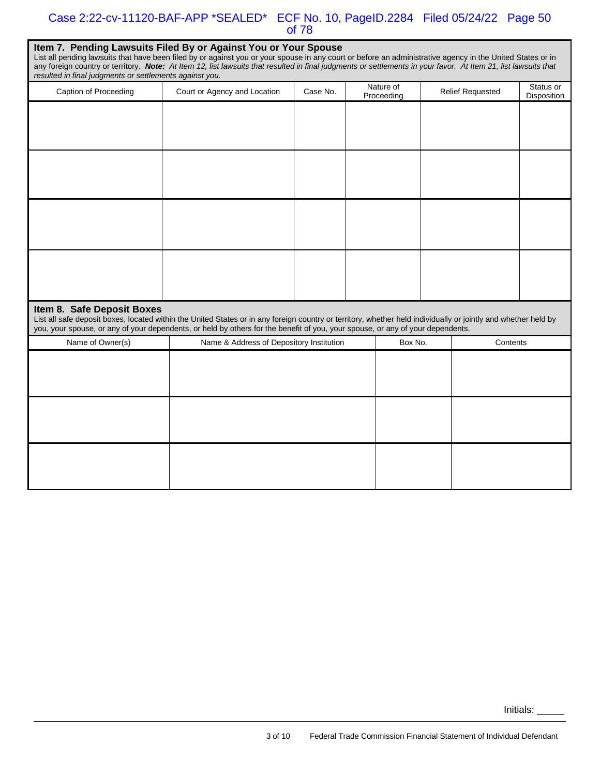#### Case 2:22-cv-11120-BAF-APP \*SEALED\* ECF No. 10, PageID.2284 Filed 05/24/22 Page 50 of 78

| Item 7. Pending Lawsuits Filed By or Against You or Your Spouse<br>List all pending lawsuits that have been filed by or against you or your spouse in any court or before an administrative agency in the United States or in<br>any foreign country or territory. Note: At Item 12, list lawsuits that resulted in final judgments or settlements in your favor. At Item 21, list lawsuits that<br>resulted in final judgments or settlements against you. |                                          |          |  |                         |  |                         |                          |  |  |  |  |
|-------------------------------------------------------------------------------------------------------------------------------------------------------------------------------------------------------------------------------------------------------------------------------------------------------------------------------------------------------------------------------------------------------------------------------------------------------------|------------------------------------------|----------|--|-------------------------|--|-------------------------|--------------------------|--|--|--|--|
| Caption of Proceeding                                                                                                                                                                                                                                                                                                                                                                                                                                       | Court or Agency and Location             | Case No. |  | Nature of<br>Proceeding |  | <b>Relief Requested</b> | Status or<br>Disposition |  |  |  |  |
|                                                                                                                                                                                                                                                                                                                                                                                                                                                             |                                          |          |  |                         |  |                         |                          |  |  |  |  |
|                                                                                                                                                                                                                                                                                                                                                                                                                                                             |                                          |          |  |                         |  |                         |                          |  |  |  |  |
|                                                                                                                                                                                                                                                                                                                                                                                                                                                             |                                          |          |  |                         |  |                         |                          |  |  |  |  |
|                                                                                                                                                                                                                                                                                                                                                                                                                                                             |                                          |          |  |                         |  |                         |                          |  |  |  |  |
| Item 8. Safe Deposit Boxes<br>List all safe deposit boxes, located within the United States or in any foreign country or territory, whether held individually or jointly and whether held by<br>you, your spouse, or any of your dependents, or held by others for the benefit of you, your spouse, or any of your dependents.                                                                                                                              |                                          |          |  |                         |  |                         |                          |  |  |  |  |
| Name of Owner(s)                                                                                                                                                                                                                                                                                                                                                                                                                                            | Name & Address of Depository Institution |          |  | Box No.                 |  | Contents                |                          |  |  |  |  |
|                                                                                                                                                                                                                                                                                                                                                                                                                                                             |                                          |          |  |                         |  |                         |                          |  |  |  |  |
|                                                                                                                                                                                                                                                                                                                                                                                                                                                             |                                          |          |  |                         |  |                         |                          |  |  |  |  |
|                                                                                                                                                                                                                                                                                                                                                                                                                                                             |                                          |          |  |                         |  |                         |                          |  |  |  |  |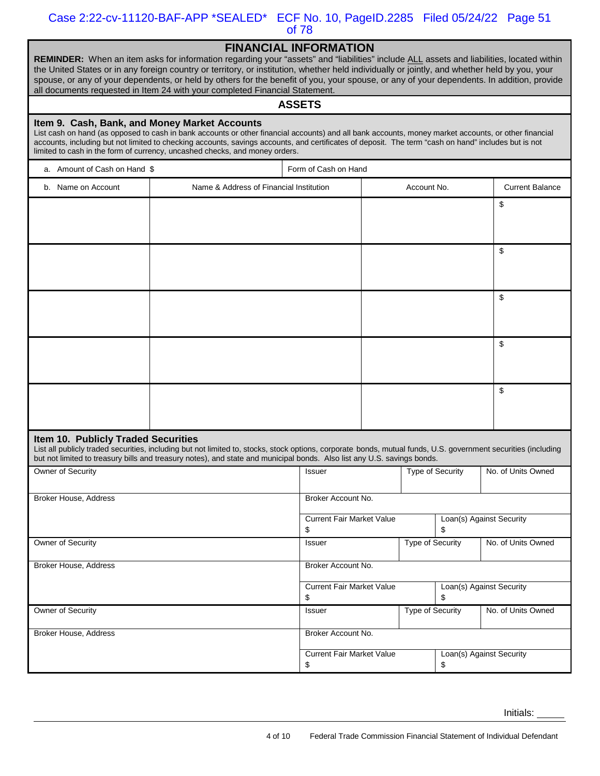Case 2:22-cv-11120-BAF-APP \*SEALED\* ECF No. 10, PageID.2285 Filed 05/24/22 Page 51 of 78

|--|

| <b>REMINDER:</b> When an item asks for information regarding your "assets" and "liabilities" include ALL assets and liabilities, located within |
|-------------------------------------------------------------------------------------------------------------------------------------------------|
| the United States or in any foreign country or territory, or institution, whether held individually or jointly, and whether held by you, your   |
| spouse, or any of your dependents, or held by others for the benefit of you, your spouse, or any of your dependents. In addition, provide       |
| all documents requested in Item 24 with your completed Financial Statement.                                                                     |
|                                                                                                                                                 |

#### **ASSETS**

#### **Item 9. Cash, Bank, and Money Market Accounts**

 accounts, including but not limited to checking accounts, savings accounts, and certificates of deposit. The term "cash on hand" includes but is not List cash on hand (as opposed to cash in bank accounts or other financial accounts) and all bank accounts, money market accounts, or other financial limited to cash in the form of currency, uncashed checks, and money orders.

| a. Amount of Cash on Hand \$        |                                                                                                                                                                                                                                                                                           | Form of Cash on Hand                   |             |                                |                                |                    |
|-------------------------------------|-------------------------------------------------------------------------------------------------------------------------------------------------------------------------------------------------------------------------------------------------------------------------------------------|----------------------------------------|-------------|--------------------------------|--------------------------------|--------------------|
| b. Name on Account                  | Name & Address of Financial Institution                                                                                                                                                                                                                                                   |                                        | Account No. |                                | <b>Current Balance</b>         |                    |
|                                     |                                                                                                                                                                                                                                                                                           |                                        |             |                                |                                | \$                 |
|                                     |                                                                                                                                                                                                                                                                                           |                                        |             |                                |                                |                    |
|                                     |                                                                                                                                                                                                                                                                                           |                                        |             |                                |                                |                    |
|                                     |                                                                                                                                                                                                                                                                                           |                                        |             |                                |                                | \$                 |
|                                     |                                                                                                                                                                                                                                                                                           |                                        |             |                                |                                |                    |
|                                     |                                                                                                                                                                                                                                                                                           |                                        |             |                                |                                | \$                 |
|                                     |                                                                                                                                                                                                                                                                                           |                                        |             |                                |                                |                    |
|                                     |                                                                                                                                                                                                                                                                                           |                                        |             |                                |                                |                    |
|                                     |                                                                                                                                                                                                                                                                                           |                                        |             |                                |                                | \$                 |
|                                     |                                                                                                                                                                                                                                                                                           |                                        |             |                                |                                |                    |
|                                     |                                                                                                                                                                                                                                                                                           |                                        |             |                                |                                | \$                 |
|                                     |                                                                                                                                                                                                                                                                                           |                                        |             |                                |                                |                    |
|                                     |                                                                                                                                                                                                                                                                                           |                                        |             |                                |                                |                    |
| Item 10. Publicly Traded Securities | List all publicly traded securities, including but not limited to, stocks, stock options, corporate bonds, mutual funds, U.S. government securities (including<br>but not limited to treasury bills and treasury notes), and state and municipal bonds. Also list any U.S. savings bonds. |                                        |             |                                |                                |                    |
| Owner of Security                   |                                                                                                                                                                                                                                                                                           | Issuer                                 |             |                                | Type of Security               | No. of Units Owned |
|                                     |                                                                                                                                                                                                                                                                                           |                                        |             |                                |                                |                    |
| <b>Broker House, Address</b>        |                                                                                                                                                                                                                                                                                           | Broker Account No.                     |             |                                |                                |                    |
|                                     |                                                                                                                                                                                                                                                                                           | <b>Current Fair Market Value</b><br>\$ |             | Loan(s) Against Security<br>\$ |                                |                    |
| Owner of Security                   |                                                                                                                                                                                                                                                                                           | Issuer                                 |             | <b>Type of Security</b>        |                                | No. of Units Owned |
|                                     |                                                                                                                                                                                                                                                                                           |                                        |             |                                |                                |                    |
| <b>Broker House, Address</b>        |                                                                                                                                                                                                                                                                                           | Broker Account No.                     |             |                                |                                |                    |
|                                     |                                                                                                                                                                                                                                                                                           | <b>Current Fair Market Value</b>       |             |                                | Loan(s) Against Security<br>\$ |                    |
| Owner of Security                   |                                                                                                                                                                                                                                                                                           | \$<br>Issuer                           |             | <b>Type of Security</b>        |                                | No. of Units Owned |
|                                     |                                                                                                                                                                                                                                                                                           |                                        |             |                                |                                |                    |
| Broker House, Address               |                                                                                                                                                                                                                                                                                           | Broker Account No.                     |             |                                |                                |                    |
|                                     |                                                                                                                                                                                                                                                                                           | <b>Current Fair Market Value</b><br>\$ |             |                                | Loan(s) Against Security<br>\$ |                    |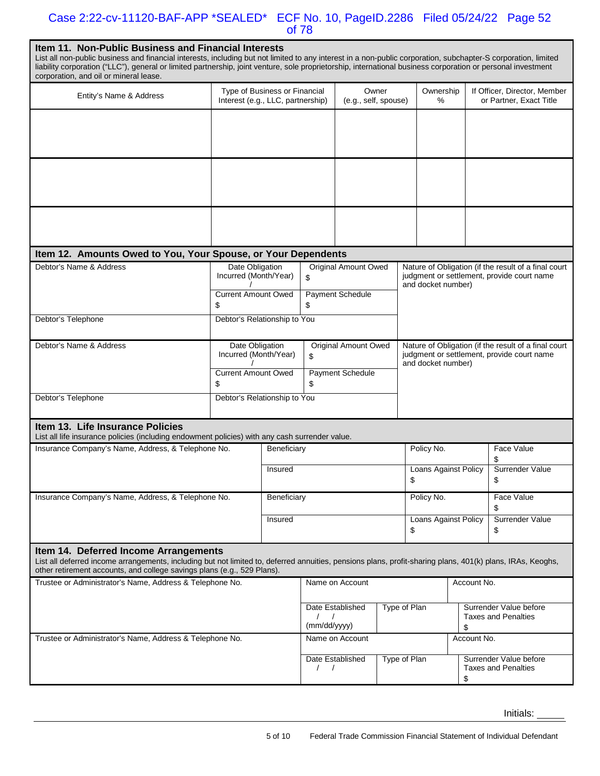#### Case 2:22-cv-11120-BAF-APP \*SEALED\* ECF No. 10, PageID.2286 Filed 05/24/22 Page 52 of 78

| <b>Item 11. Non-Public Business and Financial Interests</b><br>List all non-public business and financial interests, including but not limited to any interest in a non-public corporation, subchapter-S corporation, limited<br>liability corporation ("LLC"), general or limited partnership, joint venture, sole proprietorship, international business corporation or personal investment<br>corporation, and oil or mineral lease. |                                                                              |                               |                                                       |                               |                                                                                                                          |                                                                                                                          |                                                      |  |                                                         |
|-----------------------------------------------------------------------------------------------------------------------------------------------------------------------------------------------------------------------------------------------------------------------------------------------------------------------------------------------------------------------------------------------------------------------------------------|------------------------------------------------------------------------------|-------------------------------|-------------------------------------------------------|-------------------------------|--------------------------------------------------------------------------------------------------------------------------|--------------------------------------------------------------------------------------------------------------------------|------------------------------------------------------|--|---------------------------------------------------------|
| Entity's Name & Address                                                                                                                                                                                                                                                                                                                                                                                                                 | Interest (e.g., LLC, partnership)                                            | Type of Business or Financial |                                                       | Owner<br>(e.g., self, spouse) |                                                                                                                          |                                                                                                                          | Ownership<br>%                                       |  | If Officer, Director, Member<br>or Partner, Exact Title |
|                                                                                                                                                                                                                                                                                                                                                                                                                                         |                                                                              |                               |                                                       |                               |                                                                                                                          |                                                                                                                          |                                                      |  |                                                         |
|                                                                                                                                                                                                                                                                                                                                                                                                                                         |                                                                              |                               |                                                       |                               |                                                                                                                          |                                                                                                                          |                                                      |  |                                                         |
|                                                                                                                                                                                                                                                                                                                                                                                                                                         |                                                                              |                               |                                                       |                               |                                                                                                                          |                                                                                                                          |                                                      |  |                                                         |
| Item 12. Amounts Owed to You, Your Spouse, or Your Dependents                                                                                                                                                                                                                                                                                                                                                                           |                                                                              |                               |                                                       |                               |                                                                                                                          |                                                                                                                          |                                                      |  |                                                         |
| Debtor's Name & Address                                                                                                                                                                                                                                                                                                                                                                                                                 | Date Obligation<br>Incurred (Month/Year)<br><b>Current Amount Owed</b><br>\$ |                               | <b>Original Amount Owed</b><br>\$<br>Payment Schedule |                               |                                                                                                                          | Nature of Obligation (if the result of a final court<br>judgment or settlement, provide court name<br>and docket number) |                                                      |  |                                                         |
| Debtor's Telephone                                                                                                                                                                                                                                                                                                                                                                                                                      | Debtor's Relationship to You                                                 |                               | \$                                                    |                               |                                                                                                                          |                                                                                                                          |                                                      |  |                                                         |
| Debtor's Name & Address                                                                                                                                                                                                                                                                                                                                                                                                                 | Date Obligation<br>Incurred (Month/Year)                                     |                               | <b>Original Amount Owed</b><br>\$                     |                               | Nature of Obligation (if the result of a final court<br>judgment or settlement, provide court name<br>and docket number) |                                                                                                                          |                                                      |  |                                                         |
|                                                                                                                                                                                                                                                                                                                                                                                                                                         | <b>Current Amount Owed</b><br>\$                                             |                               | Payment Schedule<br>\$                                |                               |                                                                                                                          |                                                                                                                          |                                                      |  |                                                         |
| Debtor's Telephone                                                                                                                                                                                                                                                                                                                                                                                                                      | Debtor's Relationship to You                                                 |                               |                                                       |                               |                                                                                                                          |                                                                                                                          |                                                      |  |                                                         |
| Item 13. Life Insurance Policies<br>List all life insurance policies (including endowment policies) with any cash surrender value.                                                                                                                                                                                                                                                                                                      |                                                                              |                               |                                                       |                               |                                                                                                                          |                                                                                                                          |                                                      |  |                                                         |
| Insurance Company's Name, Address, & Telephone No.                                                                                                                                                                                                                                                                                                                                                                                      |                                                                              | Beneficiary                   |                                                       |                               |                                                                                                                          | Policy No.                                                                                                               |                                                      |  | Face Value<br>\$                                        |
|                                                                                                                                                                                                                                                                                                                                                                                                                                         |                                                                              | Insured                       |                                                       |                               |                                                                                                                          | Loans Against Policy<br>\$                                                                                               |                                                      |  | Surrender Value<br>\$                                   |
| Insurance Company's Name, Address, & Telephone No.                                                                                                                                                                                                                                                                                                                                                                                      |                                                                              | Beneficiary<br>Insured        |                                                       |                               |                                                                                                                          |                                                                                                                          | Policy No.                                           |  | Face Value<br>\$                                        |
|                                                                                                                                                                                                                                                                                                                                                                                                                                         |                                                                              |                               |                                                       |                               |                                                                                                                          | Loans Against Policy<br>Surrender Value<br>\$<br>\$                                                                      |                                                      |  |                                                         |
| Item 14. Deferred Income Arrangements<br>List all deferred income arrangements, including but not limited to, deferred annuities, pensions plans, profit-sharing plans, 401(k) plans, IRAs, Keoghs,<br>other retirement accounts, and college savings plans (e.g., 529 Plans).                                                                                                                                                          |                                                                              |                               |                                                       |                               |                                                                                                                          |                                                                                                                          |                                                      |  |                                                         |
| Trustee or Administrator's Name, Address & Telephone No.                                                                                                                                                                                                                                                                                                                                                                                | Name on Account                                                              |                               |                                                       |                               | Account No.                                                                                                              |                                                                                                                          |                                                      |  |                                                         |
|                                                                                                                                                                                                                                                                                                                                                                                                                                         | Date Established<br>$\left  \right $<br>(mm/dd/yyyy)                         |                               | Type of Plan                                          |                               | Surrender Value before<br><b>Taxes and Penalties</b>                                                                     |                                                                                                                          |                                                      |  |                                                         |
|                                                                                                                                                                                                                                                                                                                                                                                                                                         | Trustee or Administrator's Name, Address & Telephone No.                     |                               |                                                       |                               |                                                                                                                          |                                                                                                                          | \$<br>Account No.                                    |  |                                                         |
|                                                                                                                                                                                                                                                                                                                                                                                                                                         | $\left  \right $                                                             | Date Established              |                                                       | Type of Plan                  |                                                                                                                          | \$                                                                                                                       | Surrender Value before<br><b>Taxes and Penalties</b> |  |                                                         |
|                                                                                                                                                                                                                                                                                                                                                                                                                                         |                                                                              |                               |                                                       |                               |                                                                                                                          |                                                                                                                          |                                                      |  |                                                         |

Initials: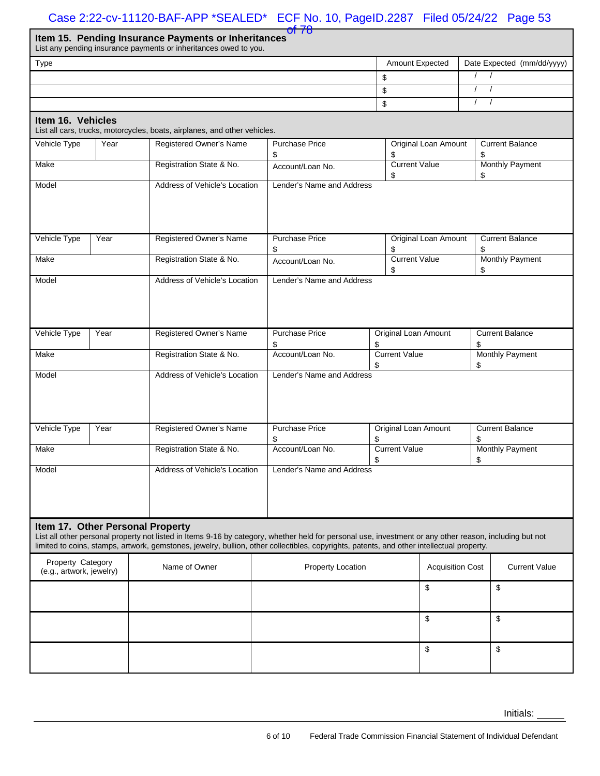#### Case 2:22-cv-11120-BAF-APP \*SEALED\* ECF No. 10, PageID.2287 Filed 05/24/22 Page 53

|                                                     | of 78 |  |
|-----------------------------------------------------|-------|--|
| Item 15. Pending Insurance Payments or Inheritances |       |  |
|                                                     |       |  |

List any pending insurance payments or inheritances owed to you.

|                                                                                                                                                                                                                                                                                                                                          |      | List any pending insurance payments or inheritances owed to you.          |                             |                                   |                              |  |  |  |  |  |
|------------------------------------------------------------------------------------------------------------------------------------------------------------------------------------------------------------------------------------------------------------------------------------------------------------------------------------------|------|---------------------------------------------------------------------------|-----------------------------|-----------------------------------|------------------------------|--|--|--|--|--|
| Type                                                                                                                                                                                                                                                                                                                                     |      |                                                                           |                             | Amount Expected                   | Date Expected (mm/dd/yyyy)   |  |  |  |  |  |
|                                                                                                                                                                                                                                                                                                                                          |      |                                                                           | \$                          | $\prime$<br>$\sqrt{ }$            |                              |  |  |  |  |  |
|                                                                                                                                                                                                                                                                                                                                          |      |                                                                           |                             | \$                                | $\prime$<br>$\prime$         |  |  |  |  |  |
|                                                                                                                                                                                                                                                                                                                                          |      |                                                                           | \$                          | $\prime$<br>$\sqrt{ }$            |                              |  |  |  |  |  |
| Item 16. Vehicles                                                                                                                                                                                                                                                                                                                        |      | List all cars, trucks, motorcycles, boats, airplanes, and other vehicles. |                             |                                   |                              |  |  |  |  |  |
| Vehicle Type                                                                                                                                                                                                                                                                                                                             | Year | Registered Owner's Name                                                   | <b>Purchase Price</b><br>\$ | Original Loan Amount<br>\$        | <b>Current Balance</b><br>\$ |  |  |  |  |  |
| Make                                                                                                                                                                                                                                                                                                                                     |      | Registration State & No.                                                  | Account/Loan No.            | <b>Current Value</b><br>\$        | <b>Monthly Payment</b><br>\$ |  |  |  |  |  |
| Model                                                                                                                                                                                                                                                                                                                                    |      | Address of Vehicle's Location                                             | Lender's Name and Address   |                                   |                              |  |  |  |  |  |
| Vehicle Type                                                                                                                                                                                                                                                                                                                             | Year | Registered Owner's Name                                                   | <b>Purchase Price</b><br>\$ | <b>Original Loan Amount</b><br>\$ | <b>Current Balance</b><br>\$ |  |  |  |  |  |
| Make                                                                                                                                                                                                                                                                                                                                     |      | Registration State & No.                                                  | Account/Loan No.            | <b>Current Value</b><br>\$        | Monthly Payment<br>\$        |  |  |  |  |  |
| Model                                                                                                                                                                                                                                                                                                                                    |      | Address of Vehicle's Location                                             | Lender's Name and Address   |                                   |                              |  |  |  |  |  |
| Vehicle Type                                                                                                                                                                                                                                                                                                                             | Year | Registered Owner's Name                                                   | <b>Purchase Price</b><br>\$ | Original Loan Amount<br>\$        | <b>Current Balance</b><br>\$ |  |  |  |  |  |
| Make                                                                                                                                                                                                                                                                                                                                     |      | Registration State & No.                                                  | Account/Loan No.            | <b>Current Value</b>              | Monthly Payment              |  |  |  |  |  |
| Address of Vehicle's Location<br>Model                                                                                                                                                                                                                                                                                                   |      |                                                                           | Lender's Name and Address   | \$                                | \$                           |  |  |  |  |  |
| Vehicle Type                                                                                                                                                                                                                                                                                                                             | Year | Registered Owner's Name                                                   | <b>Purchase Price</b><br>\$ | Original Loan Amount<br>\$        | <b>Current Balance</b><br>\$ |  |  |  |  |  |
| Make                                                                                                                                                                                                                                                                                                                                     |      | Registration State & No.                                                  | Account/Loan No.            | <b>Current Value</b><br>\$        | <b>Monthly Payment</b><br>\$ |  |  |  |  |  |
| Model                                                                                                                                                                                                                                                                                                                                    |      | Address of Vehicle's Location                                             | Lender's Name and Address   |                                   |                              |  |  |  |  |  |
| Item 17. Other Personal Property<br>List all other personal property not listed in Items 9-16 by category, whether held for personal use, investment or any other reason, including but not<br>limited to coins, stamps, artwork, gemstones, jewelry, bullion, other collectibles, copyrights, patents, and other intellectual property. |      |                                                                           |                             |                                   |                              |  |  |  |  |  |
| Property Category<br>(e.g., artwork, jewelry)                                                                                                                                                                                                                                                                                            |      | Name of Owner                                                             | Property Location           | <b>Acquisition Cost</b>           | <b>Current Value</b>         |  |  |  |  |  |
|                                                                                                                                                                                                                                                                                                                                          |      |                                                                           |                             | \$                                | \$                           |  |  |  |  |  |
|                                                                                                                                                                                                                                                                                                                                          |      |                                                                           |                             | \$                                | \$                           |  |  |  |  |  |
|                                                                                                                                                                                                                                                                                                                                          |      |                                                                           |                             | \$                                | \$                           |  |  |  |  |  |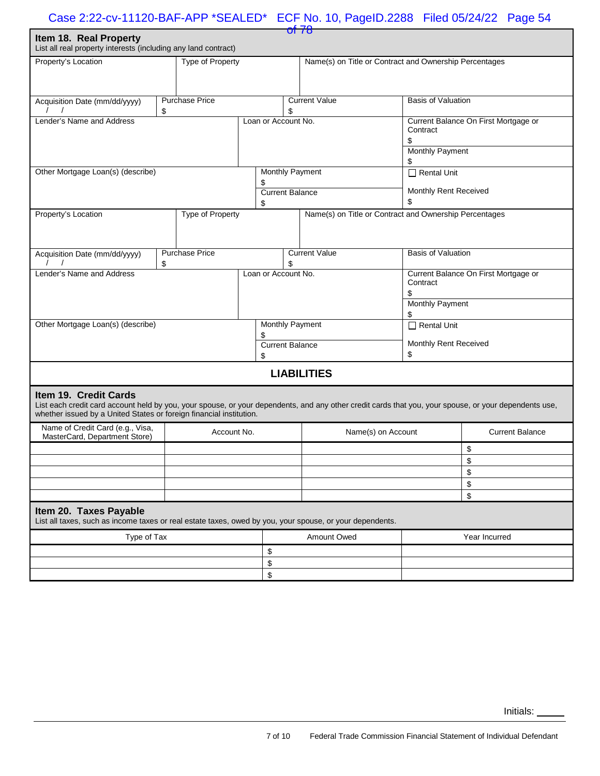| of 78                                                                                                                                                                                                                                                 |    |                       |                     |                              |                                                        |  |                                                  |                                      |  |
|-------------------------------------------------------------------------------------------------------------------------------------------------------------------------------------------------------------------------------------------------------|----|-----------------------|---------------------|------------------------------|--------------------------------------------------------|--|--------------------------------------------------|--------------------------------------|--|
| Item 18. Real Property<br>List all real property interests (including any land contract)                                                                                                                                                              |    |                       |                     |                              |                                                        |  |                                                  |                                      |  |
| Property's Location<br>Type of Property                                                                                                                                                                                                               |    |                       |                     |                              | Name(s) on Title or Contract and Ownership Percentages |  |                                                  |                                      |  |
|                                                                                                                                                                                                                                                       |    |                       |                     |                              |                                                        |  |                                                  |                                      |  |
|                                                                                                                                                                                                                                                       |    |                       |                     |                              |                                                        |  |                                                  |                                      |  |
| Acquisition Date (mm/dd/yyyy)                                                                                                                                                                                                                         |    | <b>Purchase Price</b> |                     |                              | <b>Current Value</b>                                   |  | <b>Basis of Valuation</b>                        |                                      |  |
|                                                                                                                                                                                                                                                       | \$ |                       |                     | \$                           |                                                        |  |                                                  |                                      |  |
| Lender's Name and Address                                                                                                                                                                                                                             |    |                       | Loan or Account No. |                              |                                                        |  |                                                  | Current Balance On First Mortgage or |  |
|                                                                                                                                                                                                                                                       |    |                       |                     |                              |                                                        |  | Contract                                         |                                      |  |
|                                                                                                                                                                                                                                                       |    |                       |                     |                              |                                                        |  | \$<br><b>Monthly Payment</b>                     |                                      |  |
|                                                                                                                                                                                                                                                       |    |                       |                     |                              |                                                        |  | \$                                               |                                      |  |
| Other Mortgage Loan(s) (describe)                                                                                                                                                                                                                     |    |                       |                     |                              | Monthly Payment                                        |  | $\Box$ Rental Unit                               |                                      |  |
|                                                                                                                                                                                                                                                       |    |                       | \$                  |                              |                                                        |  |                                                  |                                      |  |
|                                                                                                                                                                                                                                                       |    |                       |                     |                              | <b>Current Balance</b>                                 |  | Monthly Rent Received                            |                                      |  |
|                                                                                                                                                                                                                                                       |    |                       | \$                  |                              |                                                        |  | \$                                               |                                      |  |
| Property's Location                                                                                                                                                                                                                                   |    | Type of Property      |                     |                              | Name(s) on Title or Contract and Ownership Percentages |  |                                                  |                                      |  |
|                                                                                                                                                                                                                                                       |    |                       |                     |                              |                                                        |  |                                                  |                                      |  |
|                                                                                                                                                                                                                                                       |    |                       |                     |                              |                                                        |  |                                                  |                                      |  |
| Acquisition Date (mm/dd/yyyy)                                                                                                                                                                                                                         |    | <b>Purchase Price</b> |                     |                              | <b>Current Value</b>                                   |  | <b>Basis of Valuation</b>                        |                                      |  |
|                                                                                                                                                                                                                                                       | \$ |                       |                     | \$                           |                                                        |  |                                                  |                                      |  |
| Lender's Name and Address                                                                                                                                                                                                                             |    |                       |                     | Loan or Account No.          |                                                        |  | Current Balance On First Mortgage or<br>Contract |                                      |  |
|                                                                                                                                                                                                                                                       |    |                       |                     |                              |                                                        |  | \$                                               |                                      |  |
|                                                                                                                                                                                                                                                       |    |                       |                     |                              |                                                        |  | <b>Monthly Payment</b>                           |                                      |  |
|                                                                                                                                                                                                                                                       |    |                       |                     |                              |                                                        |  | \$                                               |                                      |  |
| Other Mortgage Loan(s) (describe)                                                                                                                                                                                                                     |    |                       |                     | <b>Monthly Payment</b>       |                                                        |  | $\Box$ Rental Unit                               |                                      |  |
|                                                                                                                                                                                                                                                       |    |                       | \$                  |                              |                                                        |  | Monthly Rent Received                            |                                      |  |
|                                                                                                                                                                                                                                                       |    |                       |                     | <b>Current Balance</b><br>\$ |                                                        |  | \$                                               |                                      |  |
|                                                                                                                                                                                                                                                       |    |                       |                     | <b>LIABILITIES</b>           |                                                        |  |                                                  |                                      |  |
|                                                                                                                                                                                                                                                       |    |                       |                     |                              |                                                        |  |                                                  |                                      |  |
| Item 19. Credit Cards<br>List each credit card account held by you, your spouse, or your dependents, and any other credit cards that you, your spouse, or your dependents use,<br>whether issued by a United States or foreign financial institution. |    |                       |                     |                              |                                                        |  |                                                  |                                      |  |
| Name of Credit Card (e.g., Visa,<br>MasterCard, Department Store)                                                                                                                                                                                     |    | Account No.           |                     |                              | Name(s) on Account                                     |  |                                                  | <b>Current Balance</b>               |  |
|                                                                                                                                                                                                                                                       |    |                       |                     |                              |                                                        |  |                                                  | \$                                   |  |
|                                                                                                                                                                                                                                                       |    |                       |                     |                              |                                                        |  |                                                  | \$                                   |  |
|                                                                                                                                                                                                                                                       |    |                       |                     |                              |                                                        |  |                                                  | \$                                   |  |
|                                                                                                                                                                                                                                                       |    |                       |                     |                              |                                                        |  |                                                  | \$                                   |  |
|                                                                                                                                                                                                                                                       |    |                       |                     |                              |                                                        |  |                                                  | \$                                   |  |
| Item 20. Taxes Payable<br>List all taxes, such as income taxes or real estate taxes, owed by you, your spouse, or your dependents.                                                                                                                    |    |                       |                     |                              |                                                        |  |                                                  |                                      |  |
| Type of Tax                                                                                                                                                                                                                                           |    |                       |                     | <b>Amount Owed</b>           |                                                        |  |                                                  | Year Incurred                        |  |
|                                                                                                                                                                                                                                                       |    |                       | \$                  |                              |                                                        |  |                                                  |                                      |  |
|                                                                                                                                                                                                                                                       |    |                       | \$                  |                              |                                                        |  |                                                  |                                      |  |
|                                                                                                                                                                                                                                                       |    |                       | \$                  |                              |                                                        |  |                                                  |                                      |  |
|                                                                                                                                                                                                                                                       |    |                       |                     |                              |                                                        |  |                                                  |                                      |  |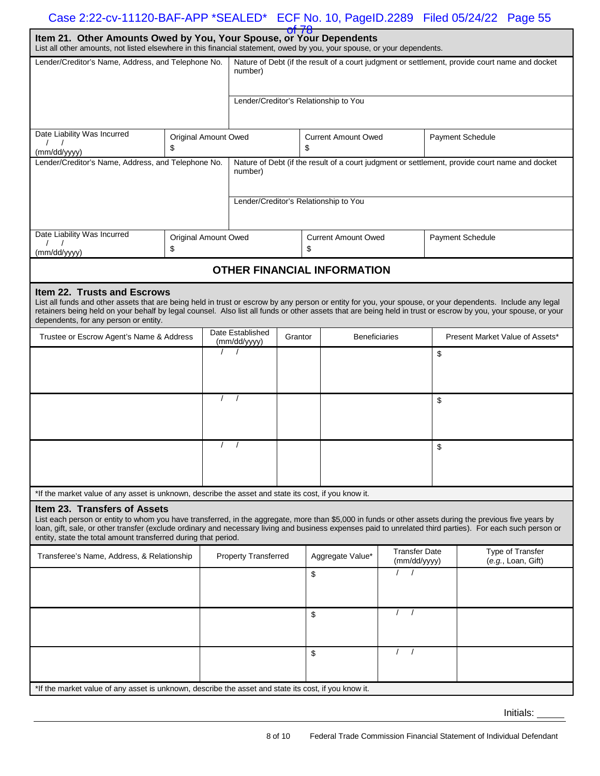| Item 21. Other Amounts Owed by You, Your Spouse, or Your Dependents<br>List all other amounts, not listed elsewhere in this financial statement, owed by you, your spouse, or your dependents.                                                                                                                                                                                                                          |                                                                                                           |                                       |                                             | <u>or 78</u> |                                  |                                    |                                      |    |                                                                                                |  |
|-------------------------------------------------------------------------------------------------------------------------------------------------------------------------------------------------------------------------------------------------------------------------------------------------------------------------------------------------------------------------------------------------------------------------|-----------------------------------------------------------------------------------------------------------|---------------------------------------|---------------------------------------------|--------------|----------------------------------|------------------------------------|--------------------------------------|----|------------------------------------------------------------------------------------------------|--|
| Lender/Creditor's Name, Address, and Telephone No.                                                                                                                                                                                                                                                                                                                                                                      | Nature of Debt (if the result of a court judgment or settlement, provide court name and docket<br>number) |                                       |                                             |              |                                  |                                    |                                      |    |                                                                                                |  |
|                                                                                                                                                                                                                                                                                                                                                                                                                         |                                                                                                           | Lender/Creditor's Relationship to You |                                             |              |                                  |                                    |                                      |    |                                                                                                |  |
| Date Liability Was Incurred<br>(mm/dd/yyyy)                                                                                                                                                                                                                                                                                                                                                                             | Original Amount Owed<br>\$                                                                                |                                       |                                             |              | <b>Current Amount Owed</b><br>\$ |                                    |                                      |    | Payment Schedule                                                                               |  |
| Lender/Creditor's Name, Address, and Telephone No.                                                                                                                                                                                                                                                                                                                                                                      |                                                                                                           |                                       | number)                                     |              |                                  |                                    |                                      |    | Nature of Debt (if the result of a court judgment or settlement, provide court name and docket |  |
|                                                                                                                                                                                                                                                                                                                                                                                                                         |                                                                                                           |                                       | Lender/Creditor's Relationship to You       |              |                                  |                                    |                                      |    |                                                                                                |  |
| Date Liability Was Incurred<br>(mm/dd/yyyy)                                                                                                                                                                                                                                                                                                                                                                             | Original Amount Owed<br>\$                                                                                |                                       |                                             |              | \$                               | <b>Current Amount Owed</b>         |                                      |    | <b>Payment Schedule</b>                                                                        |  |
|                                                                                                                                                                                                                                                                                                                                                                                                                         |                                                                                                           |                                       |                                             |              |                                  | <b>OTHER FINANCIAL INFORMATION</b> |                                      |    |                                                                                                |  |
| Item 22. Trusts and Escrows<br>List all funds and other assets that are being held in trust or escrow by any person or entity for you, your spouse, or your dependents. Include any legal<br>retainers being held on your behalf by legal counsel. Also list all funds or other assets that are being held in trust or escrow by you, your spouse, or your<br>dependents, for any person or entity.                     |                                                                                                           |                                       |                                             |              |                                  |                                    |                                      |    |                                                                                                |  |
| Trustee or Escrow Agent's Name & Address                                                                                                                                                                                                                                                                                                                                                                                |                                                                                                           |                                       | Date Established<br>Grantor<br>(mm/dd/yyyy) |              | <b>Beneficiaries</b>             |                                    | Present Market Value of Assets*      |    |                                                                                                |  |
|                                                                                                                                                                                                                                                                                                                                                                                                                         |                                                                                                           |                                       |                                             |              |                                  |                                    |                                      | \$ |                                                                                                |  |
|                                                                                                                                                                                                                                                                                                                                                                                                                         |                                                                                                           |                                       | $\prime$<br>$\sqrt{ }$                      |              |                                  |                                    |                                      | \$ |                                                                                                |  |
|                                                                                                                                                                                                                                                                                                                                                                                                                         |                                                                                                           | $\sqrt{2}$                            | $\prime$                                    |              |                                  |                                    | \$                                   |    |                                                                                                |  |
| *If the market value of any asset is unknown, describe the asset and state its cost, if you know it.                                                                                                                                                                                                                                                                                                                    |                                                                                                           |                                       |                                             |              |                                  |                                    |                                      |    |                                                                                                |  |
| Item 23. Transfers of Assets<br>List each person or entity to whom you have transferred, in the aggregate, more than \$5,000 in funds or other assets during the previous five years by<br>loan, gift, sale, or other transfer (exclude ordinary and necessary living and business expenses paid to unrelated third parties). For each such person or<br>entity, state the total amount transferred during that period. |                                                                                                           |                                       |                                             |              |                                  |                                    |                                      |    |                                                                                                |  |
| Transferee's Name, Address, & Relationship                                                                                                                                                                                                                                                                                                                                                                              |                                                                                                           |                                       | <b>Property Transferred</b>                 |              |                                  | Aggregate Value*                   | <b>Transfer Date</b><br>(mm/dd/yyyy) |    | Type of Transfer<br>(e.g., Loan, Gift)                                                         |  |
|                                                                                                                                                                                                                                                                                                                                                                                                                         |                                                                                                           |                                       |                                             | \$           |                                  | $\sqrt{ }$                         |                                      |    |                                                                                                |  |
|                                                                                                                                                                                                                                                                                                                                                                                                                         |                                                                                                           |                                       | \$                                          |              | $\prime$                         |                                    |                                      |    |                                                                                                |  |
|                                                                                                                                                                                                                                                                                                                                                                                                                         |                                                                                                           |                                       | \$                                          |              | $\left  \right $                 |                                    |                                      |    |                                                                                                |  |
| *If the market value of any asset is unknown, describe the asset and state its cost, if you know it.                                                                                                                                                                                                                                                                                                                    |                                                                                                           |                                       |                                             |              |                                  |                                    |                                      |    |                                                                                                |  |

 Initials: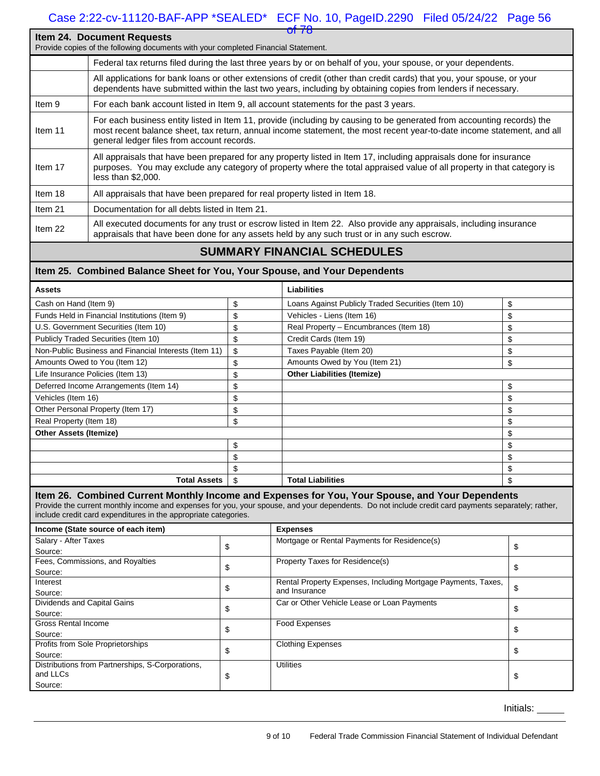#### **Item 24. Document Requests** Provide copies of the following documents with your completed Financial Statement. Federal tax returns filed during the last three years by or on behalf of you, your spouse, or your dependents. All applications for bank loans or other extensions of credit (other than credit cards) that you, your spouse, or your dependents have submitted within the last two years, including by obtaining copies from lenders if necessary. Item 9 For each bank account listed in Item 9, all account statements for the past 3 years. Item 11 For each business entity listed in Item 11, provide (including by causing to be generated from accounting records) the most recent balance sheet, tax return, annual income statement, the most recent year-to-date income statement, and all general ledger files from account records. Item 17 All appraisals that have been prepared for any property listed in Item 17, including appraisals done for insurance purposes. You may exclude any category of property where the total appraised value of all property in that category is less than \$2,000. Item 18 All appraisals that have been prepared for real property listed in Item 18. Item 21 Documentation for all debts listed in Item 21. Item 22 All executed documents for any trust or escrow listed in Item 22. Also provide any appraisals, including insurance appraisals that have been done for any assets held by any such trust or in any such escrow.

#### **SUMMARY FINANCIAL SCHEDULES**

#### **Item 25. Combined Balance Sheet for You, Your Spouse, and Your Dependents**

| <b>Assets</b>                                         | <b>Liabilities</b>                                       |    |
|-------------------------------------------------------|----------------------------------------------------------|----|
| Cash on Hand (Item 9)                                 | \$<br>Loans Against Publicly Traded Securities (Item 10) | \$ |
| Funds Held in Financial Institutions (Item 9)         | \$<br>Vehicles - Liens (Item 16)                         | \$ |
| U.S. Government Securities (Item 10)                  | \$<br>Real Property - Encumbrances (Item 18)             | \$ |
| Publicly Traded Securities (Item 10)                  | \$<br>Credit Cards (Item 19)                             | \$ |
| Non-Public Business and Financial Interests (Item 11) | \$<br>Taxes Payable (Item 20)                            | \$ |
| Amounts Owed to You (Item 12)                         | \$<br>Amounts Owed by You (Item 21)                      | \$ |
| Life Insurance Policies (Item 13)                     | \$<br><b>Other Liabilities (Itemize)</b>                 |    |
| Deferred Income Arrangements (Item 14)                | \$                                                       | \$ |
| Vehicles (Item 16)                                    | \$                                                       | \$ |
| Other Personal Property (Item 17)                     | \$                                                       | \$ |
| Real Property (Item 18)                               | \$                                                       | \$ |
| <b>Other Assets (Itemize)</b>                         |                                                          | \$ |
|                                                       | \$                                                       | \$ |
|                                                       | \$                                                       | \$ |
|                                                       | \$                                                       | \$ |
| Total Assets                                          | \$<br><b>Total Liabilities</b>                           | \$ |

#### **Item 26. Combined Current Monthly Income and Expenses for You, Your Spouse, and Your Dependents**

Provide the current monthly income and expenses for you, your spouse, and your dependents. Do not include credit card payments separately; rather, include credit card expenditures in the appropriate categories.

| Income (State source of each item)               |   | <b>Expenses</b>                                               |   |
|--------------------------------------------------|---|---------------------------------------------------------------|---|
| Salary - After Taxes                             |   | Mortgage or Rental Payments for Residence(s)                  |   |
| Source:                                          | Φ |                                                               |   |
| Fees, Commissions, and Royalties                 |   | <b>Property Taxes for Residence(s)</b>                        |   |
| Source:                                          |   |                                                               |   |
| Interest                                         |   | Rental Property Expenses, Including Mortgage Payments, Taxes, |   |
| Source:                                          | Φ | and Insurance                                                 | S |
| Dividends and Capital Gains                      |   | Car or Other Vehicle Lease or Loan Payments                   |   |
| Source:                                          | Œ |                                                               |   |
| <b>Gross Rental Income</b>                       |   | Food Expenses                                                 |   |
| Source:                                          | Φ |                                                               |   |
| Profits from Sole Proprietorships                |   | <b>Clothing Expenses</b>                                      |   |
| Source:                                          | Φ |                                                               |   |
| Distributions from Partnerships, S-Corporations, |   | <b>Utilities</b>                                              |   |
| and LLCs                                         |   |                                                               |   |
| Source:                                          |   |                                                               |   |

Initials: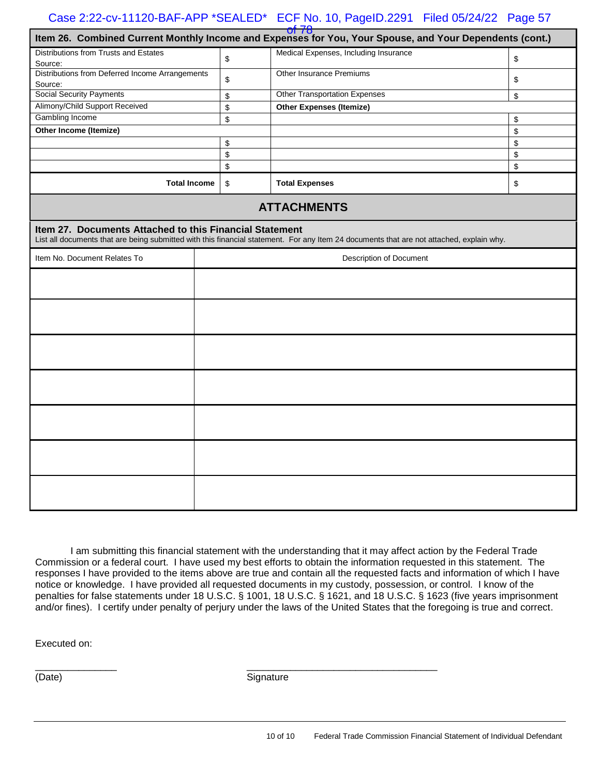| $-01.78$<br>Item 26. Combined Current Monthly Income and Expenses for You, Your Spouse, and Your Dependents (cont.) |  |    |                                                                                                                                          |    |
|---------------------------------------------------------------------------------------------------------------------|--|----|------------------------------------------------------------------------------------------------------------------------------------------|----|
| Distributions from Trusts and Estates                                                                               |  |    | Medical Expenses, Including Insurance                                                                                                    |    |
| Source:                                                                                                             |  | \$ |                                                                                                                                          | \$ |
| Distributions from Deferred Income Arrangements                                                                     |  | \$ | <b>Other Insurance Premiums</b>                                                                                                          | \$ |
| Source:                                                                                                             |  |    |                                                                                                                                          |    |
| <b>Social Security Payments</b>                                                                                     |  | \$ | <b>Other Transportation Expenses</b>                                                                                                     | \$ |
| Alimony/Child Support Received                                                                                      |  | \$ | <b>Other Expenses (Itemize)</b>                                                                                                          |    |
| Gambling Income                                                                                                     |  | \$ |                                                                                                                                          | \$ |
| Other Income (Itemize)                                                                                              |  |    |                                                                                                                                          | \$ |
|                                                                                                                     |  | \$ |                                                                                                                                          | \$ |
|                                                                                                                     |  | \$ |                                                                                                                                          | \$ |
|                                                                                                                     |  | \$ |                                                                                                                                          | \$ |
| <b>Total Income</b>                                                                                                 |  | \$ | <b>Total Expenses</b>                                                                                                                    | \$ |
|                                                                                                                     |  |    | <b>ATTACHMENTS</b>                                                                                                                       |    |
| Item 27. Documents Attached to this Financial Statement                                                             |  |    | List all documents that are being submitted with this financial statement. For any Item 24 documents that are not attached, explain why. |    |
| Item No. Document Relates To                                                                                        |  |    | Description of Document                                                                                                                  |    |
|                                                                                                                     |  |    |                                                                                                                                          |    |
|                                                                                                                     |  |    |                                                                                                                                          |    |
|                                                                                                                     |  |    |                                                                                                                                          |    |
|                                                                                                                     |  |    |                                                                                                                                          |    |
|                                                                                                                     |  |    |                                                                                                                                          |    |
|                                                                                                                     |  |    |                                                                                                                                          |    |
|                                                                                                                     |  |    |                                                                                                                                          |    |

I am submitting this financial statement with the understanding that it may affect action by the Federal Trade Commission or a federal court. I have used my best efforts to obtain the information requested in this statement. The responses I have provided to the items above are true and contain all the requested facts and information of which I have notice or knowledge. I have provided all requested documents in my custody, possession, or control. I know of the penalties for false statements under 18 U.S.C. § 1001, 18 U.S.C. § 1621, and 18 U.S.C. § 1623 (five years imprisonment and/or fines). I certify under penalty of perjury under the laws of the United States that the foregoing is true and correct.

Executed on:

(Date) Signature

\_\_\_\_\_\_\_\_\_\_\_\_\_\_\_ \_\_\_\_\_\_\_\_\_\_\_\_\_\_\_\_\_\_\_\_\_\_\_\_\_\_\_\_\_\_\_\_\_\_\_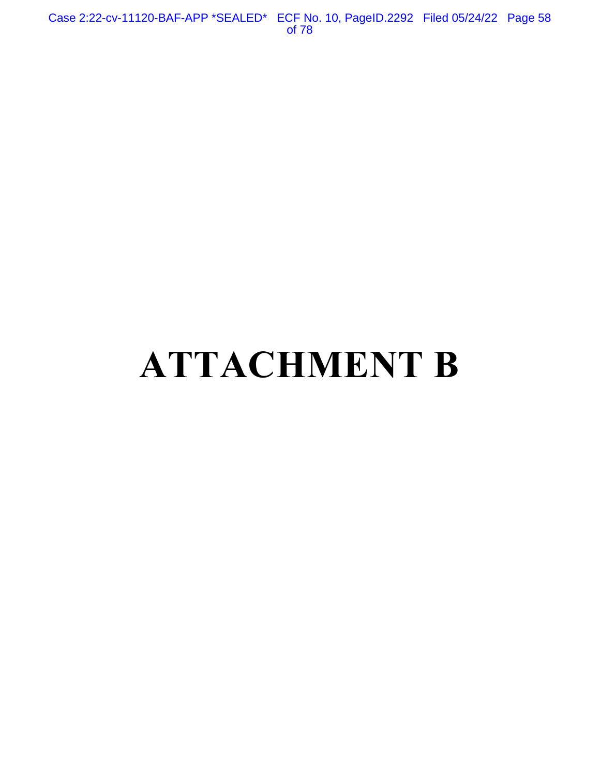Case 2:22-cv-11120-BAF-APP \*SEALED\* ECF No. 10, PageID.2292 Filed 05/24/22 Page 58 of 78

# **ATTACHMENT B**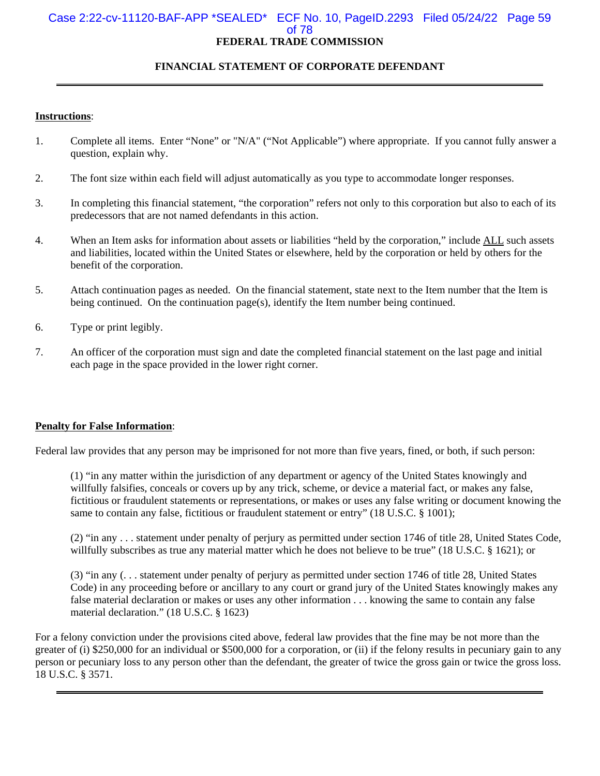#### Case 2:22-cv-11120-BAF-APP \*SEALED\* ECF No. 10, PageID.2293 Filed 05/24/22 Page 59 of 78 **FEDERAL TRADE COMMISSION**

#### **FINANCIAL STATEMENT OF CORPORATE DEFENDANT**

#### **Instructions**:

- 1. Complete all items. Enter "None" or "N/A" ("Not Applicable") where appropriate. If you cannot fully answer a question, explain why.
- 2. The font size within each field will adjust automatically as you type to accommodate longer responses.
- 3. In completing this financial statement, "the corporation" refers not only to this corporation but also to each of its predecessors that are not named defendants in this action.
- 4. When an Item asks for information about assets or liabilities "held by the corporation," include ALL such assets and liabilities, located within the United States or elsewhere, held by the corporation or held by others for the benefit of the corporation.
- 5. Attach continuation pages as needed. On the financial statement, state next to the Item number that the Item is being continued. On the continuation page(s), identify the Item number being continued.
- 6. Type or print legibly.
- 7. An officer of the corporation must sign and date the completed financial statement on the last page and initial each page in the space provided in the lower right corner.

#### **Penalty for False Information**:

Federal law provides that any person may be imprisoned for not more than five years, fined, or both, if such person:

(1) "in any matter within the jurisdiction of any department or agency of the United States knowingly and willfully falsifies, conceals or covers up by any trick, scheme, or device a material fact, or makes any false, fictitious or fraudulent statements or representations, or makes or uses any false writing or document knowing the same to contain any false, fictitious or fraudulent statement or entry" (18 U.S.C. § 1001);

(2) "in any . . . statement under penalty of perjury as permitted under section 1746 of title 28, United States Code, willfully subscribes as true any material matter which he does not believe to be true" (18 U.S.C. § 1621); or

(3) "in any (. . . statement under penalty of perjury as permitted under section 1746 of title 28, United States Code) in any proceeding before or ancillary to any court or grand jury of the United States knowingly makes any false material declaration or makes or uses any other information . . . knowing the same to contain any false material declaration." (18 U.S.C. § 1623)

For a felony conviction under the provisions cited above, federal law provides that the fine may be not more than the greater of (i) \$250,000 for an individual or \$500,000 for a corporation, or (ii) if the felony results in pecuniary gain to any person or pecuniary loss to any person other than the defendant, the greater of twice the gross gain or twice the gross loss. 18 U.S.C. § 3571.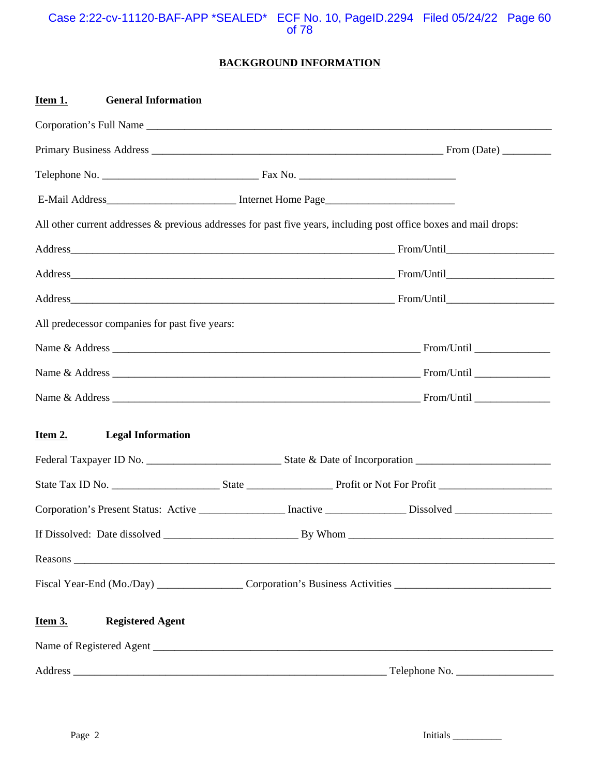#### Case 2:22-cv-11120-BAF-APP \*SEALED\* ECF No. 10, PageID.2294 Filed 05/24/22 Page 60 of 78

#### **BACKGROUND INFORMATION**

| <b>General Information</b><br>Item 1.                                                                             |                                                                                                                |
|-------------------------------------------------------------------------------------------------------------------|----------------------------------------------------------------------------------------------------------------|
|                                                                                                                   |                                                                                                                |
|                                                                                                                   |                                                                                                                |
|                                                                                                                   |                                                                                                                |
|                                                                                                                   |                                                                                                                |
| All other current addresses & previous addresses for past five years, including post office boxes and mail drops: |                                                                                                                |
|                                                                                                                   |                                                                                                                |
|                                                                                                                   |                                                                                                                |
|                                                                                                                   |                                                                                                                |
| All predecessor companies for past five years:                                                                    |                                                                                                                |
|                                                                                                                   |                                                                                                                |
|                                                                                                                   |                                                                                                                |
|                                                                                                                   |                                                                                                                |
|                                                                                                                   |                                                                                                                |
| Item 2.<br><b>Legal Information</b>                                                                               |                                                                                                                |
|                                                                                                                   |                                                                                                                |
|                                                                                                                   |                                                                                                                |
|                                                                                                                   | Corporation's Present Status: Active ______________ Inactive _____________ Dissolved _______________           |
|                                                                                                                   |                                                                                                                |
|                                                                                                                   | Reasons                                                                                                        |
|                                                                                                                   | Fiscal Year-End (Mo./Day) __________________Corporation's Business Activities ________________________________ |
| <b>Registered Agent</b><br><b>Item 3.</b>                                                                         |                                                                                                                |
|                                                                                                                   |                                                                                                                |
|                                                                                                                   |                                                                                                                |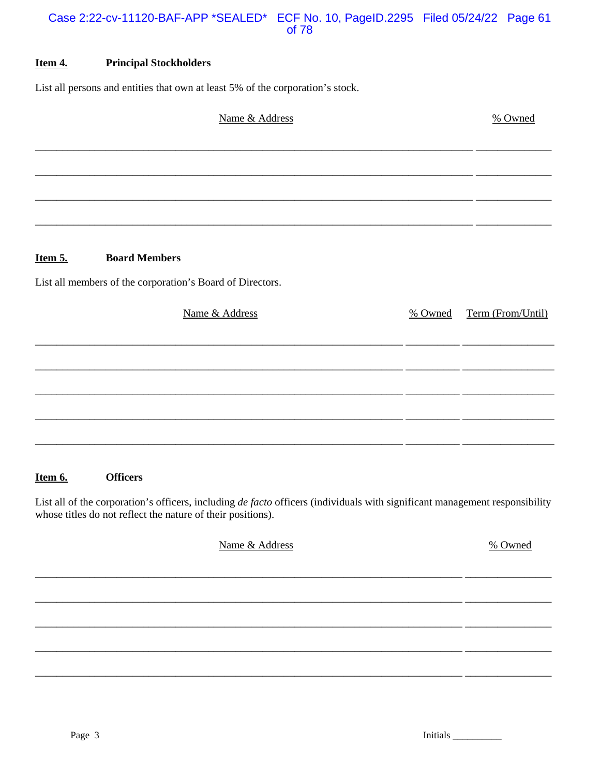#### Case 2:22-cv-11120-BAF-APP \*SEALED\* ECF No. 10, PageID.2295 Filed 05/24/22 Page 61 of 78

#### Item 4. **Principal Stockholders**

List all persons and entities that own at least 5% of the corporation's stock.

| Name & Address                                            |         | % Owned           |
|-----------------------------------------------------------|---------|-------------------|
|                                                           |         |                   |
|                                                           |         |                   |
|                                                           |         |                   |
| <b>Board Members</b><br>Item 5.                           |         |                   |
| List all members of the corporation's Board of Directors. |         |                   |
| Name & Address                                            | % Owned | Term (From/Until) |
|                                                           |         |                   |
|                                                           |         |                   |
|                                                           |         |                   |
|                                                           |         |                   |
|                                                           |         |                   |

#### Item 6. **Officers**

List all of the corporation's officers, including de facto officers (individuals with significant management responsibility whose titles do not reflect the nature of their positions).

| Name & Address | % Owned |
|----------------|---------|
|                |         |
|                |         |
|                |         |
|                |         |
|                |         |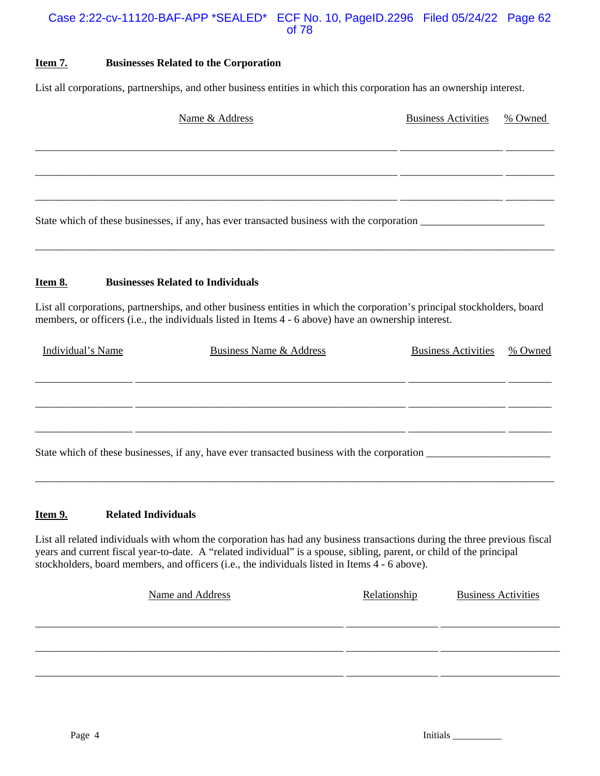#### Case 2:22-cv-11120-BAF-APP \*SEALED\* ECF No. 10, PageID.2296 Filed 05/24/22 Page 62 of 78

#### **Item 7. Businesses Related to the Corporation**

List all corporations, partnerships, and other business entities in which this corporation has an ownership interest.

|                   | Name & Address                                                                                                                                                                                                                    | <b>Business Activities</b> | % Owned |
|-------------------|-----------------------------------------------------------------------------------------------------------------------------------------------------------------------------------------------------------------------------------|----------------------------|---------|
|                   |                                                                                                                                                                                                                                   |                            |         |
|                   |                                                                                                                                                                                                                                   |                            |         |
|                   |                                                                                                                                                                                                                                   |                            |         |
| <u>Item 8.</u>    | <b>Businesses Related to Individuals</b>                                                                                                                                                                                          |                            |         |
|                   | List all corporations, partnerships, and other business entities in which the corporation's principal stockholders, board<br>members, or officers (i.e., the individuals listed in Items 4 - 6 above) have an ownership interest. |                            |         |
| Individual's Name | <b>Business Name &amp; Address</b>                                                                                                                                                                                                | <b>Business Activities</b> | % Owned |
|                   |                                                                                                                                                                                                                                   |                            |         |
|                   |                                                                                                                                                                                                                                   |                            |         |

State which of these businesses, if any, have ever transacted business with the corporation \_\_\_\_\_\_\_\_\_\_\_\_\_\_\_\_\_\_\_\_\_\_\_

#### **Item 9.** Related Individuals

List all related individuals with whom the corporation has had any business transactions during the three previous fiscal years and current fiscal year-to-date. A "related individual" is a spouse, sibling, parent, or child of the principal stockholders, board members, and officers (i.e., the individuals listed in Items 4 - 6 above).

\_\_\_\_\_\_\_\_\_\_\_\_\_\_\_\_\_\_\_\_\_\_\_\_\_\_\_\_\_\_\_\_\_\_\_\_\_\_\_\_\_\_\_\_\_\_\_\_\_\_\_\_\_\_\_\_\_\_\_\_\_\_\_\_\_\_\_\_\_\_\_\_\_\_\_\_\_\_\_\_\_\_\_\_\_\_\_\_\_\_\_\_\_\_\_\_

| Name and Address | Relationship | <b>Business Activities</b> |
|------------------|--------------|----------------------------|
|                  |              |                            |
|                  |              |                            |
|                  |              |                            |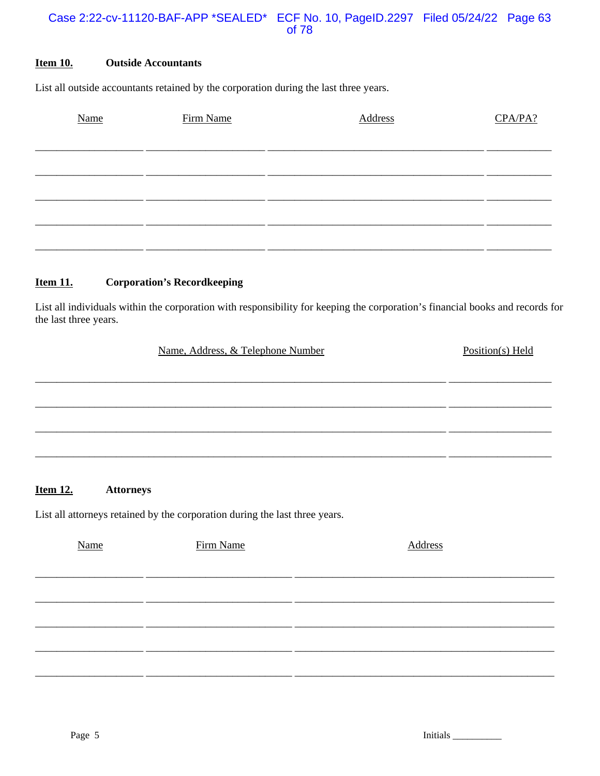#### Case 2:22-cv-11120-BAF-APP \*SEALED\* ECF No. 10, PageID.2297 Filed 05/24/22 Page 63 of 78

#### **Item 10. Outside Accountants**

List all outside accountants retained by the corporation during the last three years.

| Name | Firm Name | Address | CPA/PA? |
|------|-----------|---------|---------|
|      |           |         |         |
|      |           |         |         |
|      |           |         |         |
|      |           |         |         |
|      |           |         |         |
|      |           |         |         |

#### **Item 11. Corporation's Recordkeeping**

List all individuals within the corporation with responsibility for keeping the corporation's financial books and records for the last three years.

| Name, Address, & Telephone Number | Position(s) Held |
|-----------------------------------|------------------|
|                                   |                  |
|                                   |                  |
|                                   |                  |
|                                   |                  |
|                                   |                  |

#### **Item 12. Attorneys**

List all attorneys retained by the corporation during the last three years.

| Name | Firm Name | Address |
|------|-----------|---------|
|      |           |         |
|      |           |         |
|      |           |         |
|      |           |         |
|      |           |         |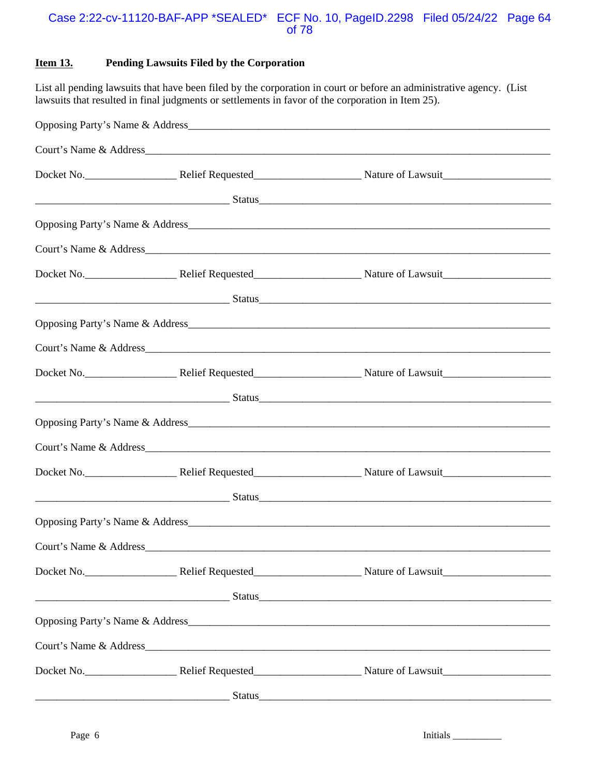#### Case 2:22-cv-11120-BAF-APP \*SEALED\* ECF No. 10, PageID.2298 Filed 05/24/22 Page 64 of 78

#### **Item 13. Pending Lawsuits Filed by the Corporation**

List all pending lawsuits that have been filed by the corporation in court or before an administrative agency. (List lawsuits that resulted in final judgments or settlements in favor of the corporation in Item 25).

| <u>Status Status Status Status Status Status Status Status Status Status Status Status Status Status Status Status</u> |
|------------------------------------------------------------------------------------------------------------------------|
|                                                                                                                        |
|                                                                                                                        |
|                                                                                                                        |
|                                                                                                                        |
|                                                                                                                        |
|                                                                                                                        |
|                                                                                                                        |
| <u>a Status Status Status Status Status Status Status Status Status Status Status Status Status Status Status St</u>   |
|                                                                                                                        |
|                                                                                                                        |
|                                                                                                                        |
| <u>a Status Status (and the second of the second of the second of the second of the second of the second of the s</u>  |
|                                                                                                                        |
|                                                                                                                        |
|                                                                                                                        |
| <u>a a seu a componente de la componente de la componente de la componente de la componente de la componente de l</u>  |
|                                                                                                                        |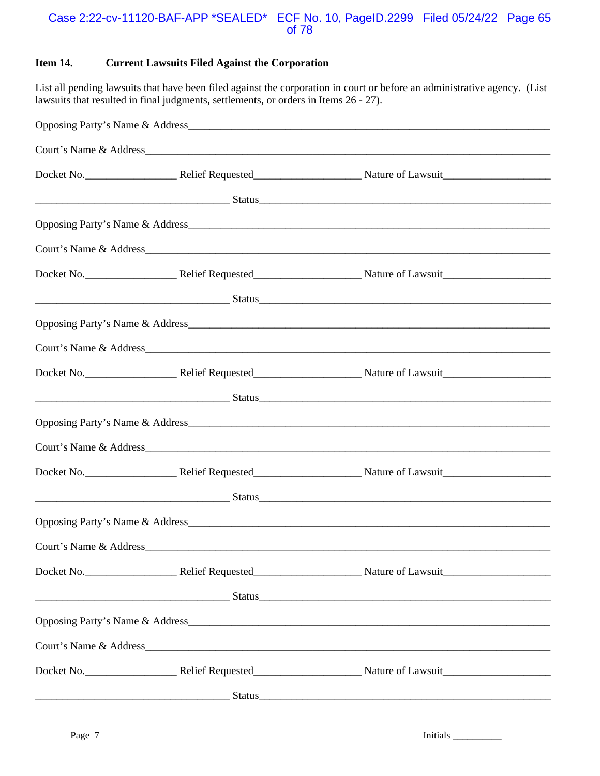#### Case 2:22-cv-11120-BAF-APP \*SEALED\* ECF No. 10, PageID.2299 Filed 05/24/22 Page 65 of 78

#### **Item 14. Current Lawsuits Filed Against the Corporation**

List all pending lawsuits that have been filed against the corporation in court or before an administrative agency. (List lawsuits that resulted in final judgments, settlements, or orders in Items 26 - 27).

|  | <u>Status Status Status Status Status Status Status Status Status Status Status Status Status Status Status Status</u>                                                                                                               |
|--|--------------------------------------------------------------------------------------------------------------------------------------------------------------------------------------------------------------------------------------|
|  |                                                                                                                                                                                                                                      |
|  |                                                                                                                                                                                                                                      |
|  |                                                                                                                                                                                                                                      |
|  |                                                                                                                                                                                                                                      |
|  |                                                                                                                                                                                                                                      |
|  |                                                                                                                                                                                                                                      |
|  |                                                                                                                                                                                                                                      |
|  | <u>Status Status and Status and Status and Status and Status and Status and Status and Status and Status and Status and Status and Status and Status and Status and Status and Status and Status and Status and Status and Statu</u> |
|  |                                                                                                                                                                                                                                      |
|  |                                                                                                                                                                                                                                      |
|  |                                                                                                                                                                                                                                      |
|  | <u>Status Status Status (Status Status Status Status Status Status Status Status Status Status Status Status Status Status Status Status Status Status Status Status Status Status Status Status Status Status Status Status Sta</u> |
|  |                                                                                                                                                                                                                                      |
|  |                                                                                                                                                                                                                                      |
|  |                                                                                                                                                                                                                                      |
|  | <u>2008. Status Status Status Status Status Status Status Status Status Status Status Status Status Status Status</u>                                                                                                                |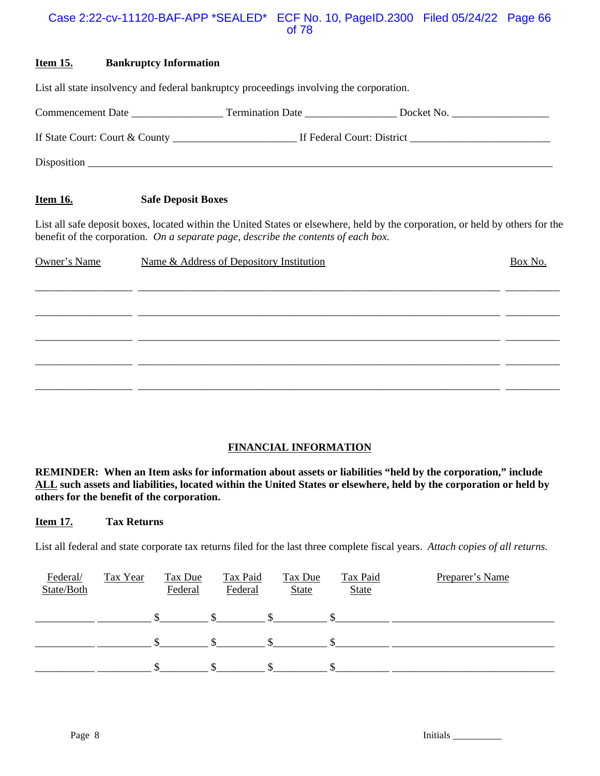#### Case 2:22-cv-11120-BAF-APP \*SEALED\* ECF No. 10, PageID.2300 Filed 05/24/22 Page 66 of 78

#### **Item 15. Bankruptcy Information**

|                 | List all state insolvency and federal bankruptcy proceedings involving the corporation.                                        |
|-----------------|--------------------------------------------------------------------------------------------------------------------------------|
|                 |                                                                                                                                |
|                 |                                                                                                                                |
|                 |                                                                                                                                |
| <u>Item 16.</u> | <b>Safe Deposit Boxes</b>                                                                                                      |
|                 | List all safe deposit boxes, located within the United States or elsewhere, held by the corporation, or held by others for the |

benefit of the corporation. *On a separate page, describe the contents of each box.* 

| Owner's Name | Name & Address of Depository Institution | Box No. |
|--------------|------------------------------------------|---------|
|              |                                          |         |
|              |                                          |         |
|              |                                          |         |
|              |                                          |         |

#### **FINANCIAL INFORMATION**

**REMINDER: When an Item asks for information about assets or liabilities "held by the corporation," include ALL such assets and liabilities, located within the United States or elsewhere, held by the corporation or held by others for the benefit of the corporation.** 

#### **Item 17. Tax Returns**

List all federal and state corporate tax returns filed for the last three complete fiscal years. *Attach copies of all returns.* 

| Federal/<br>State/Both | Tax Year | Tax Due<br>Federal | <b>Tax Paid</b><br>Federal | <b>Tax Due</b><br><b>State</b> | <b>Tax Paid</b><br><b>State</b> | Preparer's Name |
|------------------------|----------|--------------------|----------------------------|--------------------------------|---------------------------------|-----------------|
|                        |          |                    |                            |                                |                                 |                 |
|                        |          |                    |                            |                                |                                 |                 |
|                        |          |                    |                            |                                |                                 |                 |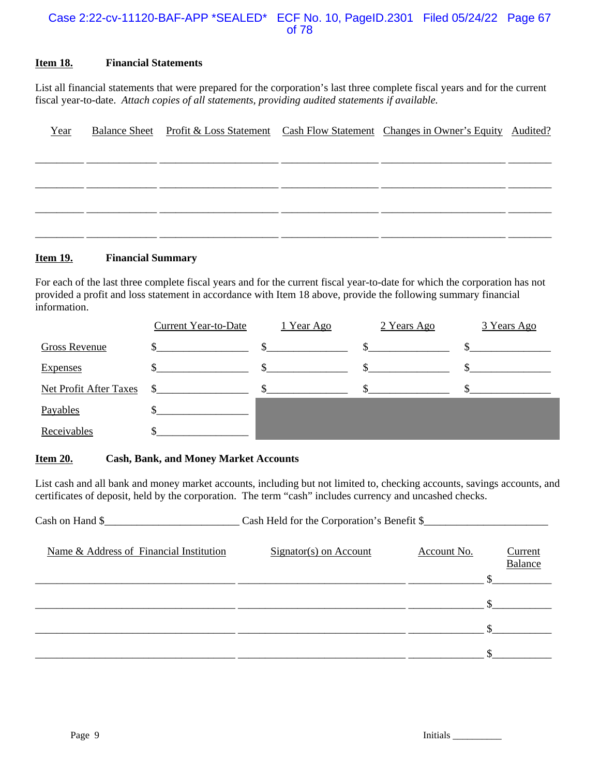#### Case 2:22-cv-11120-BAF-APP \*SEALED\* ECF No. 10, PageID.2301 Filed 05/24/22 Page 67 of 78

#### **Item 18. Financial Statements**

List all financial statements that were prepared for the corporation's last three complete fiscal years and for the current fiscal year-to-date. *Attach copies of all statements, providing audited statements if available.* 

| Year |  | Balance Sheet Profit & Loss Statement Cash Flow Statement Changes in Owner's Equity Audited? |  |
|------|--|----------------------------------------------------------------------------------------------|--|
|      |  |                                                                                              |  |
|      |  |                                                                                              |  |
|      |  |                                                                                              |  |
|      |  |                                                                                              |  |
|      |  |                                                                                              |  |

#### **Item 19. Financial Summary**

For each of the last three complete fiscal years and for the current fiscal year-to-date for which the corporation has not provided a profit and loss statement in accordance with Item 18 above, provide the following summary financial information.

|                               | <b>Current Year-to-Date</b> | 1 Year Ago | 2 Years Ago | 3 Years Ago |
|-------------------------------|-----------------------------|------------|-------------|-------------|
| <b>Gross Revenue</b>          |                             | \$         |             |             |
| <b>Expenses</b>               |                             |            |             |             |
| <b>Net Profit After Taxes</b> |                             |            |             |             |
| Payables                      |                             |            |             |             |
| Receivables                   |                             |            |             |             |

#### **Item 20. Cash, Bank, and Money Market Accounts**

List cash and all bank and money market accounts, including but not limited to, checking accounts, savings accounts, and certificates of deposit, held by the corporation. The term "cash" includes currency and uncashed checks.

| Cash on Hand \$                         | Cash Held for the Corporation's Benefit \$ |             |                                  |
|-----------------------------------------|--------------------------------------------|-------------|----------------------------------|
| Name & Address of Financial Institution | $Signator(s)$ on Account                   | Account No. | <u>Current</u><br><b>Balance</b> |
|                                         |                                            |             |                                  |
|                                         |                                            |             |                                  |
|                                         |                                            |             |                                  |
|                                         |                                            |             |                                  |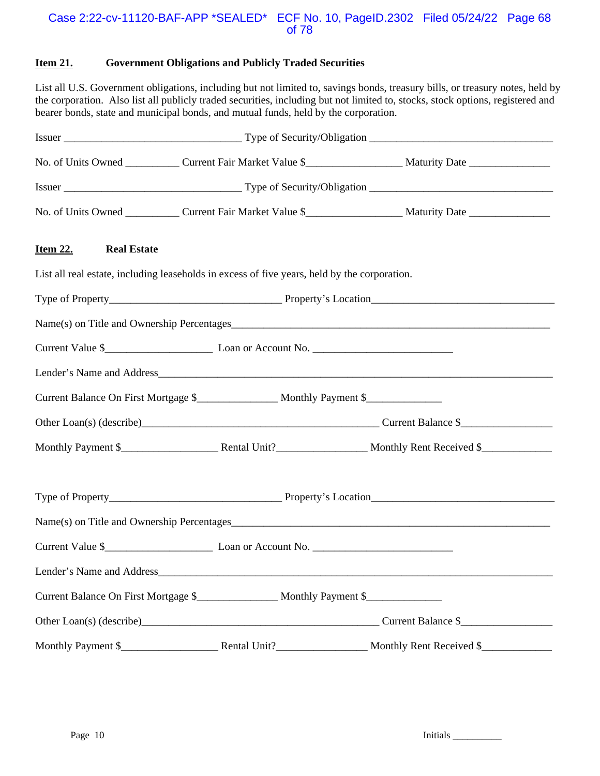#### Case 2:22-cv-11120-BAF-APP \*SEALED\* ECF No. 10, PageID.2302 Filed 05/24/22 Page 68 of 78

#### **Item 21. Government Obligations and Publicly Traded Securities**

List all U.S. Government obligations, including but not limited to, savings bonds, treasury bills, or treasury notes, held by the corporation. Also list all publicly traded securities, including but not limited to, stocks, stock options, registered and bearer bonds, state and municipal bonds, and mutual funds, held by the corporation.

|                                                                                              | No. of Units Owned ____________ Current Fair Market Value \$____________________ Maturity Date _______________ |
|----------------------------------------------------------------------------------------------|----------------------------------------------------------------------------------------------------------------|
|                                                                                              |                                                                                                                |
|                                                                                              | No. of Units Owned ____________ Current Fair Market Value \$____________________ Maturity Date _______________ |
| <b>Item 22.</b><br><b>Real Estate</b>                                                        |                                                                                                                |
| List all real estate, including leaseholds in excess of five years, held by the corporation. |                                                                                                                |
|                                                                                              |                                                                                                                |
|                                                                                              |                                                                                                                |
| Current Value \$                                                                             |                                                                                                                |
|                                                                                              |                                                                                                                |
| Current Balance On First Mortgage \$_________________ Monthly Payment \$______________       |                                                                                                                |
|                                                                                              |                                                                                                                |
|                                                                                              |                                                                                                                |
|                                                                                              |                                                                                                                |
|                                                                                              |                                                                                                                |
| Current Value \$                                                                             |                                                                                                                |
| Lender's Name and Address_                                                                   |                                                                                                                |
| Current Balance On First Mortgage \$_________________ Monthly Payment \$______________       |                                                                                                                |
|                                                                                              | Other Loan(s) (describe)<br><u>Current Balance \$</u>                                                          |
|                                                                                              |                                                                                                                |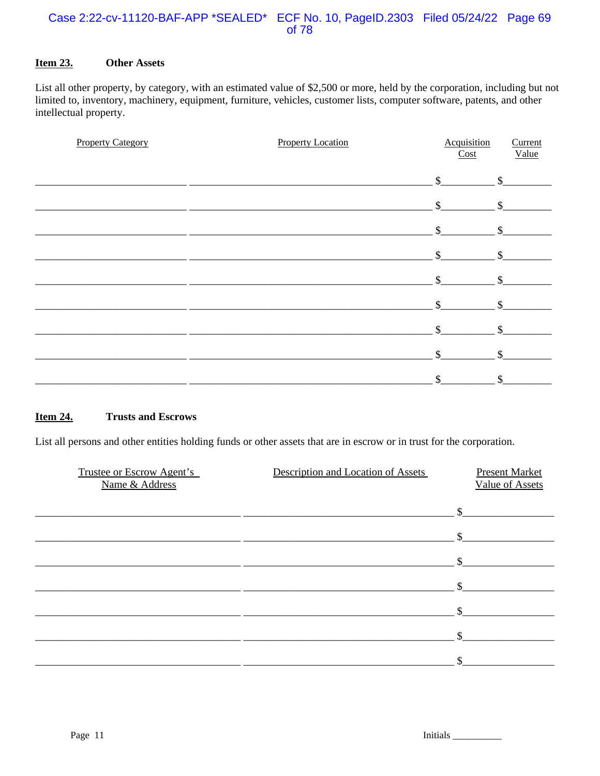#### Case 2:22-cv-11120-BAF-APP \*SEALED\* ECF No. 10, PageID.2303 Filed 05/24/22 Page 69 of 78

#### **Item 23. Other Assets**

List all other property, by category, with an estimated value of \$2,500 or more, held by the corporation, including but not limited to, inventory, machinery, equipment, furniture, vehicles, customer lists, computer software, patents, and other intellectual property.

| <b>Property Category</b> | <b>Property Location</b> | Acquisition<br>Cost | Current<br>Value |
|--------------------------|--------------------------|---------------------|------------------|
|                          |                          | $\mathbb{S}$        | $\mathcal{S}$    |
|                          |                          | $\mathbb{S}$        | \$               |
|                          |                          | $\mathcal{S}$       | $\mathcal{S}$    |
|                          |                          | $\mathcal{S}$       |                  |
|                          |                          | \$                  | \$               |
|                          |                          | \$                  |                  |
|                          |                          | \$                  | \$               |
|                          |                          | \$                  | \$               |
|                          |                          | $\mathcal{S}$       | \$               |

#### **Item 24. Trusts and Escrows**

List all persons and other entities holding funds or other assets that are in escrow or in trust for the corporation.

| Trustee or Escrow Agent's<br>Name & Address | Description and Location of Assets | <b>Present Market</b><br><b>Value of Assets</b> |
|---------------------------------------------|------------------------------------|-------------------------------------------------|
|                                             |                                    | $\mathcal{S}$                                   |
|                                             |                                    | \$                                              |
|                                             |                                    |                                                 |
|                                             |                                    |                                                 |
|                                             |                                    |                                                 |
|                                             |                                    |                                                 |
|                                             |                                    |                                                 |
|                                             |                                    |                                                 |

Initials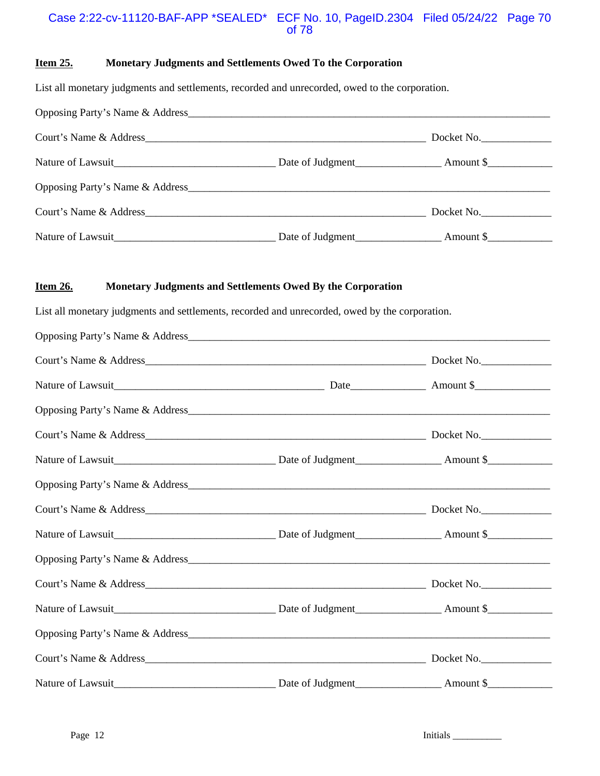#### Case 2:22-cv-11120-BAF-APP \*SEALED\* ECF No. 10, PageID.2304 Filed 05/24/22 Page 70 of 78

#### **Item 25. Monetary Judgments and Settlements Owed To the Corporation**

List all monetary judgments and settlements, recorded and unrecorded, owed to the corporation.

|                                                                                                                        | Docket No. |  |
|------------------------------------------------------------------------------------------------------------------------|------------|--|
| Nature of Lawsuit Date of Judgment Date of Judgment Amount \$                                                          |            |  |
| Opposing Party's Name & Address                                                                                        |            |  |
|                                                                                                                        | Docket No. |  |
| Nature of Lawsuit <u>and Carlier and Carlier and Carlier and Carlier and Carlier and Carlier and Carlier and Carli</u> |            |  |

#### **Item 26. Monetary Judgments and Settlements Owed By the Corporation**

List all monetary judgments and settlements, recorded and unrecorded, owed by the corporation.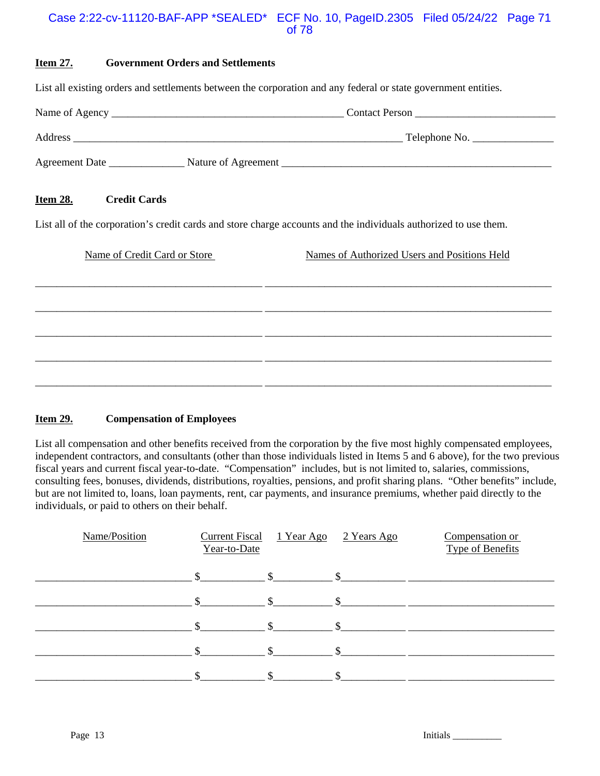#### Case 2:22-cv-11120-BAF-APP \*SEALED\* ECF No. 10, PageID.2305 Filed 05/24/22 Page 71 of 78

#### **Item 27. Government Orders and Settlements**

List all existing orders and settlements between the corporation and any federal or state government entities.

|                |                       | <b>Contact Person</b> |
|----------------|-----------------------|-----------------------|
| Address        |                       | Telephone No.         |
| Agreement Date | Nature of Agreement _ |                       |

#### **Item 28. Credit Cards**

List all of the corporation's credit cards and store charge accounts and the individuals authorized to use them.

| Name of Credit Card or Store | Names of Authorized Users and Positions Held |  |  |  |
|------------------------------|----------------------------------------------|--|--|--|
|                              |                                              |  |  |  |
|                              |                                              |  |  |  |
|                              |                                              |  |  |  |
|                              |                                              |  |  |  |
|                              |                                              |  |  |  |
|                              |                                              |  |  |  |

#### **Item 29. Compensation of Employees**

List all compensation and other benefits received from the corporation by the five most highly compensated employees, independent contractors, and consultants (other than those individuals listed in Items 5 and 6 above), for the two previous fiscal years and current fiscal year-to-date. "Compensation" includes, but is not limited to, salaries, commissions, consulting fees, bonuses, dividends, distributions, royalties, pensions, and profit sharing plans. "Other benefits" include, but are not limited to, loans, loan payments, rent, car payments, and insurance premiums, whether paid directly to the individuals, or paid to others on their behalf.

| Name/Position | <b>Current Fiscal</b><br>Year-to-Date |               | <u>1 Year Ago 2 Years Ago</u> | Compensation or<br><b>Type of Benefits</b> |
|---------------|---------------------------------------|---------------|-------------------------------|--------------------------------------------|
|               | $\mathbb{S}$                          | $\mathbb{S}$  |                               |                                            |
|               | $\mathcal{L}$                         | $\mathcal{S}$ |                               |                                            |
|               | $\mathcal{L}$                         | $\mathcal{S}$ |                               |                                            |
|               | ¢                                     | $\mathcal{S}$ |                               |                                            |
|               |                                       |               |                               |                                            |

Page 13 Initials \_\_\_\_\_\_\_\_\_\_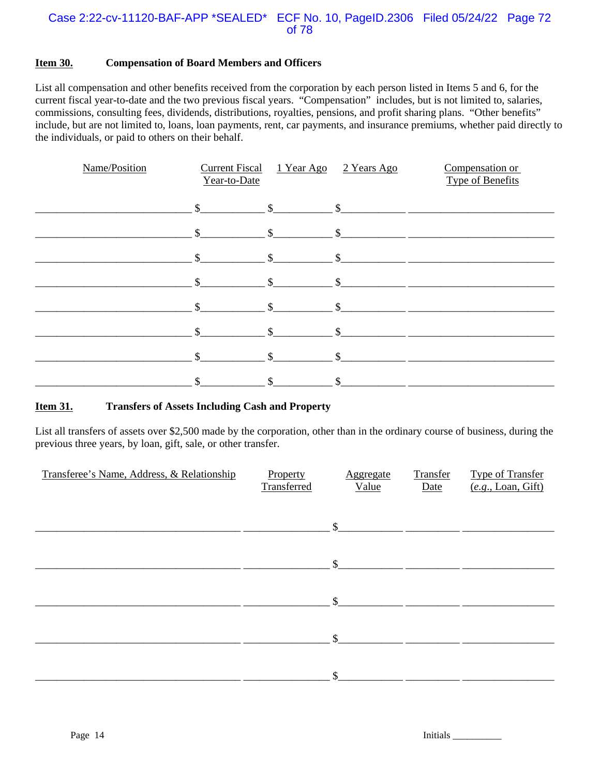#### Case 2:22-cv-11120-BAF-APP \*SEALED\* ECF No. 10, PageID.2306 Filed 05/24/22 Page 72 of 78

#### **Item 30. Compensation of Board Members and Officers**

List all compensation and other benefits received from the corporation by each person listed in Items 5 and 6, for the current fiscal year-to-date and the two previous fiscal years. "Compensation" includes, but is not limited to, salaries, commissions, consulting fees, dividends, distributions, royalties, pensions, and profit sharing plans. "Other benefits" include, but are not limited to, loans, loan payments, rent, car payments, and insurance premiums, whether paid directly to the individuals, or paid to others on their behalf.

| Name/Position | <b>Current Fiscal</b><br>Year-to-Date | <u>1 Year Ago</u> | 2 Years Ago             | Compensation or<br><b>Type of Benefits</b> |
|---------------|---------------------------------------|-------------------|-------------------------|--------------------------------------------|
|               | $\mathbb{S}$                          | $\mathbb{S}$      | $\mathbb{S}$            |                                            |
|               | \$                                    | $\mathcal{S}$     | $\mathcal{S}$           |                                            |
|               | $\mathbb{S}$                          | $\mathbf{\$}$     | $\mathcal{S}$           |                                            |
|               | $\mathbb{S}$                          | $\mathbb{S}$      | $\mathbb{S}$            |                                            |
|               | $\mathbb{S}$                          | $\mathcal{S}$     | $\mathbb{S}$            |                                            |
|               | $\mathcal{S}$                         | $\mathbb{S}$      | $\sqrt[6]{\frac{1}{2}}$ |                                            |
|               | $\mathcal{S}$                         | $\mathbb{S}$      | $\mathbb{S}$            |                                            |
|               |                                       |                   |                         |                                            |

#### **Item 31. Transfers of Assets Including Cash and Property**

List all transfers of assets over \$2,500 made by the corporation, other than in the ordinary course of business, during the previous three years, by loan, gift, sale, or other transfer.

| Transferee's Name, Address, & Relationship | Property<br>Transferred | Aggregate<br>Value | Transfer<br>Date | <b>Type of Transfer</b><br>(e.g., Loan, Gift) |
|--------------------------------------------|-------------------------|--------------------|------------------|-----------------------------------------------|
|                                            |                         | $\mathbb{S}$       |                  |                                               |
|                                            |                         | $\mathcal{S}$      |                  |                                               |
|                                            |                         | $\mathbb{S}$       |                  |                                               |
|                                            |                         | $\mathcal{S}$      |                  |                                               |
|                                            |                         | \$                 |                  |                                               |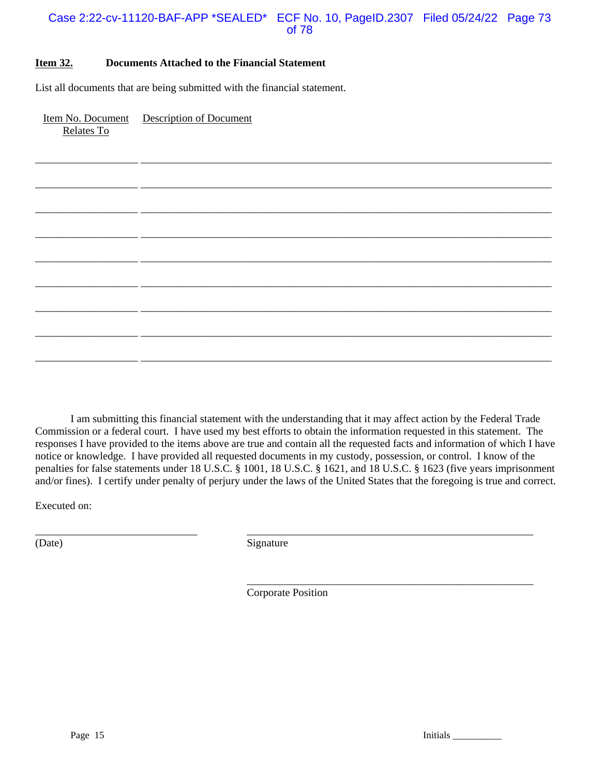## Case 2:22-cv-11120-BAF-APP \*SEALED\* ECF No. 10, PageID.2307 Filed 05/24/22 Page 73 of 78

\_\_\_\_\_\_\_\_\_\_\_\_\_\_\_\_\_\_\_ \_\_\_\_\_\_\_\_\_\_\_\_\_\_\_\_\_\_\_\_\_\_\_\_\_\_\_\_\_\_\_\_\_\_\_\_\_\_\_\_\_\_\_\_\_\_\_\_\_\_\_\_\_\_\_\_\_\_\_\_\_\_\_\_\_\_\_\_\_\_\_\_\_\_\_\_

\_\_\_\_\_\_\_\_\_\_\_\_\_\_\_\_\_\_\_ \_\_\_\_\_\_\_\_\_\_\_\_\_\_\_\_\_\_\_\_\_\_\_\_\_\_\_\_\_\_\_\_\_\_\_\_\_\_\_\_\_\_\_\_\_\_\_\_\_\_\_\_\_\_\_\_\_\_\_\_\_\_\_\_\_\_\_\_\_\_\_\_\_\_\_\_

\_\_\_\_\_\_\_\_\_\_\_\_\_\_\_\_\_\_\_ \_\_\_\_\_\_\_\_\_\_\_\_\_\_\_\_\_\_\_\_\_\_\_\_\_\_\_\_\_\_\_\_\_\_\_\_\_\_\_\_\_\_\_\_\_\_\_\_\_\_\_\_\_\_\_\_\_\_\_\_\_\_\_\_\_\_\_\_\_\_\_\_\_\_\_\_

\_\_\_\_\_\_\_\_\_\_\_\_\_\_\_\_\_\_\_ \_\_\_\_\_\_\_\_\_\_\_\_\_\_\_\_\_\_\_\_\_\_\_\_\_\_\_\_\_\_\_\_\_\_\_\_\_\_\_\_\_\_\_\_\_\_\_\_\_\_\_\_\_\_\_\_\_\_\_\_\_\_\_\_\_\_\_\_\_\_\_\_\_\_\_\_

\_\_\_\_\_\_\_\_\_\_\_\_\_\_\_\_\_\_\_ \_\_\_\_\_\_\_\_\_\_\_\_\_\_\_\_\_\_\_\_\_\_\_\_\_\_\_\_\_\_\_\_\_\_\_\_\_\_\_\_\_\_\_\_\_\_\_\_\_\_\_\_\_\_\_\_\_\_\_\_\_\_\_\_\_\_\_\_\_\_\_\_\_\_\_\_

\_\_\_\_\_\_\_\_\_\_\_\_\_\_\_\_\_\_\_ \_\_\_\_\_\_\_\_\_\_\_\_\_\_\_\_\_\_\_\_\_\_\_\_\_\_\_\_\_\_\_\_\_\_\_\_\_\_\_\_\_\_\_\_\_\_\_\_\_\_\_\_\_\_\_\_\_\_\_\_\_\_\_\_\_\_\_\_\_\_\_\_\_\_\_\_

\_\_\_\_\_\_\_\_\_\_\_\_\_\_\_\_\_\_\_ \_\_\_\_\_\_\_\_\_\_\_\_\_\_\_\_\_\_\_\_\_\_\_\_\_\_\_\_\_\_\_\_\_\_\_\_\_\_\_\_\_\_\_\_\_\_\_\_\_\_\_\_\_\_\_\_\_\_\_\_\_\_\_\_\_\_\_\_\_\_\_\_\_\_\_\_

\_\_\_\_\_\_\_\_\_\_\_\_\_\_\_\_\_\_\_ \_\_\_\_\_\_\_\_\_\_\_\_\_\_\_\_\_\_\_\_\_\_\_\_\_\_\_\_\_\_\_\_\_\_\_\_\_\_\_\_\_\_\_\_\_\_\_\_\_\_\_\_\_\_\_\_\_\_\_\_\_\_\_\_\_\_\_\_\_\_\_\_\_\_\_\_

\_\_\_\_\_\_\_\_\_\_\_\_\_\_\_\_\_\_\_ \_\_\_\_\_\_\_\_\_\_\_\_\_\_\_\_\_\_\_\_\_\_\_\_\_\_\_\_\_\_\_\_\_\_\_\_\_\_\_\_\_\_\_\_\_\_\_\_\_\_\_\_\_\_\_\_\_\_\_\_\_\_\_\_\_\_\_\_\_\_\_\_\_\_\_\_

#### **Item 32. Documents Attached to the Financial Statement**

List all documents that are being submitted with the financial statement.

Item No. Document Description of Document Relates To

I am submitting this financial statement with the understanding that it may affect action by the Federal Trade Commission or a federal court. I have used my best efforts to obtain the information requested in this statement. The responses I have provided to the items above are true and contain all the requested facts and information of which I have notice or knowledge. I have provided all requested documents in my custody, possession, or control. I know of the penalties for false statements under 18 U.S.C. § 1001, 18 U.S.C. § 1621, and 18 U.S.C. § 1623 (five years imprisonment and/or fines). I certify under penalty of perjury under the laws of the United States that the foregoing is true and correct.

Executed on:

(Date) Signature

Corporate Position

\_\_\_\_\_\_\_\_\_\_\_\_\_\_\_\_\_\_\_\_\_\_\_\_\_\_\_\_\_\_ \_\_\_\_\_\_\_\_\_\_\_\_\_\_\_\_\_\_\_\_\_\_\_\_\_\_\_\_\_\_\_\_\_\_\_\_\_\_\_\_\_\_\_\_\_\_\_\_\_\_\_\_\_

Page 15 Initials League 15

\_\_\_\_\_\_\_\_\_\_\_\_\_\_\_\_\_\_\_\_\_\_\_\_\_\_\_\_\_\_\_\_\_\_\_\_\_\_\_\_\_\_\_\_\_\_\_\_\_\_\_\_\_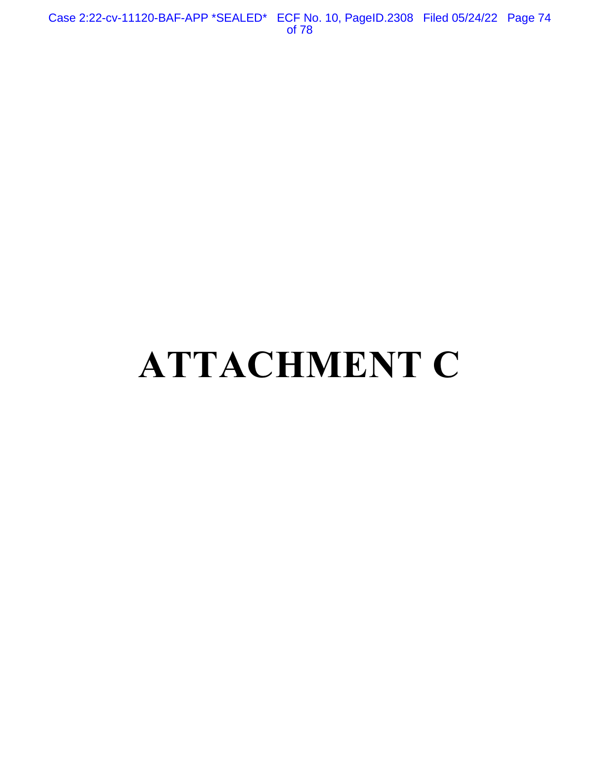Case 2:22-cv-11120-BAF-APP \*SEALED\* ECF No. 10, PageID.2308 Filed 05/24/22 Page 74 of 78

# **ATTACHMENT C**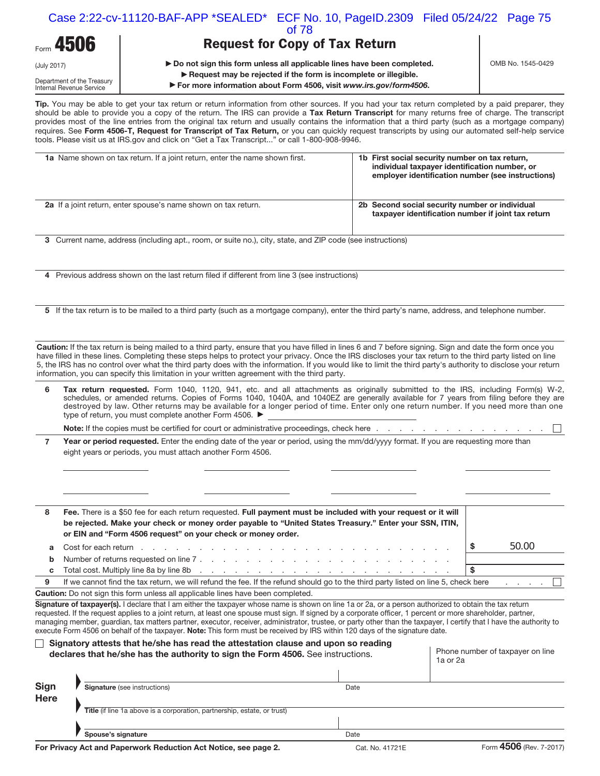|                                                                       |                                                                                               | Case 2:22-cv-11120-BAF-APP *SEALED* ECF No. 10, PageID.2309 Filed 05/24/22 Page 75<br>of 78                                                                                                                                                                                                                                                                                                                                                                                                                                                                                                                       |                   |
|-----------------------------------------------------------------------|-----------------------------------------------------------------------------------------------|-------------------------------------------------------------------------------------------------------------------------------------------------------------------------------------------------------------------------------------------------------------------------------------------------------------------------------------------------------------------------------------------------------------------------------------------------------------------------------------------------------------------------------------------------------------------------------------------------------------------|-------------------|
| Form 4506                                                             |                                                                                               | <b>Request for Copy of Tax Return</b>                                                                                                                                                                                                                                                                                                                                                                                                                                                                                                                                                                             |                   |
| (July 2017)<br>Department of the Treasury<br>Internal Revenue Service |                                                                                               | ▶ Do not sign this form unless all applicable lines have been completed.<br>$\blacktriangleright$ Request may be rejected if the form is incomplete or illegible.<br>► For more information about Form 4506, visit www.irs.gov/form4506.                                                                                                                                                                                                                                                                                                                                                                          | OMB No. 1545-0429 |
|                                                                       | tools. Please visit us at IRS.gov and click on "Get a Tax Transcript" or call 1-800-908-9946. | Tip. You may be able to get your tax return or return information from other sources. If you had your tax return completed by a paid preparer, they<br>should be able to provide you a copy of the return. The IRS can provide a Tax Return Transcript for many returns free of charge. The transcript<br>provides most of the line entries from the original tax return and usually contains the information that a third party (such as a mortgage company)<br>requires. See Form 4506-T, Request for Transcript of Tax Return, or you can quickly request transcripts by using our automated self-help service |                   |

| <b>1a</b> Name shown on tax return. If a joint return, enter the name shown first. | 1b First social security number on tax return,<br>individual taxpayer identification number, or<br>employer identification number (see instructions) |
|------------------------------------------------------------------------------------|------------------------------------------------------------------------------------------------------------------------------------------------------|
| <b>2a</b> If a joint return, enter spouse's name shown on tax return.              | 2b Second social security number or individual<br>taxpayer identification number if joint tax return                                                 |

**3** Current name, address (including apt., room, or suite no.), city, state, and ZIP code (see instructions)

**4** Previous address shown on the last return filed if different from line 3 (see instructions)

**5** If the tax return is to be mailed to a third party (such as a mortgage company), enter the third party's name, address, and telephone number.

**Caution:** If the tax return is being mailed to a third party, ensure that you have filled in lines 6 and 7 before signing. Sign and date the form once you have filled in these lines. Completing these steps helps to protect your privacy. Once the IRS discloses your tax return to the third party listed on line 5, the IRS has no control over what the third party does with the information. If you would like to limit the third party's authority to disclose your return information, you can specify this limitation in your written agreement with the third party.

| <b>Tax return requested.</b> Form 1040, 1120, 941, etc. and all attachments as originally submitted to the IRS, including Form(s) W-2, |
|----------------------------------------------------------------------------------------------------------------------------------------|
| schedules, or amended returns. Copies of Forms 1040, 1040A, and 1040EZ are generally available for 7 years from filing before they are |
| destroyed by law. Other returns may be available for a longer period of time. Enter only one return number. If you need more than one  |
| type of return, you must complete another Form 4506. ▶                                                                                 |

**Note:** If the copies must be certified for court or administrative proceedings, check here . . . . . . . . . . . . . . .

**7**  Year or period requested. Enter the ending date of the year or period, using the mm/dd/yyyy format. If you are requesting more than eight years or periods, you must attach another Form 4506.

| 8 | Fee. There is a \$50 fee for each return requested. Full payment must be included with your request or it will<br>be rejected. Make your check or money order payable to "United States Treasury." Enter your SSN, ITIN,<br>or EIN and "Form 4506 request" on your check or money order. |       |
|---|------------------------------------------------------------------------------------------------------------------------------------------------------------------------------------------------------------------------------------------------------------------------------------------|-------|
| a | Cost for each return reduced by receiver and receiver and receiver and receiver and receiver and receiver and receiver and receiver and receiver and receiver and receiver and receiver and receiver and receiver and receiver                                                           | 50.00 |
| b |                                                                                                                                                                                                                                                                                          |       |
| C |                                                                                                                                                                                                                                                                                          |       |
| 9 | If we cannot find the tax return, we will refund the fee. If the refund should go to the third party listed on line 5, check here                                                                                                                                                        | . 11  |

**Caution:** Do not sign this form unless all applicable lines have been completed.

**Signature of taxpayer(s).** I declare that I am either the taxpayer whose name is shown on line 1a or 2a, or a person authorized to obtain the tax return requested. If the request applies to a joint return, at least one spouse must sign. If signed by a corporate officer, 1 percent or more shareholder, partner, managing member, guardian, tax matters partner, executor, receiver, administrator, trustee, or party other than the taxpayer, I certify that I have the authority to execute Form 4506 on behalf of the taxpayer. **Note:** This form must be received by IRS within 120 days of the signature date.

### **Signatory attests that he/she has read the attestation clause and upon so reading**  declares that he/she has the authority to sign the Form 4506. See instructions. **Phone number of taxpayer on line**

1a or 2a

| <b>Sign</b><br><b>Here</b> | <b>Signature</b> (see instructions)                                      | Date |  |
|----------------------------|--------------------------------------------------------------------------|------|--|
|                            | Title (if line 1a above is a corporation, partnership, estate, or trust) |      |  |
|                            |                                                                          |      |  |
|                            | Spouse's signature                                                       | Date |  |

 $\overline{\phantom{a}}$ 

F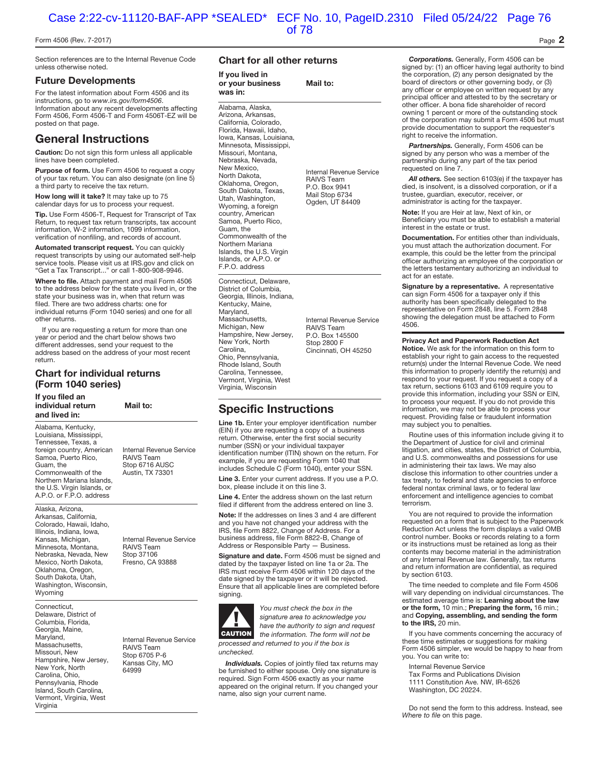#### Form 4506 (Rev. 7-2017) Page **2**

Section references are to the Internal Revenue Code unless otherwise noted.

#### **Future Developments**

For the latest information about Form 4506 and its instructions, go to <www.irs.gov/form4506>. Information about any recent developments affecting Form 4506, Form 4506-T and Form 4506T-EZ will be

posted on that page.

## **General Instructions**

**Caution:** Do not sign this form unless all applicable lines have been completed.

**Purpose of form.** Use Form 4506 to request a copy of your tax return. You can also designate (on line 5) a third party to receive the tax return.

**How long will it take?** It may take up to 75 calendar days for us to process your request.

**Tip.** Use Form 4506-T, Request for Transcript of Tax Return, to request tax return transcripts, tax account information, W-2 information, 1099 information, verification of nonfiling, and records of account.

**Automated transcript request.** You can quickly request transcripts by using our automated self-help service tools. Please visit us at IRS.gov and click on "Get a Tax Transcript..." or call 1-800-908-9946.

**Where to file.** Attach payment and mail Form 4506 to the address below for the state you lived in, or the state your business was in, when that return was filed. There are two address charts: one for individual returns (Form 1040 series) and one for all other returns.

If you are requesting a return for more than one year or period and the chart below shows two different addresses, send your request to the address based on the address of your most recent return.

### **Chart for individual returns (Form 1040 series)**

**If you filed an individual return Mail to: and lived in:**  Alabama, Kentucky, Louisiana, Mississippi, Tennessee, Texas, a foreign country, American Internal Revenue Service<br>Samoa, Puerto Rico, RAIVS Team Samoa, Puerto Rico,<br>Guam, the Commonwealth of the Northern Mariana Islands, the U.S. Virgin Islands, or

Alaska, Arizona, Arkansas, California, Colorado, Hawaii, Idaho, Illinois, Indiana, Iowa, Kansas, Michigan, **Internal Revenue Service**<br>Minnesota, Montana, **RAIVS Team** Minnesota, Montana, Nebraska, Nevada, New Stop 37106<br>Mexico, North Dakota, Fresno, CA 93888 Mexico, North Dakota, Oklahoma, Oregon, South Dakota, Utah, Washington, Wisconsin, **Wyoming** 

A.P.O. or F.P.O. address

Connecticut, Delaware, District of Columbia, Florida, Georgia, Maine, Pennsylvania, Rhode Island, South Carolina, Vermont, Virginia, West Virginia

Stop 6716 AUSC<br>Austin, TX 73301

Maryland, Internal Revenue Service<br>Massachusetts, Review RAIVS Team<br>Missouri, New Versey, Rep 6705 P-6<br>Hampshire, New Jersey, Kansas City, MO<br>New York, North 64999<br>Carolina, Ohio, 64999

#### **Chart for all other returns**

| <b>Chart for all other returns</b>                                                                                                                                                                                                                                                                                                                                                                                                                                            |                                                                                                     |  |  |
|-------------------------------------------------------------------------------------------------------------------------------------------------------------------------------------------------------------------------------------------------------------------------------------------------------------------------------------------------------------------------------------------------------------------------------------------------------------------------------|-----------------------------------------------------------------------------------------------------|--|--|
| If you lived in<br>or your business<br>was in:                                                                                                                                                                                                                                                                                                                                                                                                                                | Mail to:                                                                                            |  |  |
| Alabama, Alaska,<br>Arizona, Arkansas,<br>California, Colorado,<br>Florida, Hawaii, Idaho,<br>Iowa, Kansas, Louisiana,<br>Minnesota, Mississippi,<br>Missouri, Montana,<br>Nebraska, Nevada,<br>New Mexico,<br>North Dakota,<br>Oklahoma, Oregon,<br>South Dakota, Texas,<br>Utah, Washington,<br>Wyoming, a foreign<br>country, American<br>Samoa, Puerto Rico,<br>Guam, the<br>Commonwealth of the<br>Northern Mariana<br>Islands, the U.S. Virgin<br>Islands, or A.P.O. or | Internal Revenue Service<br><b>RAIVS Team</b><br>P.O. Box 9941<br>Mail Stop 6734<br>Ogden, UT 84409 |  |  |

Connecticut, Delaware, District of Columbia, Georgia, Illinois, Indiana, Kentucky, Maine, Marvland Massachusetts,<br>
Michigan New BAIVS Team Hampshire, New Jersey,<br>New York, North New York, North Stop 2800 F<br>Carolina, Cincinnati. C Ohio, Pennsylvania, Rhode Island, South Carolina, Tennessee, Vermont, Virginia, West Virginia, Wisconsin

F.P.O. address

RAIVS Team<br>P.O. Box 145500 Cincinnati, OH 45250

## **Specific Instructions**

Line 1b. Enter your employer identification number (EIN) if you are requesting a copy of a business return. Otherwise, enter the first social security number (SSN) or your individual taxpayer identification number (ITIN) shown on the return. For example, if you are requesting Form 1040 that includes Schedule C (Form 1040), enter your SSN.

**Line 3.** Enter your current address. If you use a P.O. box, please include it on this line 3.

**Line 4.** Enter the address shown on the last return filed if different from the address entered on line 3.

**Note:** If the addresses on lines 3 and 4 are different and you have not changed your address with the IRS, file Form 8822, Change of Address. For a business address, file Form 8822-B, Change of Address or Responsible Party — Business.

**Signature and date.** Form 4506 must be signed and dated by the taxpayer listed on line 1a or 2a. The IRS must receive Form 4506 within 120 days of the date signed by the taxpayer or it will be rejected. Ensure that all applicable lines are completed before signing.



You must check the box in the signature area to acknowledge you have the authority to sign and request the information. The form will not be

processed and returned to you if the box is unchecked.

*Individuals.* Copies of jointly filed tax returns may be furnished to either spouse. Only one signature is required. Sign Form 4506 exactly as your name appeared on the original return. If you changed your name, also sign your current name.

*Corporations.* Generally, Form 4506 can be signed by: (1) an officer having legal authority to bind the corporation, (2) any person designated by the board of directors or other governing body, or (3) any officer or employee on written request by any principal officer and attested to by the secretary or other officer. A bona fide shareholder of record owning 1 percent or more of the outstanding stock of the corporation may submit a Form 4506 but must provide documentation to support the requester's right to receive the information.

*Partnerships.* Generally, Form 4506 can be signed by any person who was a member of the partnership during any part of the tax period requested on line 7.

*All others.* See section 6103(e) if the taxpayer has died, is insolvent, is a dissolved corporation, or if a trustee, guardian, executor, receiver, or administrator is acting for the taxpayer.

**Note:** If you are Heir at law, Next of kin, or Beneficiary you must be able to establish a material interest in the estate or trust.

**Documentation.** For entities other than individuals, you must attach the authorization document. For example, this could be the letter from the principal officer authorizing an employee of the corporation or the letters testamentary authorizing an individual to act for an estate.

**Signature by a representative.** A representative can sign Form 4506 for a taxpayer only if this authority has been specifically delegated to the representative on Form 2848, line 5. Form 2848 showing the delegation must be attached to Form 4506.

#### **Privacy Act and Paperwork Reduction Act**

**Notice.** We ask for the information on this form to establish your right to gain access to the requested return(s) under the Internal Revenue Code. We need this information to properly identify the return(s) and respond to your request. If you request a copy of a tax return, sections 6103 and 6109 require you to provide this information, including your SSN or EIN, to process your request. If you do not provide this information, we may not be able to process your request. Providing false or fraudulent information may subject you to penalties.

Routine uses of this information include giving it to the Department of Justice for civil and criminal litigation, and cities, states, the District of Columbia, and U.S. commonwealths and possessions for use in administering their tax laws. We may also disclose this information to other countries under a tax treaty, to federal and state agencies to enforce federal nontax criminal laws, or to federal law enforcement and intelligence agencies to combat terrorism.

You are not required to provide the information requested on a form that is subject to the Paperwork Reduction Act unless the form displays a valid OMB control number. Books or records relating to a form or its instructions must be retained as long as their contents may become material in the administration of any Internal Revenue law. Generally, tax returns and return information are confidential, as required by section 6103.

The time needed to complete and file Form 4506 will vary depending on individual circumstances. The estimated average time is: **Learning about the law or the form,** 10 min.; **Preparing the form,** 16 min.; and **Copying, assembling, and sending the form to the IRS,** 20 min.

If you have comments concerning the accuracy of these time estimates or suggestions for making Form 4506 simpler, we would be happy to hear from you. You can write to:

Internal Revenue Service

Tax Forms and Publications Division 1111 Constitution Ave. NW, IR-6526 Washington, DC 20224.

Do not send the form to this address. Instead, see Where to file on this page.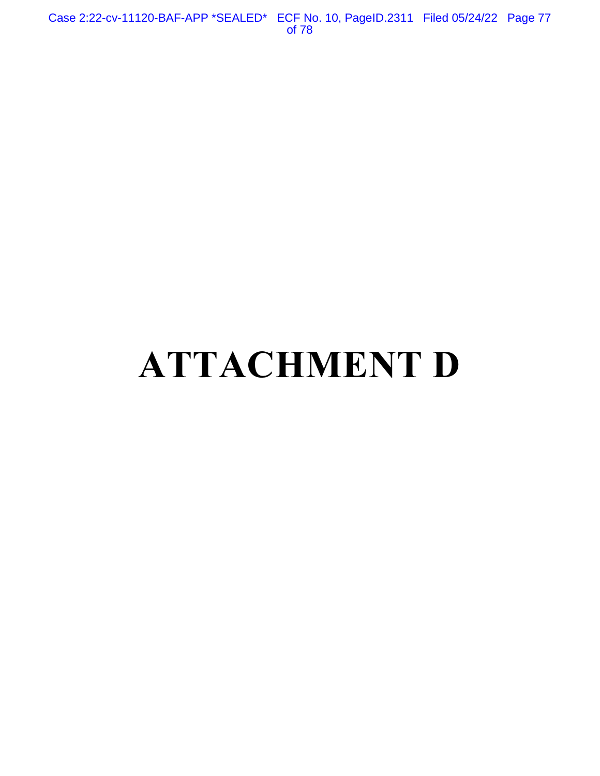Case 2:22-cv-11120-BAF-APP \*SEALED\* ECF No. 10, PageID.2311 Filed 05/24/22 Page 77 of 78

# **ATTACHMENT D**